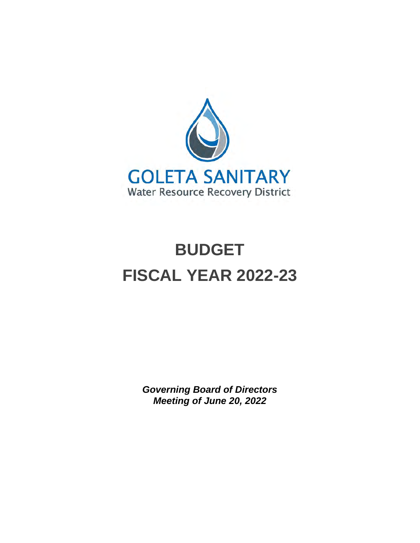

## **BUDGET FISCAL YEAR 2022-23**

*Governing Board of Directors Meeting of June 20, 2022*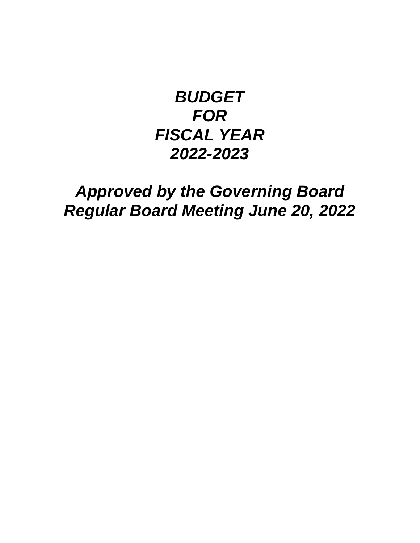## *BUDGET FOR FISCAL YEAR 2022-2023*

### *Approved by the Governing Board Regular Board Meeting June 20, 2022*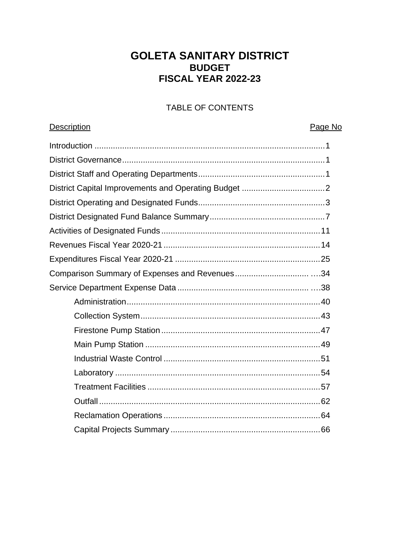### **GOLETA SANITARY DISTRICT BUDGET FISCAL YEAR 2022-23**

### TABLE OF CONTENTS

#### Description

#### Page No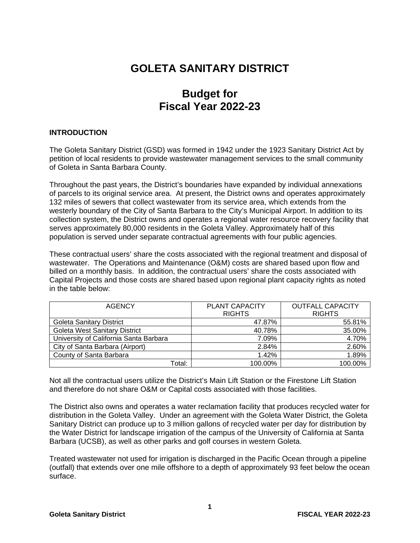### **GOLETA SANITARY DISTRICT**

### **Budget for Fiscal Year 2022-23**

#### **INTRODUCTION**

The Goleta Sanitary District (GSD) was formed in 1942 under the 1923 Sanitary District Act by petition of local residents to provide wastewater management services to the small community of Goleta in Santa Barbara County.

Throughout the past years, the District's boundaries have expanded by individual annexations of parcels to its original service area. At present, the District owns and operates approximately 132 miles of sewers that collect wastewater from its service area, which extends from the westerly boundary of the City of Santa Barbara to the City's Municipal Airport. In addition to its collection system, the District owns and operates a regional water resource recovery facility that serves approximately 80,000 residents in the Goleta Valley. Approximately half of this population is served under separate contractual agreements with four public agencies.

These contractual users' share the costs associated with the regional treatment and disposal of wastewater. The Operations and Maintenance (O&M) costs are shared based upon flow and billed on a monthly basis. In addition, the contractual users' share the costs associated with Capital Projects and those costs are shared based upon regional plant capacity rights as noted in the table below:

| <b>AGENCY</b>                          | <b>PLANT CAPACITY</b> | <b>OUTFALL CAPACITY</b> |  |  |
|----------------------------------------|-----------------------|-------------------------|--|--|
|                                        | <b>RIGHTS</b>         | <b>RIGHTS</b>           |  |  |
| <b>Goleta Sanitary District</b>        | 47.87%                | 55.81%                  |  |  |
| <b>Goleta West Sanitary District</b>   | 40.78%                | 35.00%                  |  |  |
| University of California Santa Barbara | 7.09%                 | 4.70%                   |  |  |
| City of Santa Barbara (Airport)        | 2.84%                 | 2.60%                   |  |  |
| County of Santa Barbara                | 1.42%                 | 1.89%                   |  |  |
| Total:                                 | 100.00%               | 100.00%                 |  |  |

Not all the contractual users utilize the District's Main Lift Station or the Firestone Lift Station and therefore do not share O&M or Capital costs associated with those facilities.

The District also owns and operates a water reclamation facility that produces recycled water for distribution in the Goleta Valley. Under an agreement with the Goleta Water District, the Goleta Sanitary District can produce up to 3 million gallons of recycled water per day for distribution by the Water District for landscape irrigation of the campus of the University of California at Santa Barbara (UCSB), as well as other parks and golf courses in western Goleta.

Treated wastewater not used for irrigation is discharged in the Pacific Ocean through a pipeline (outfall) that extends over one mile offshore to a depth of approximately 93 feet below the ocean surface.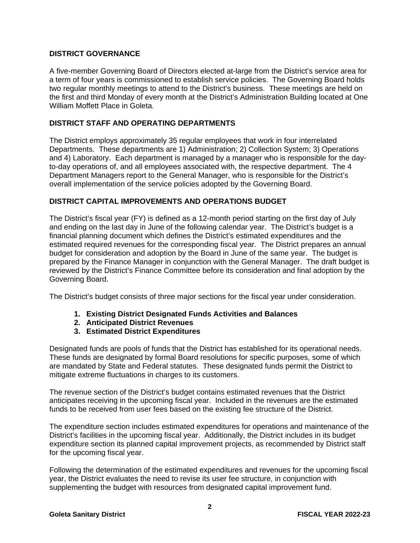#### **DISTRICT GOVERNANCE**

A five-member Governing Board of Directors elected at-large from the District's service area for a term of four years is commissioned to establish service policies. The Governing Board holds two regular monthly meetings to attend to the District's business. These meetings are held on the first and third Monday of every month at the District's Administration Building located at One William Moffett Place in Goleta.

#### **DISTRICT STAFF AND OPERATING DEPARTMENTS**

The District employs approximately 35 regular employees that work in four interrelated Departments. These departments are 1) Administration; 2) Collection System; 3) Operations and 4) Laboratory. Each department is managed by a manager who is responsible for the dayto-day operations of, and all employees associated with, the respective department. The 4 Department Managers report to the General Manager, who is responsible for the District's overall implementation of the service policies adopted by the Governing Board.

#### **DISTRICT CAPITAL IMPROVEMENTS AND OPERATIONS BUDGET**

The District's fiscal year (FY) is defined as a 12-month period starting on the first day of July and ending on the last day in June of the following calendar year. The District's budget is a financial planning document which defines the District's estimated expenditures and the estimated required revenues for the corresponding fiscal year. The District prepares an annual budget for consideration and adoption by the Board in June of the same year. The budget is prepared by the Finance Manager in conjunction with the General Manager. The draft budget is reviewed by the District's Finance Committee before its consideration and final adoption by the Governing Board.

The District's budget consists of three major sections for the fiscal year under consideration.

- **1. Existing District Designated Funds Activities and Balances**
- **2. Anticipated District Revenues**
- **3. Estimated District Expenditures**

Designated funds are pools of funds that the District has established for its operational needs. These funds are designated by formal Board resolutions for specific purposes, some of which are mandated by State and Federal statutes. These designated funds permit the District to mitigate extreme fluctuations in charges to its customers.

The revenue section of the District's budget contains estimated revenues that the District anticipates receiving in the upcoming fiscal year. Included in the revenues are the estimated funds to be received from user fees based on the existing fee structure of the District.

The expenditure section includes estimated expenditures for operations and maintenance of the District's facilities in the upcoming fiscal year. Additionally, the District includes in its budget expenditure section its planned capital improvement projects, as recommended by District staff for the upcoming fiscal year.

Following the determination of the estimated expenditures and revenues for the upcoming fiscal year, the District evaluates the need to revise its user fee structure, in conjunction with supplementing the budget with resources from designated capital improvement fund.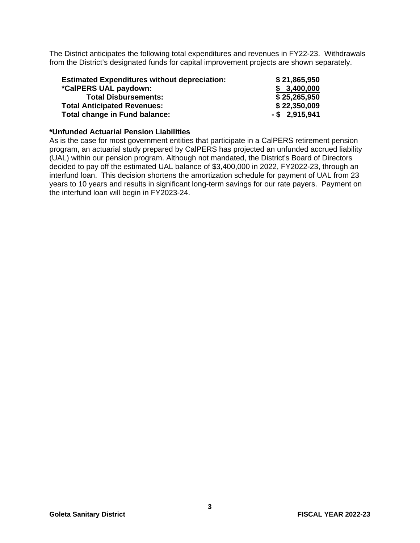The District anticipates the following total expenditures and revenues in FY22-23. Withdrawals from the District's designated funds for capital improvement projects are shown separately.

| <b>Estimated Expenditures without depreciation:</b> | \$21,865,950     |
|-----------------------------------------------------|------------------|
| *CalPERS UAL paydown:                               | \$3,400,000      |
| <b>Total Disbursements:</b>                         | \$25,265,950     |
| <b>Total Anticipated Revenues:</b>                  | \$22,350,009     |
| Total change in Fund balance:                       | $-$ \$ 2,915,941 |

#### **\*Unfunded Actuarial Pension Liabilities**

As is the case for most government entities that participate in a CalPERS retirement pension program, an actuarial study prepared by CalPERS has projected an unfunded accrued liability (UAL) within our pension program. Although not mandated, the District's Board of Directors decided to pay off the estimated UAL balance of \$3,400,000 in 2022, FY2022-23, through an interfund loan. This decision shortens the amortization schedule for payment of UAL from 23 years to 10 years and results in significant long-term savings for our rate payers. Payment on the interfund loan will begin in FY2023-24.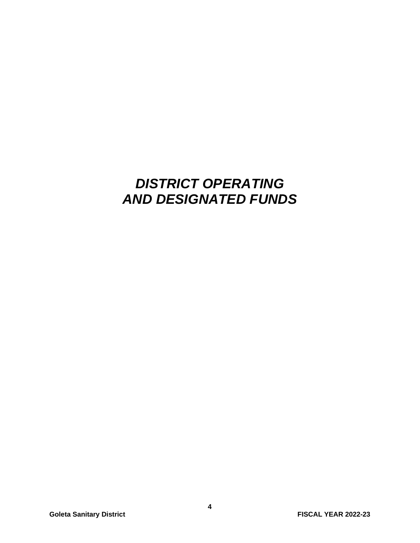### *DISTRICT OPERATING AND DESIGNATED FUNDS*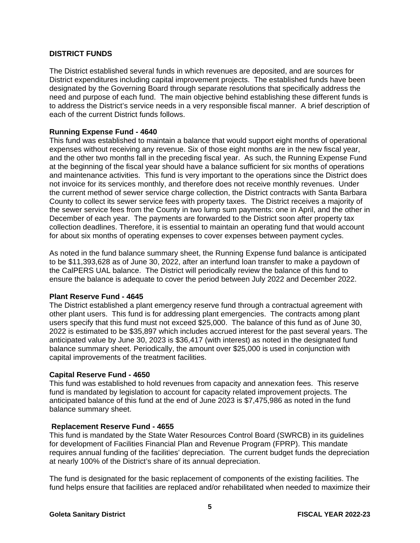#### **DISTRICT FUNDS**

The District established several funds in which revenues are deposited, and are sources for District expenditures including capital improvement projects. The established funds have been designated by the Governing Board through separate resolutions that specifically address the need and purpose of each fund. The main objective behind establishing these different funds is to address the District's service needs in a very responsible fiscal manner. A brief description of each of the current District funds follows.

#### **Running Expense Fund - 4640**

This fund was established to maintain a balance that would support eight months of operational expenses without receiving any revenue. Six of those eight months are in the new fiscal year, and the other two months fall in the preceding fiscal year. As such, the Running Expense Fund at the beginning of the fiscal year should have a balance sufficient for six months of operations and maintenance activities. This fund is very important to the operations since the District does not invoice for its services monthly, and therefore does not receive monthly revenues. Under the current method of sewer service charge collection, the District contracts with Santa Barbara County to collect its sewer service fees with property taxes. The District receives a majority of the sewer service fees from the County in two lump sum payments: one in April, and the other in December of each year. The payments are forwarded to the District soon after property tax collection deadlines. Therefore, it is essential to maintain an operating fund that would account for about six months of operating expenses to cover expenses between payment cycles.

As noted in the fund balance summary sheet, the Running Expense fund balance is anticipated to be \$11,393,628 as of June 30, 2022, after an interfund loan transfer to make a paydown of the CalPERS UAL balance. The District will periodically review the balance of this fund to ensure the balance is adequate to cover the period between July 2022 and December 2022.

#### **Plant Reserve Fund - 4645**

The District established a plant emergency reserve fund through a contractual agreement with other plant users. This fund is for addressing plant emergencies. The contracts among plant users specify that this fund must not exceed \$25,000. The balance of this fund as of June 30, 2022 is estimated to be \$35,897 which includes accrued interest for the past several years. The anticipated value by June 30, 2023 is \$36,417 (with interest) as noted in the designated fund balance summary sheet. Periodically, the amount over \$25,000 is used in conjunction with capital improvements of the treatment facilities.

#### **Capital Reserve Fund - 4650**

This fund was established to hold revenues from capacity and annexation fees. This reserve fund is mandated by legislation to account for capacity related improvement projects. The anticipated balance of this fund at the end of June 2023 is \$7,475,986 as noted in the fund balance summary sheet.

#### **Replacement Reserve Fund - 4655**

This fund is mandated by the State Water Resources Control Board (SWRCB) in its guidelines for development of Facilities Financial Plan and Revenue Program (FPRP). This mandate requires annual funding of the facilities' depreciation. The current budget funds the depreciation at nearly 100% of the District's share of its annual depreciation.

The fund is designated for the basic replacement of components of the existing facilities. The fund helps ensure that facilities are replaced and/or rehabilitated when needed to maximize their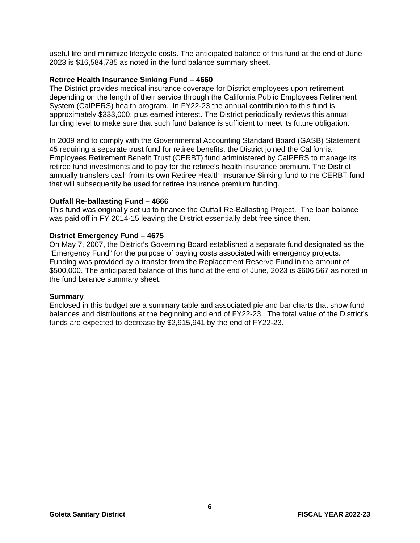useful life and minimize lifecycle costs. The anticipated balance of this fund at the end of June 2023 is \$16,584,785 as noted in the fund balance summary sheet.

#### **Retiree Health Insurance Sinking Fund – 4660**

The District provides medical insurance coverage for District employees upon retirement depending on the length of their service through the California Public Employees Retirement System (CalPERS) health program. In FY22-23 the annual contribution to this fund is approximately \$333,000, plus earned interest. The District periodically reviews this annual funding level to make sure that such fund balance is sufficient to meet its future obligation.

In 2009 and to comply with the Governmental Accounting Standard Board (GASB) Statement 45 requiring a separate trust fund for retiree benefits, the District joined the California Employees Retirement Benefit Trust (CERBT) fund administered by CalPERS to manage its retiree fund investments and to pay for the retiree's health insurance premium. The District annually transfers cash from its own Retiree Health Insurance Sinking fund to the CERBT fund that will subsequently be used for retiree insurance premium funding.

#### **Outfall Re-ballasting Fund – 4666**

This fund was originally set up to finance the Outfall Re-Ballasting Project. The loan balance was paid off in FY 2014-15 leaving the District essentially debt free since then.

#### **District Emergency Fund – 4675**

On May 7, 2007, the District's Governing Board established a separate fund designated as the "Emergency Fund" for the purpose of paying costs associated with emergency projects. Funding was provided by a transfer from the Replacement Reserve Fund in the amount of \$500,000. The anticipated balance of this fund at the end of June, 2023 is \$606,567 as noted in the fund balance summary sheet.

#### **Summary**

Enclosed in this budget are a summary table and associated pie and bar charts that show fund balances and distributions at the beginning and end of FY22-23. The total value of the District's funds are expected to decrease by \$2,915,941 by the end of FY22-23.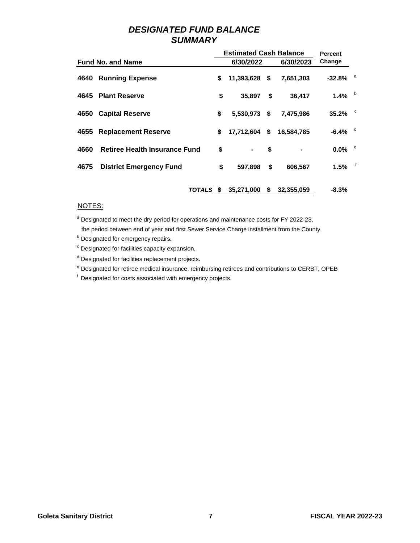#### *DESIGNATED FUND BALANCE SUMMARY*

|      |                                      | <b>Estimated Cash Balance</b> | <b>Percent</b>   |                        |              |
|------|--------------------------------------|-------------------------------|------------------|------------------------|--------------|
|      | <b>Fund No. and Name</b>             | 6/30/2022                     | 6/30/2023        | Change                 |              |
|      | 4640 Running Expense                 | \$<br>11,393,628 \$           | 7,651,303        | $-32.8\%$ <sup>a</sup> |              |
|      | 4645 Plant Reserve                   | \$<br>35,897                  | \$<br>36.417     | 1.4% $b$               |              |
|      | 4650 Capital Reserve                 | \$<br>5,530,973 \$            | 7,475,986        | 35.2% $\degree$        |              |
|      | 4655 Replacement Reserve             | \$<br>17,712,604              | \$<br>16,584,785 | $-6.4\%$ <sup>d</sup>  |              |
| 4660 | <b>Retiree Health Insurance Fund</b> | \$<br>۰                       | \$               | $0.0\%$                | e e          |
| 4675 | <b>District Emergency Fund</b>       | \$<br>597,898                 | \$<br>606,567    | 1.5%                   | $\mathsf{f}$ |
|      | TOTALS \$                            | 35,271,000                    | \$<br>32,355,059 | $-8.3%$                |              |

#### NOTES:

<sup>a</sup> Designated to meet the dry period for operations and maintenance costs for FY 2022-23,

the period between end of year and first Sewer Service Charge installment from the County.

**b** Designated for emergency repairs.

- <sup>c</sup> Designated for facilities capacity expansion.
- <sup>d</sup> Designated for facilities replacement projects.
- <sup>e</sup> Designated for retiree medical insurance, reimbursing retirees and contributions to CERBT, OPEB

f Designated for costs associated with emergency projects.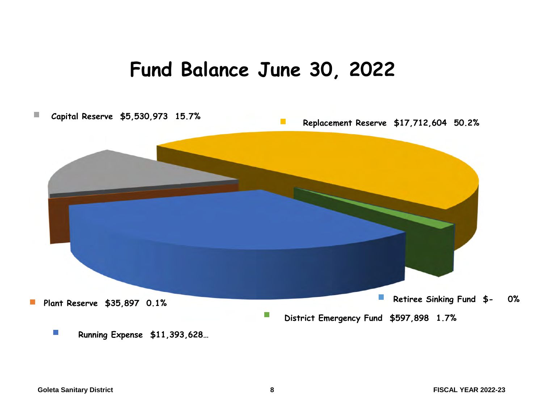## **Fund Balance June 30, 2022**

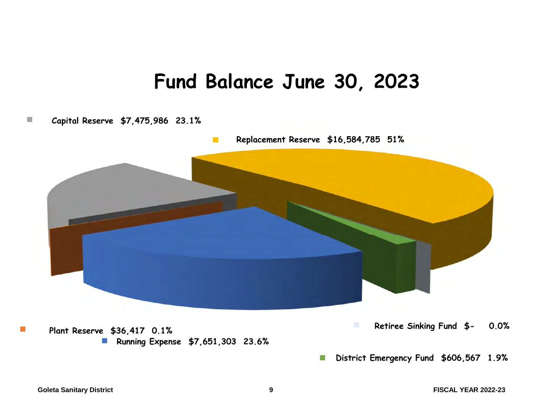## **Fund Balance June 30, 2023**

#### **Capital Reserve \$7,475,986 23.1% In the**



**District Emergency Fund \$606,567 1.9%**  $\mathbb{R}^3$ 

**Tale**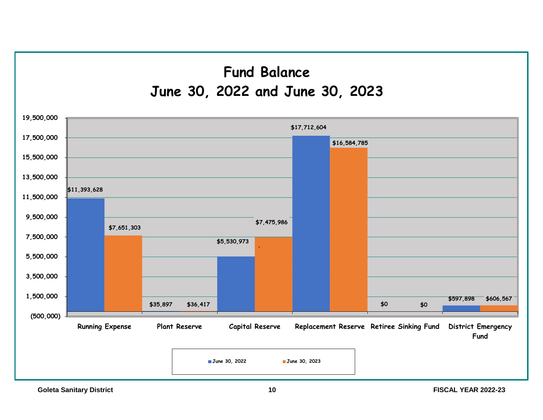## **Fund Balance June 30, 2022 and June 30, 2023**

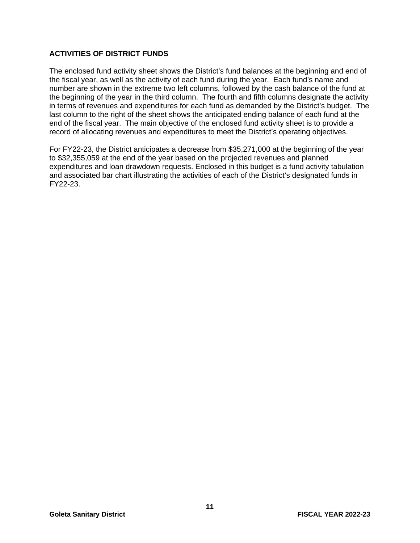#### **ACTIVITIES OF DISTRICT FUNDS**

The enclosed fund activity sheet shows the District's fund balances at the beginning and end of the fiscal year, as well as the activity of each fund during the year. Each fund's name and number are shown in the extreme two left columns, followed by the cash balance of the fund at the beginning of the year in the third column. The fourth and fifth columns designate the activity in terms of revenues and expenditures for each fund as demanded by the District's budget. The last column to the right of the sheet shows the anticipated ending balance of each fund at the end of the fiscal year. The main objective of the enclosed fund activity sheet is to provide a record of allocating revenues and expenditures to meet the District's operating objectives.

For FY22-23, the District anticipates a decrease from \$35,271,000 at the beginning of the year to \$32,355,059 at the end of the year based on the projected revenues and planned expenditures and loan drawdown requests. Enclosed in this budget is a fund activity tabulation and associated bar chart illustrating the activities of each of the District's designated funds in FY22-23.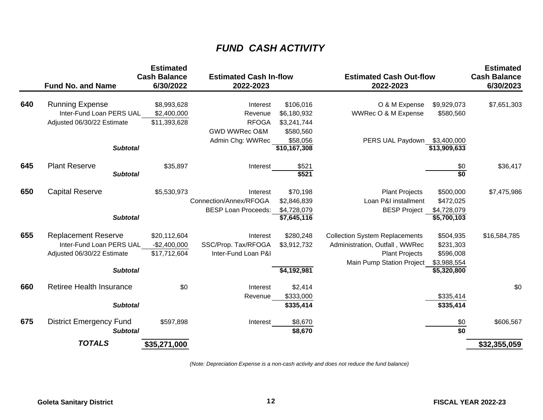### *FUND CASH ACTIVITY*

|     | <b>Fund No. and Name</b>                                                                                | <b>Estimated</b><br><b>Cash Balance</b><br>6/30/2022 | <b>Estimated Cash In-flow</b><br>2022-2023                               |                                                                  | <b>Estimated Cash Out-flow</b><br>2022-2023                                                                                   |                                                                   | <b>Estimated</b><br><b>Cash Balance</b><br>6/30/2023 |
|-----|---------------------------------------------------------------------------------------------------------|------------------------------------------------------|--------------------------------------------------------------------------|------------------------------------------------------------------|-------------------------------------------------------------------------------------------------------------------------------|-------------------------------------------------------------------|------------------------------------------------------|
| 640 | <b>Running Expense</b><br>Inter-Fund Loan PERS UAL<br>Adjusted 06/30/22 Estimate                        | \$8,993,628<br>\$2,400,000<br>\$11,393,628           | Interest<br>Revenue<br><b>RFOGA</b><br>GWD WWRec O&M<br>Admin Chg: WWRec | \$106,016<br>\$6,180,932<br>\$3,241,744<br>\$580,560<br>\$58,056 | O & M Expense<br>WWRec O & M Expense<br>PERS UAL Paydown                                                                      | \$9,929,073<br>\$580,560<br>\$3,400,000                           | \$7,651,303                                          |
|     | <b>Subtotal</b>                                                                                         |                                                      |                                                                          | \$10,167,308                                                     |                                                                                                                               | \$13,909,633                                                      |                                                      |
| 645 | <b>Plant Reserve</b><br><b>Subtotal</b>                                                                 | \$35,897                                             | Interest                                                                 | \$521<br>\$521                                                   |                                                                                                                               | \$0<br>\$0                                                        | \$36,417                                             |
| 650 | <b>Capital Reserve</b><br><b>Subtotal</b>                                                               | \$5,530,973                                          | Interest<br>Connection/Annex/RFOGA<br><b>BESP Loan Proceeds:</b>         | \$70,198<br>\$2,846,839<br>\$4,728,079<br>\$7,645,116            | <b>Plant Projects</b><br>Loan P&I installment<br><b>BESP Project</b>                                                          | \$500,000<br>\$472,025<br>\$4,728,079<br>$\overline{5,700,103}$   | \$7,475,986                                          |
| 655 | <b>Replacement Reserve</b><br>Inter-Fund Loan PERS UAL<br>Adjusted 06/30/22 Estimate<br><b>Subtotal</b> | \$20,112,604<br>$-$2,400,000$<br>\$17,712,604        | Interest<br>SSC/Prop. Tax/RFOGA<br>Inter-Fund Loan P&I                   | \$280,248<br>\$3,912,732<br>\$4,192,981                          | <b>Collection System Replacements</b><br>Administration, Outfall, WWRec<br><b>Plant Projects</b><br>Main Pump Station Project | \$504,935<br>\$231,303<br>\$596,008<br>\$3,988,554<br>\$5,320,800 | \$16,584,785                                         |
| 660 | <b>Retiree Health Insurance</b><br><b>Subtotal</b>                                                      | \$0                                                  | Interest<br>Revenue                                                      | \$2,414<br>\$333,000<br>\$335,414                                |                                                                                                                               | \$335,414<br>\$335,414                                            | \$0                                                  |
| 675 | <b>District Emergency Fund</b><br><b>Subtotal</b>                                                       | \$597,898                                            | Interest                                                                 | \$8,670<br>\$8,670                                               |                                                                                                                               | \$0<br>\$0                                                        | \$606,567                                            |
|     | <b>TOTALS</b>                                                                                           | \$35,271,000                                         |                                                                          |                                                                  |                                                                                                                               |                                                                   | \$32,355,059                                         |

*(Note: Depreciation Expense is a non-cash activity and does not reduce the fund balance)*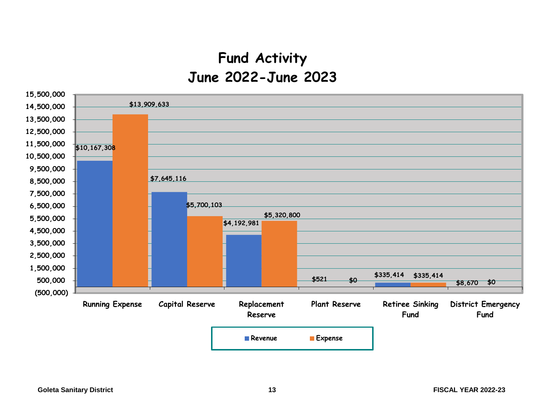### **Fund Activity June 2022-June 2023**

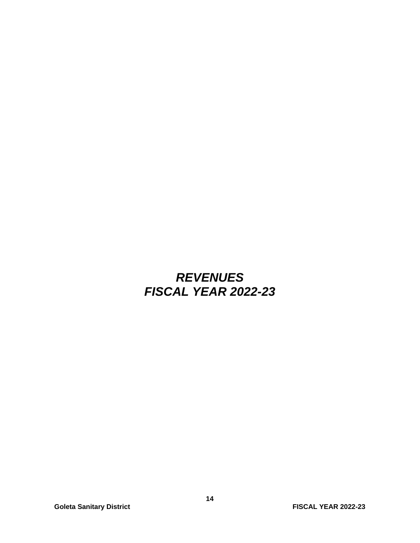### *REVENUES FISCAL YEAR 2022-23*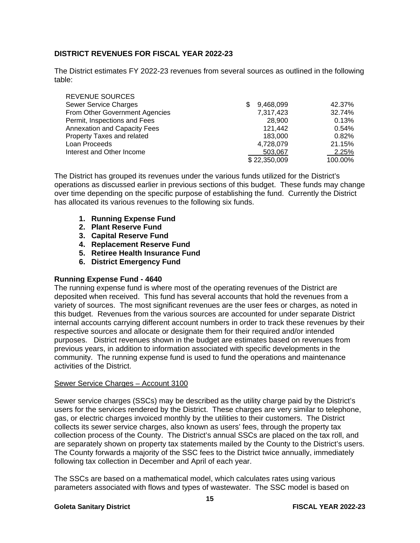#### **DISTRICT REVENUES FOR FISCAL YEAR 2022-23**

The District estimates FY 2022-23 revenues from several sources as outlined in the following table:

| <b>REVENUE SOURCES</b>              |                |         |
|-------------------------------------|----------------|---------|
| <b>Sewer Service Charges</b>        | 9,468,099<br>S | 42.37%  |
| From Other Government Agencies      | 7,317,423      | 32.74%  |
| Permit, Inspections and Fees        | 28,900         | 0.13%   |
| <b>Annexation and Capacity Fees</b> | 121.442        | 0.54%   |
| Property Taxes and related          | 183.000        | 0.82%   |
| Loan Proceeds                       | 4,728,079      | 21.15%  |
| Interest and Other Income           | 503,067        | 2.25%   |
|                                     | \$22,350,009   | 100.00% |

The District has grouped its revenues under the various funds utilized for the District's operations as discussed earlier in previous sections of this budget. These funds may change over time depending on the specific purpose of establishing the fund. Currently the District has allocated its various revenues to the following six funds.

- **1. Running Expense Fund**
- **2. Plant Reserve Fund**
- **3. Capital Reserve Fund**
- **4. Replacement Reserve Fund**
- **5. Retiree Health Insurance Fund**
- **6. District Emergency Fund**

#### **Running Expense Fund - 4640**

The running expense fund is where most of the operating revenues of the District are deposited when received. This fund has several accounts that hold the revenues from a variety of sources. The most significant revenues are the user fees or charges, as noted in this budget. Revenues from the various sources are accounted for under separate District internal accounts carrying different account numbers in order to track these revenues by their respective sources and allocate or designate them for their required and/or intended purposes. District revenues shown in the budget are estimates based on revenues from previous years, in addition to information associated with specific developments in the community. The running expense fund is used to fund the operations and maintenance activities of the District.

#### Sewer Service Charges – Account 3100

Sewer service charges (SSCs) may be described as the utility charge paid by the District's users for the services rendered by the District. These charges are very similar to telephone, gas, or electric charges invoiced monthly by the utilities to their customers. The District collects its sewer service charges, also known as users' fees, through the property tax collection process of the County. The District's annual SSCs are placed on the tax roll, and are separately shown on property tax statements mailed by the County to the District's users. The County forwards a majority of the SSC fees to the District twice annually, immediately following tax collection in December and April of each year.

The SSCs are based on a mathematical model, which calculates rates using various parameters associated with flows and types of wastewater. The SSC model is based on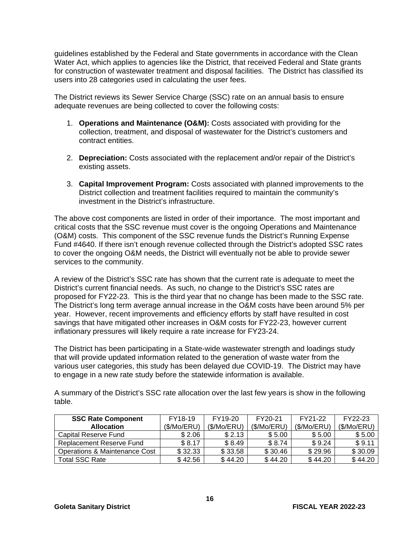guidelines established by the Federal and State governments in accordance with the Clean Water Act, which applies to agencies like the District, that received Federal and State grants for construction of wastewater treatment and disposal facilities. The District has classified its users into 28 categories used in calculating the user fees.

The District reviews its Sewer Service Charge (SSC) rate on an annual basis to ensure adequate revenues are being collected to cover the following costs:

- 1. **Operations and Maintenance (O&M):** Costs associated with providing for the collection, treatment, and disposal of wastewater for the District's customers and contract entities.
- 2. **Depreciation:** Costs associated with the replacement and/or repair of the District's existing assets.
- 3. **Capital Improvement Program:** Costs associated with planned improvements to the District collection and treatment facilities required to maintain the community's investment in the District's infrastructure.

The above cost components are listed in order of their importance. The most important and critical costs that the SSC revenue must cover is the ongoing Operations and Maintenance (O&M) costs. This component of the SSC revenue funds the District's Running Expense Fund #4640. If there isn't enough revenue collected through the District's adopted SSC rates to cover the ongoing O&M needs, the District will eventually not be able to provide sewer services to the community.

A review of the District's SSC rate has shown that the current rate is adequate to meet the District's current financial needs. As such, no change to the District's SSC rates are proposed for FY22-23. This is the third year that no change has been made to the SSC rate. The District's long term average annual increase in the O&M costs have been around 5% per year. However, recent improvements and efficiency efforts by staff have resulted in cost savings that have mitigated other increases in O&M costs for FY22-23, however current inflationary pressures will likely require a rate increase for FY23-24.

The District has been participating in a State-wide wastewater strength and loadings study that will provide updated information related to the generation of waste water from the various user categories, this study has been delayed due COVID-19. The District may have to engage in a new rate study before the statewide information is available.

A summary of the District's SSC rate allocation over the last few years is show in the following table.

| <b>SSC Rate Component</b>     | FY18-19     | FY19-20    | FY20-21    | FY21-22    | FY22-23    |
|-------------------------------|-------------|------------|------------|------------|------------|
| <b>Allocation</b>             | (\$/Mo/ERU) | (S/Mo/ERU) | (S/Mo/ERU) | (S/Mo/ERU) | (S/Mo/ERU) |
| Capital Reserve Fund          | \$2.06      | \$2.13     | \$5.00     | \$5.00     | \$5.00     |
| Replacement Reserve Fund      | \$ 8.17     | \$ 8.49    | \$8.74     | \$9.24     | \$9.11     |
| Operations & Maintenance Cost | \$32.33     | \$33.58    | \$30.46    | \$29.96    | \$30.09    |
| <b>Total SSC Rate</b>         | \$42.56     | \$44.20    | \$44.20    | \$44.20    | \$44.20    |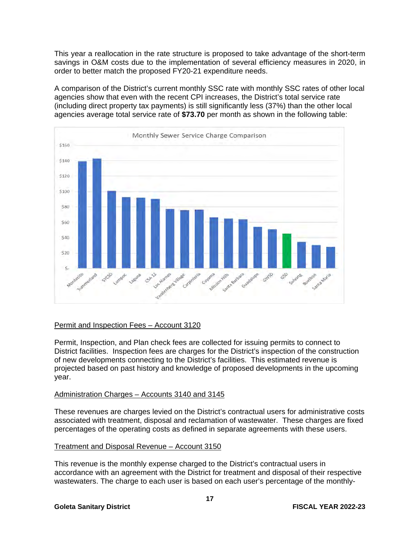This year a reallocation in the rate structure is proposed to take advantage of the short-term savings in O&M costs due to the implementation of several efficiency measures in 2020, in order to better match the proposed FY20-21 expenditure needs.

A comparison of the District's current monthly SSC rate with monthly SSC rates of other local agencies show that even with the recent CPI increases, the District's total service rate (including direct property tax payments) is still significantly less (37%) than the other local agencies average total service rate of **\$73.70** per month as shown in the following table:



#### Permit and Inspection Fees – Account 3120

Permit, Inspection, and Plan check fees are collected for issuing permits to connect to District facilities. Inspection fees are charges for the District's inspection of the construction of new developments connecting to the District's facilities. This estimated revenue is projected based on past history and knowledge of proposed developments in the upcoming year.

#### Administration Charges – Accounts 3140 and 3145

These revenues are charges levied on the District's contractual users for administrative costs associated with treatment, disposal and reclamation of wastewater. These charges are fixed percentages of the operating costs as defined in separate agreements with these users.

#### Treatment and Disposal Revenue – Account 3150

This revenue is the monthly expense charged to the District's contractual users in accordance with an agreement with the District for treatment and disposal of their respective wastewaters. The charge to each user is based on each user's percentage of the monthly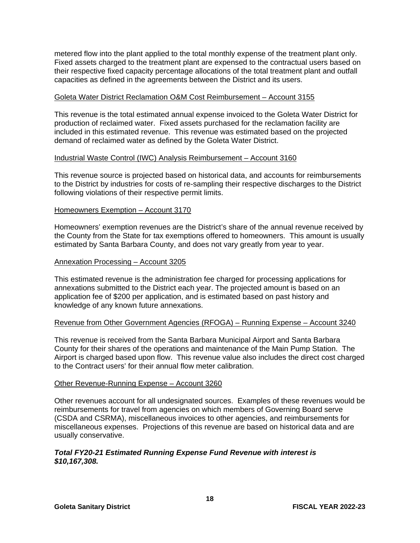metered flow into the plant applied to the total monthly expense of the treatment plant only. Fixed assets charged to the treatment plant are expensed to the contractual users based on their respective fixed capacity percentage allocations of the total treatment plant and outfall capacities as defined in the agreements between the District and its users.

#### Goleta Water District Reclamation O&M Cost Reimbursement – Account 3155

This revenue is the total estimated annual expense invoiced to the Goleta Water District for production of reclaimed water. Fixed assets purchased for the reclamation facility are included in this estimated revenue. This revenue was estimated based on the projected demand of reclaimed water as defined by the Goleta Water District.

#### Industrial Waste Control (IWC) Analysis Reimbursement – Account 3160

This revenue source is projected based on historical data, and accounts for reimbursements to the District by industries for costs of re-sampling their respective discharges to the District following violations of their respective permit limits.

#### Homeowners Exemption – Account 3170

Homeowners' exemption revenues are the District's share of the annual revenue received by the County from the State for tax exemptions offered to homeowners. This amount is usually estimated by Santa Barbara County, and does not vary greatly from year to year.

#### Annexation Processing – Account 3205

This estimated revenue is the administration fee charged for processing applications for annexations submitted to the District each year. The projected amount is based on an application fee of \$200 per application, and is estimated based on past history and knowledge of any known future annexations.

#### Revenue from Other Government Agencies (RFOGA) – Running Expense – Account 3240

This revenue is received from the Santa Barbara Municipal Airport and Santa Barbara County for their shares of the operations and maintenance of the Main Pump Station. The Airport is charged based upon flow. This revenue value also includes the direct cost charged to the Contract users' for their annual flow meter calibration.

#### Other Revenue-Running Expense – Account 3260

Other revenues account for all undesignated sources. Examples of these revenues would be reimbursements for travel from agencies on which members of Governing Board serve (CSDA and CSRMA), miscellaneous invoices to other agencies, and reimbursements for miscellaneous expenses. Projections of this revenue are based on historical data and are usually conservative.

#### *Total FY20-21 Estimated Running Expense Fund Revenue with interest is \$10,167,308.*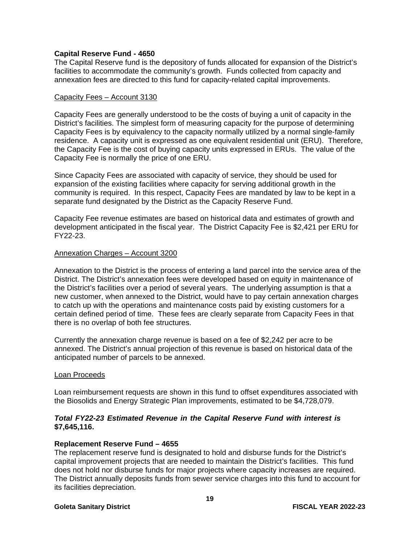#### **Capital Reserve Fund - 4650**

The Capital Reserve fund is the depository of funds allocated for expansion of the District's facilities to accommodate the community's growth. Funds collected from capacity and annexation fees are directed to this fund for capacity-related capital improvements.

#### Capacity Fees – Account 3130

Capacity Fees are generally understood to be the costs of buying a unit of capacity in the District's facilities. The simplest form of measuring capacity for the purpose of determining Capacity Fees is by equivalency to the capacity normally utilized by a normal single-family residence. A capacity unit is expressed as one equivalent residential unit (ERU). Therefore, the Capacity Fee is the cost of buying capacity units expressed in ERUs. The value of the Capacity Fee is normally the price of one ERU.

Since Capacity Fees are associated with capacity of service, they should be used for expansion of the existing facilities where capacity for serving additional growth in the community is required. In this respect, Capacity Fees are mandated by law to be kept in a separate fund designated by the District as the Capacity Reserve Fund.

Capacity Fee revenue estimates are based on historical data and estimates of growth and development anticipated in the fiscal year. The District Capacity Fee is \$2,421 per ERU for FY22-23.

#### Annexation Charges – Account 3200

Annexation to the District is the process of entering a land parcel into the service area of the District. The District's annexation fees were developed based on equity in maintenance of the District's facilities over a period of several years. The underlying assumption is that a new customer, when annexed to the District, would have to pay certain annexation charges to catch up with the operations and maintenance costs paid by existing customers for a certain defined period of time. These fees are clearly separate from Capacity Fees in that there is no overlap of both fee structures.

Currently the annexation charge revenue is based on a fee of \$2,242 per acre to be annexed. The District's annual projection of this revenue is based on historical data of the anticipated number of parcels to be annexed.

#### Loan Proceeds

Loan reimbursement requests are shown in this fund to offset expenditures associated with the Biosolids and Energy Strategic Plan improvements, estimated to be \$4,728,079.

#### *Total FY22-23 Estimated Revenue in the Capital Reserve Fund with interest is*  **\$7,645,116.**

#### **Replacement Reserve Fund – 4655**

The replacement reserve fund is designated to hold and disburse funds for the District's capital improvement projects that are needed to maintain the District's facilities. This fund does not hold nor disburse funds for major projects where capacity increases are required. The District annually deposits funds from sewer service charges into this fund to account for its facilities depreciation.

#### **Goleta Sanitary District FISCAL YEAR 2022-23**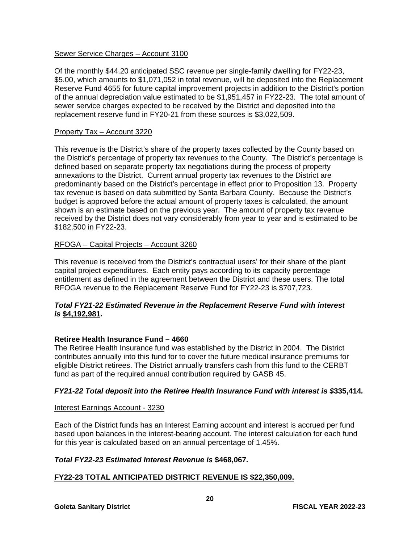#### Sewer Service Charges – Account 3100

Of the monthly \$44.20 anticipated SSC revenue per single-family dwelling for FY22-23, \$5.00, which amounts to \$1,071,052 in total revenue, will be deposited into the Replacement Reserve Fund 4655 for future capital improvement projects in addition to the District's portion of the annual depreciation value estimated to be \$1,951,457 in FY22-23. The total amount of sewer service charges expected to be received by the District and deposited into the replacement reserve fund in FY20-21 from these sources is \$3,022,509.

#### Property Tax – Account 3220

This revenue is the District's share of the property taxes collected by the County based on the District's percentage of property tax revenues to the County. The District's percentage is defined based on separate property tax negotiations during the process of property annexations to the District. Current annual property tax revenues to the District are predominantly based on the District's percentage in effect prior to Proposition 13. Property tax revenue is based on data submitted by Santa Barbara County. Because the District's budget is approved before the actual amount of property taxes is calculated, the amount shown is an estimate based on the previous year. The amount of property tax revenue received by the District does not vary considerably from year to year and is estimated to be \$182,500 in FY22-23.

#### RFOGA – Capital Projects – Account 3260

This revenue is received from the District's contractual users' for their share of the plant capital project expenditures. Each entity pays according to its capacity percentage entitlement as defined in the agreement between the District and these users. The total RFOGA revenue to the Replacement Reserve Fund for FY22-23 is \$707,723.

#### *Total FY21-22 Estimated Revenue in the Replacement Reserve Fund with interest is* **\$4,192,981***.*

#### **Retiree Health Insurance Fund – 4660**

The Retiree Health Insurance fund was established by the District in 2004. The District contributes annually into this fund for to cover the future medical insurance premiums for eligible District retirees. The District annually transfers cash from this fund to the CERBT fund as part of the required annual contribution required by GASB 45.

#### *FY21-22 Total deposit into the Retiree Health Insurance Fund with interest is \$***335,414***.*

#### Interest Earnings Account - 3230

Each of the District funds has an Interest Earning account and interest is accrued per fund based upon balances in the interest-bearing account. The interest calculation for each fund for this year is calculated based on an annual percentage of 1.45%.

#### *Total FY22-23 Estimated Interest Revenue is* **\$468,067***.*

#### **FY22-23 TOTAL ANTICIPATED DISTRICT REVENUE IS \$22,350,009.**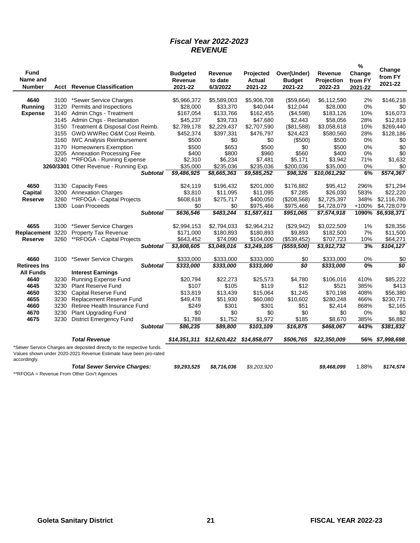#### *Fiscal Year 2022-2023 REVENUE*

| <b>Fund</b><br>Name and<br><b>Number</b> |              | <b>Acct</b> Revenue Classification                                                                                                          | <b>Budgeted</b><br><b>Revenue</b><br>2021-22 | Revenue<br>to date<br>6/3/2022 | Projected<br><b>Actual</b><br>2021-22 | Over(Under)<br><b>Budget</b><br>2021-22 | Revenue<br>Projection<br>2022-23 | %<br>Change<br>from FY<br>2021-22 | Change<br>from FY<br>2021-22 |
|------------------------------------------|--------------|---------------------------------------------------------------------------------------------------------------------------------------------|----------------------------------------------|--------------------------------|---------------------------------------|-----------------------------------------|----------------------------------|-----------------------------------|------------------------------|
| 4640                                     | 3100         | *Sewer Service Charges                                                                                                                      | \$5,966,372                                  | \$5,589,003                    | \$5,906,708                           | (\$59,664)                              | \$6,112,590                      | 2%                                | \$146,218                    |
| Running                                  | 3120         | Permits and Inspections                                                                                                                     | \$28,000                                     | \$33,370                       | \$40,044                              | \$12,044                                | \$28,000                         | 0%                                | \$0                          |
| <b>Expense</b>                           | 3140         | Admin Chgs - Treatment                                                                                                                      | \$167,054                                    | \$133,766                      | \$162,455                             | (\$4,598)                               | \$183,126                        | 10%                               | \$16,073                     |
|                                          | 3145         | Admin Chgs - Reclamation                                                                                                                    | \$45,237                                     | \$39,733                       | \$47,680                              | \$2,443                                 | \$58,056                         | 28%                               | \$12,819                     |
|                                          | 3150         | Treatment & Disposal Cost Reimb.                                                                                                            | \$2,789,178                                  | \$2,229,437                    | \$2,707,590                           | (\$81,588)                              | \$3,058,618                      | 10%                               | \$269,440                    |
|                                          | 3155         | GWD WWRec O&M Cost Reimb.                                                                                                                   | \$452,374                                    | \$397,331                      | \$476,797                             | \$24,423                                | \$580,560                        | 28%                               | \$128,186                    |
|                                          |              | 3160 IWC Analysis Reimbursement                                                                                                             | \$500                                        | \$0                            | \$0                                   | (\$500)                                 | \$500                            | 0%                                | \$0                          |
|                                          |              |                                                                                                                                             |                                              |                                |                                       |                                         |                                  |                                   |                              |
|                                          | 3170         | <b>Homeowners Exemption</b>                                                                                                                 | \$500                                        | \$653                          | \$500                                 | \$0                                     | \$500                            | 0%                                | \$0                          |
|                                          | 3205<br>3240 | Annexation Processing Fee<br>**RFOGA - Running Expense                                                                                      | \$400<br>\$2,310                             | \$800<br>\$6,234               | \$960<br>\$7,481                      | \$560<br>\$5,171                        | \$400<br>\$3,942                 | 0%<br>71%                         | \$0<br>\$1,632               |
|                                          |              | 3260/3301 Other Revenue - Running Exp.                                                                                                      | \$35,000                                     | \$235,036                      | \$235,036                             | \$200,036                               | \$35,000                         | 0%                                | \$0                          |
|                                          |              |                                                                                                                                             | \$9,486,925                                  | \$8,665,363                    | \$9,585,252                           | \$98,326                                | \$10,061,292                     | 6%                                | \$574,367                    |
|                                          |              | <b>Subtotal</b>                                                                                                                             |                                              |                                |                                       |                                         |                                  |                                   |                              |
| 4650                                     | 3130         | <b>Capacity Fees</b>                                                                                                                        | \$24,119                                     | \$196,432                      | \$201,000                             | \$176,882                               | \$95,412                         | 296%                              | \$71,294                     |
| <b>Capital</b>                           | 3200         | <b>Annexation Charges</b>                                                                                                                   | \$3,810                                      | \$11,095                       | \$11,095                              | \$7,285                                 | \$26,030                         | 583%                              | \$22,220                     |
| Reserve                                  | 3260         | **RFOGA - Capital Projects                                                                                                                  | \$608,618                                    | \$275,717                      | \$400,050                             | (\$208,568)                             | \$2,725,397                      | 348%                              | \$2,116,780                  |
|                                          | 1300         | Loan Proceeds                                                                                                                               | \$0                                          | \$0                            | \$975,466                             | \$975,466                               | \$4,728,079                      | +100%                             | \$4,728,079                  |
|                                          |              | <b>Subtotal</b>                                                                                                                             | \$636,546                                    | \$483,244                      | \$1,587,611                           | \$951,065                               | \$7,574,918                      | 1090%                             | \$6,938,371                  |
|                                          |              |                                                                                                                                             |                                              |                                |                                       |                                         |                                  |                                   |                              |
| 4655                                     | 3100         | *Sewer Service Charges                                                                                                                      | \$2,994,153                                  | \$2,794,033                    | \$2,964,212                           | (\$29,942)                              | \$3,022,509                      | 1%                                | \$28,356                     |
| Replacement 3220                         |              | Property Tax Revenue                                                                                                                        | \$171,000                                    | \$180,893                      | \$180,893                             | \$9,893                                 | \$182,500                        | 7%                                | \$11,500                     |
| Reserve                                  | 3260         | **RFOGA - Capital Projects                                                                                                                  | \$643,452                                    | \$74,090                       | \$104,000                             | (\$539,452)                             | \$707,723                        | 10%                               | \$64,271                     |
|                                          |              | <b>Subtotal</b>                                                                                                                             | 3,808,605                                    | \$3,049,016                    | \$3,249,105                           | $($ \$559,500)                          | $\sqrt{33,912,732}$              | 3%                                | \$104,127                    |
| 4660                                     | 3100         | *Sewer Service Charges                                                                                                                      | \$333.000                                    | \$333,000                      | \$333,000                             | \$0                                     | \$333,000                        | 0%                                | \$0                          |
| <b>Retirees Ins</b>                      |              | <b>Subtotal</b>                                                                                                                             | \$333,000                                    | \$333,000                      | \$333,000                             | \$0                                     | \$333,000                        | 0%                                | \$0                          |
| <b>All Funds</b>                         |              | <b>Interest Earnings</b>                                                                                                                    |                                              |                                |                                       |                                         |                                  |                                   |                              |
| 4640                                     | 3230         | Running Expense Fund                                                                                                                        | \$20,794                                     | \$22,273                       | \$25,573                              | \$4,780                                 | \$106,016                        | 410%                              | \$85,222                     |
| 4645                                     | 3230         | <b>Plant Reserve Fund</b>                                                                                                                   | \$107                                        | \$105                          | \$119                                 | \$12                                    | \$521                            | 385%                              | \$413                        |
| 4650                                     | 3230         | Capital Reserve Fund                                                                                                                        | \$13,819                                     | \$13,439                       | \$15,064                              | \$1,245                                 | \$70,198                         | 408%                              | \$56,380                     |
| 4655                                     | 3230         | Replacement Reserve Fund                                                                                                                    | \$49,478                                     | \$51,930                       | \$60,080                              | \$10,602                                | \$280,248                        | 466%                              | \$230,771                    |
| 4660                                     | 3230         | Retiree Health Insurance Fund                                                                                                               | \$249                                        | \$301                          | \$301                                 | \$51                                    | \$2,414                          | 868%                              | \$2,165                      |
| 4670                                     | 3230         | Plant Upgrading Fund                                                                                                                        | \$0                                          | \$0                            | \$0                                   | \$0                                     | \$0                              | 0%                                | \$0                          |
| 4675                                     | 3230         | <b>District Emergency Fund</b>                                                                                                              | \$1,788                                      | \$1,752                        | \$1,972                               | \$185                                   | \$8,670                          | 385%                              | \$6,882                      |
|                                          |              |                                                                                                                                             |                                              |                                |                                       |                                         |                                  |                                   |                              |
|                                          |              | <b>Subtotal</b>                                                                                                                             | \$86,235                                     | \$89,800                       | \$103,109                             | \$16,875                                | \$468,067                        | 443%                              | \$381,832                    |
|                                          |              | <b>Total Revenue</b>                                                                                                                        | \$14,351,311                                 |                                |                                       | \$506,765                               | \$22,350,009                     |                                   | 56% \$7,998,698              |
| accordingly.                             |              | *Sewer Service Charges are deposited directly to the respective funds.<br>Values shown under 2020-2021 Revenue Estimate have been pro-rated |                                              |                                |                                       |                                         |                                  |                                   |                              |
|                                          |              | <b>Total Sewer Service Charges:</b>                                                                                                         | \$9,293,525                                  | \$8,716,036                    | \$9,203,920                           |                                         | \$9,468,099                      | 1.88%                             | \$174,574                    |
|                                          |              |                                                                                                                                             |                                              |                                |                                       |                                         |                                  |                                   |                              |

\*\*RFOGA = Revenue From Other Gov't Agencies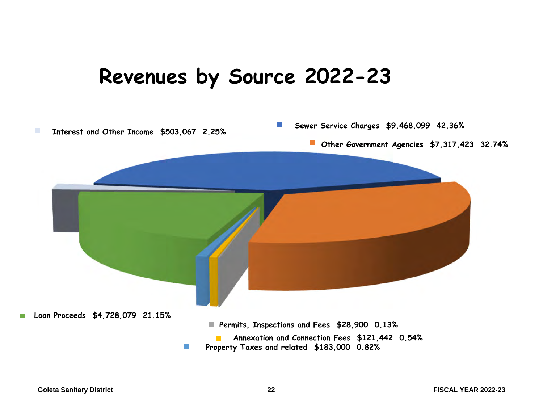## **Revenues by Source 2022-23**

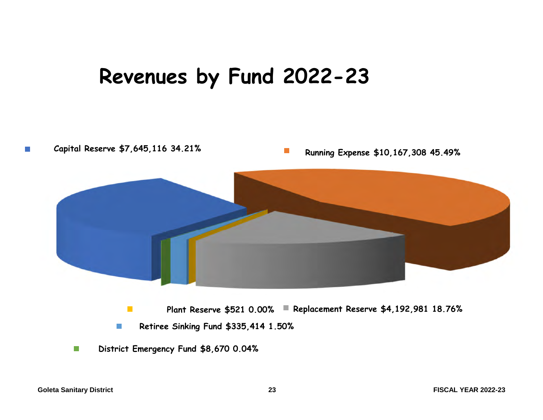## **Revenues by Fund 2022-23**

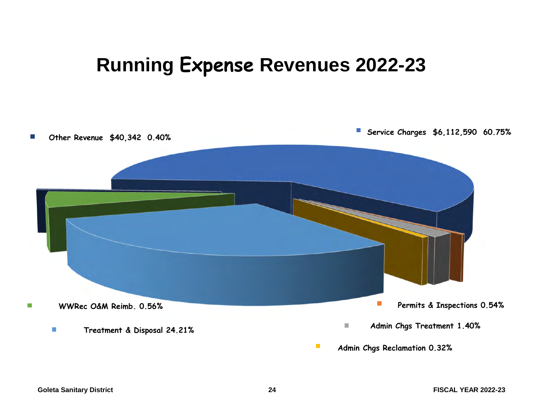## **Running Expense Revenues 2022-23**

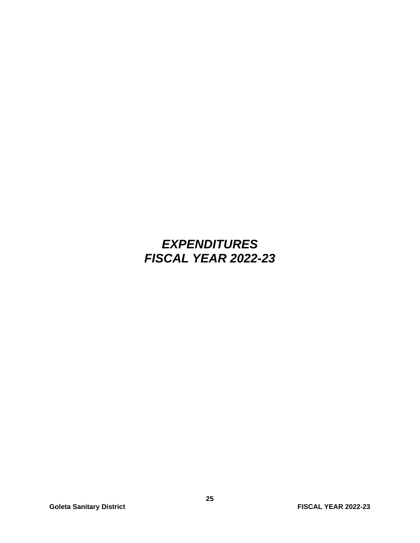### *EXPENDITURES FISCAL YEAR 2022-23*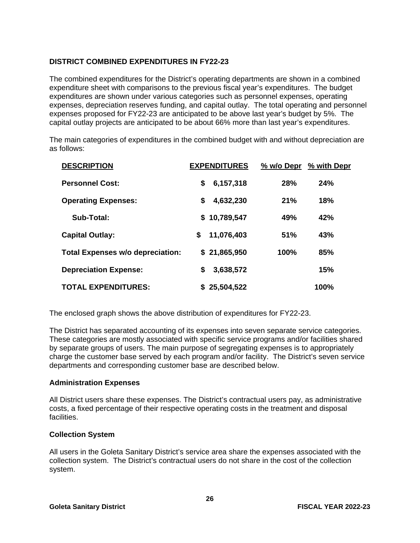#### **DISTRICT COMBINED EXPENDITURES IN FY22-23**

The combined expenditures for the District's operating departments are shown in a combined expenditure sheet with comparisons to the previous fiscal year's expenditures. The budget expenditures are shown under various categories such as personnel expenses, operating expenses, depreciation reserves funding, and capital outlay. The total operating and personnel expenses proposed for FY22-23 are anticipated to be above last year's budget by 5%. The capital outlay projects are anticipated to be about 66% more than last year's expenditures.

The main categories of expenditures in the combined budget with and without depreciation are as follows:

| <b>DESCRIPTION</b>                      | <b>EXPENDITURES</b> | % w/o Depr | % with Depr |
|-----------------------------------------|---------------------|------------|-------------|
| <b>Personnel Cost:</b>                  | \$<br>6,157,318     | 28%        | 24%         |
| <b>Operating Expenses:</b>              | \$<br>4,632,230     | 21%        | 18%         |
| Sub-Total:                              | \$10,789,547        | 49%        | 42%         |
| <b>Capital Outlay:</b>                  | \$<br>11,076,403    | 51%        | 43%         |
| <b>Total Expenses w/o depreciation:</b> | \$21,865,950        | 100%       | 85%         |
| <b>Depreciation Expense:</b>            | \$<br>3,638,572     |            | 15%         |
| <b>TOTAL EXPENDITURES:</b>              | \$25,504,522        |            | 100%        |

The enclosed graph shows the above distribution of expenditures for FY22-23.

The District has separated accounting of its expenses into seven separate service categories. These categories are mostly associated with specific service programs and/or facilities shared by separate groups of users. The main purpose of segregating expenses is to appropriately charge the customer base served by each program and/or facility. The District's seven service departments and corresponding customer base are described below.

#### **Administration Expenses**

All District users share these expenses. The District's contractual users pay, as administrative costs, a fixed percentage of their respective operating costs in the treatment and disposal facilities.

#### **Collection System**

All users in the Goleta Sanitary District's service area share the expenses associated with the collection system. The District's contractual users do not share in the cost of the collection system.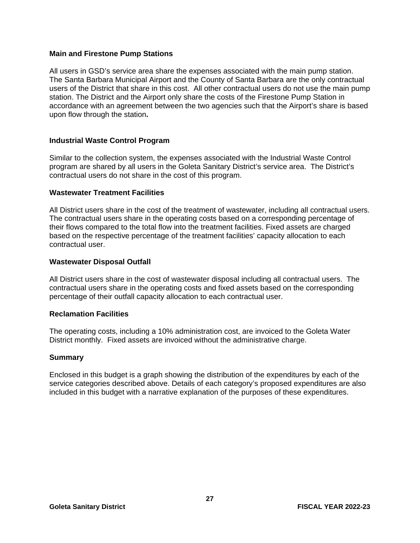#### **Main and Firestone Pump Stations**

All users in GSD's service area share the expenses associated with the main pump station. The Santa Barbara Municipal Airport and the County of Santa Barbara are the only contractual users of the District that share in this cost. All other contractual users do not use the main pump station. The District and the Airport only share the costs of the Firestone Pump Station in accordance with an agreement between the two agencies such that the Airport's share is based upon flow through the station**.** 

#### **Industrial Waste Control Program**

Similar to the collection system, the expenses associated with the Industrial Waste Control program are shared by all users in the Goleta Sanitary District's service area. The District's contractual users do not share in the cost of this program.

#### **Wastewater Treatment Facilities**

All District users share in the cost of the treatment of wastewater, including all contractual users. The contractual users share in the operating costs based on a corresponding percentage of their flows compared to the total flow into the treatment facilities. Fixed assets are charged based on the respective percentage of the treatment facilities' capacity allocation to each contractual user.

#### **Wastewater Disposal Outfall**

All District users share in the cost of wastewater disposal including all contractual users. The contractual users share in the operating costs and fixed assets based on the corresponding percentage of their outfall capacity allocation to each contractual user.

#### **Reclamation Facilities**

The operating costs, including a 10% administration cost, are invoiced to the Goleta Water District monthly. Fixed assets are invoiced without the administrative charge.

#### **Summary**

Enclosed in this budget is a graph showing the distribution of the expenditures by each of the service categories described above. Details of each category's proposed expenditures are also included in this budget with a narrative explanation of the purposes of these expenditures.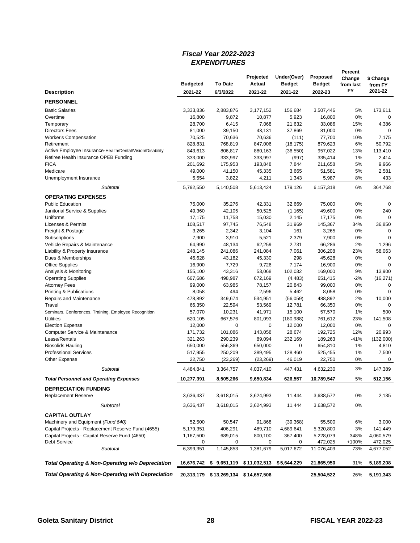#### *Fiscal Year 2022-2023 EXPENDITURES*

|                                                              |                 |                                      | Projected       | Under(Over)    | <b>Proposed</b> | Percent<br>Change |                      |
|--------------------------------------------------------------|-----------------|--------------------------------------|-----------------|----------------|-----------------|-------------------|----------------------|
|                                                              | <b>Budgeted</b> | To Date                              | <b>Actual</b>   | <b>Budget</b>  | <b>Budget</b>   | from last         | \$ Change<br>from FY |
| <b>Description</b>                                           | 2021-22         | 6/3/2022                             | 2021-22         | 2021-22        | 2022-23         | FY                | 2021-22              |
| <b>PERSONNEL</b>                                             |                 |                                      |                 |                |                 |                   |                      |
| <b>Basic Salaries</b>                                        | 3,333,836       | 2,883,876                            | 3,177,152       | 156,684        | 3,507,446       | 5%                | 173,611              |
| Overtime                                                     | 16,800          | 9,872                                | 10,877          | 5,923          | 16,800          | 0%                | $\Omega$             |
| Temporary                                                    | 28,700          | 6,415                                | 7,068           | 21,632         | 33,086          | 15%               | 4,386                |
| <b>Directors Fees</b>                                        | 81,000          | 39,150                               | 43,131          | 37,869         | 81,000          | 0%                | $\Omega$             |
| <b>Worker's Compensation</b>                                 | 70,525          | 70,636                               | 70,636          | (111)          | 77,700          | 10%               | 7,175                |
| Retirement                                                   | 828,831         | 768,819                              | 847,006         | (18, 175)      | 879,623         | 6%                | 50,792               |
| Active Employee Insurance-Health/Dental/Vision/Disability    | 843,613         | 806,817                              | 880,163         | (36, 550)      | 957,022         | 13%               | 113,410              |
| Retiree Health Insurance OPEB Funding                        | 333,000         | 333,997                              | 333,997         | (997)          | 335,414         | 1%                | 2,414                |
| <b>FICA</b>                                                  | 201,692         | 175,953                              | 193,848         | 7,844          | 211,658         | 5%                | 9,966                |
| Medicare                                                     | 49,000          | 41,150                               | 45,335          | 3,665          | 51,581          | 5%                | 2,581                |
| Unemployment Insurance                                       | 5,554           | 3,822                                | 4,211           | 1,343          | 5,987           | 8%                | 433                  |
| Subtotal                                                     | 5,792,550       | 5,140,508                            | 5,613,424       | 179,126        | 6,157,318       | 6%                | 364,768              |
| <b>OPERATING EXPENSES</b>                                    |                 |                                      |                 |                |                 |                   |                      |
| <b>Public Education</b>                                      | 75,000          | 35,276                               | 42,331          | 32,669         | 75,000          | 0%                | 0                    |
| Janitorial Service & Supplies                                | 49,360          | 42,105                               | 50,525          | (1, 165)       | 49,600          | 0%                | 240                  |
| Uniforms                                                     | 17,175          | 11,758                               | 15,030          | 2,145          | 17,175          | 0%                | $\mathbf 0$          |
| <b>Licenses &amp; Permits</b>                                | 108,517         | 97,745                               | 76,548          | 31,969         | 145,367         | 34%               | 36,850               |
| Freight & Postage                                            | 3,265           | 2,342                                | 3,104           | 161            | 3,265           | 0%                | 0<br>$\mathbf 0$     |
| Subscriptions<br>Vehicle Repairs & Maintenance               | 7,900<br>64,990 | 3,910<br>48,134                      | 5,521<br>62,259 | 2,379<br>2,731 | 7,900<br>66,286 | 0%<br>2%          | 1,296                |
| Liability & Property Insurance                               | 248,145         | 241,086                              | 241,084         | 7,061          | 306,208         | 23%               | 58,063               |
| Dues & Memberships                                           | 45,628          | 43,182                               | 45,330          | 298            | 45,628          | 0%                | 0                    |
| <b>Office Supplies</b>                                       | 16,900          | 7,729                                | 9,726           | 7,174          | 16,900          | 0%                | $\Omega$             |
| Analysis & Monitoring                                        | 155,100         | 43,316                               | 53,068          | 102,032        | 169,000         | 9%                | 13,900               |
| <b>Operating Supplies</b>                                    | 667,686         | 498,987                              | 672,169         | (4, 483)       | 651,415         | $-2%$             | (16, 271)            |
| <b>Attorney Fees</b>                                         | 99,000          | 63,985                               | 78,157          | 20,843         | 99,000          | 0%                | $\mathbf 0$          |
| Printing & Publications                                      | 8,058           | 494                                  | 2,596           | 5,462          | 8,058           | 0%                | $\mathbf 0$          |
| Repairs and Maintenance                                      | 478,892         | 349,674                              | 534,951         | (56,059)       | 488,892         | 2%                | 10,000               |
| Travel                                                       | 66,350          | 22,594                               | 53,569          | 12,781         | 66,350          | 0%                | $\Omega$             |
| Seminars, Conferences, Training, Employee Recognition        | 57,070          | 10,231                               | 41,971          | 15,100         | 57,570          | 1%                | 500                  |
| <b>Utilities</b>                                             | 620,105         | 667,576                              | 801,093         | (180, 988)     | 761,612         | 23%               | 141,508              |
| <b>Election Expense</b>                                      | 12,000          | 0                                    | 0               | 12,000         | 12,000          | 0%                | 0                    |
| Computer Service & Maintenance                               | 171,732         | 101,086                              | 143,058         | 28,674         | 192,725         | 12%               | 20,993               |
| Lease/Rentals                                                | 321,263         | 290,239                              | 89,094          | 232,169        | 189,263         | -41%              | (132,000)            |
| <b>Biosolids Hauling</b>                                     | 650,000         | 556,369                              | 650,000         | 0              | 654,810         | 1%                | 4,810                |
| <b>Professional Services</b>                                 | 517,955         | 250,209                              | 389,495         | 128,460        | 525,455         | 1%                | 7,500                |
| Other Expense                                                | 22,750          | (23, 269)                            | (23, 269)       | 46,019         | 22,750          | 0%                | $\mathbf 0$          |
| Subtotal                                                     | 4,484,841       | 3,364,757                            | 4,037,410       | 447,431        | 4,632,230       | 3%                | 147,389              |
| Total Personnel and Operating Expenses                       | 10,277,391      | 8,505,266                            | 9,650,834       | 626,557        | 10,789,547      | 5%                | 512,156              |
| <b>DEPRECIATION FUNDING</b>                                  |                 |                                      |                 |                |                 |                   |                      |
| <b>Replacement Reserve</b>                                   | 3,636,437       | 3,618,015                            | 3,624,993       | 11,444         | 3,638,572       | 0%                | 2,135                |
| Subtotal                                                     | 3,636,437       | 3,618,015                            | 3,624,993       | 11,444         | 3,638,572       | 0%                |                      |
| <b>CAPITAL OUTLAY</b>                                        |                 |                                      |                 |                |                 |                   |                      |
| Machinery and Equipment (Fund 640)                           | 52,500          | 50,547                               | 91,868          | (39, 368)      | 55,500          | 6%                | 3,000                |
| Capital Projects - Replacement Reserve Fund (4655)           | 5,179,351       | 406,291                              | 489,710         | 4,689,641      | 5,320,800       | 3%                | 141,449              |
| Capital Projects - Capital Reserve Fund (4650)               | 1,167,500       | 689,015                              | 800,100         | 367,400        | 5,228,079       | 348%              | 4,060,579            |
| <b>Debt Service</b>                                          | 0               | 0                                    | 0               | 0              | 472,025         | +100%             | 472,025              |
| Subtotal                                                     | 6,399,351       | 1,145,853                            | 1,381,679       | 5,017,672      | 11,076,403      | 73%               | 4,677,052            |
| Total Operating & Non-Operating w/o Depreciation             | 16,676,742      | \$9,651,119                          | \$11,032,513    | \$5,644,229    | 21,865,950      | 31%               | 5,189,208            |
| <b>Total Operating &amp; Non-Operating with Depreciation</b> |                 | 20,313,179 \$13,269,134 \$14,657,506 |                 |                | 25,504,522      | 26%               | 5,191,343            |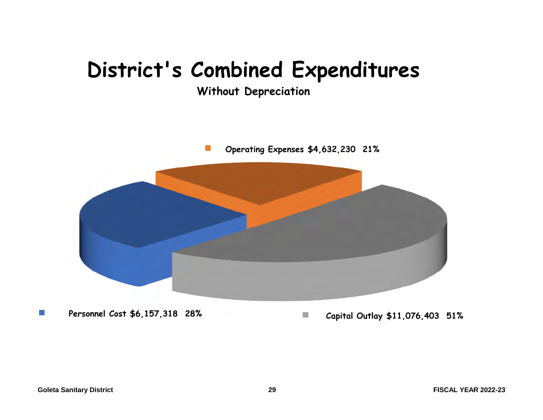## **District's Combined Expenditures**

**Without Depreciation**

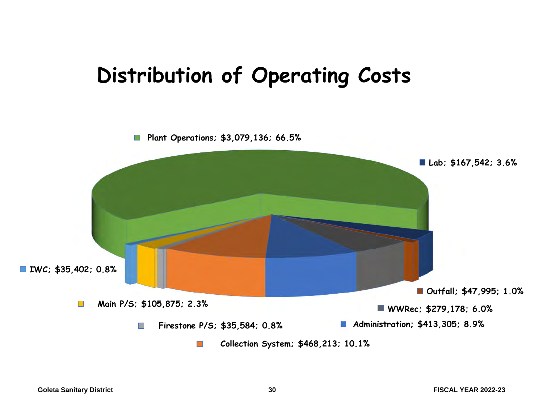## **Distribution of Operating Costs**

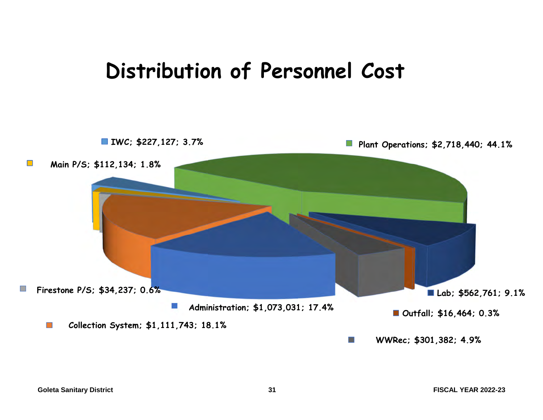## **Distribution of Personnel Cost**

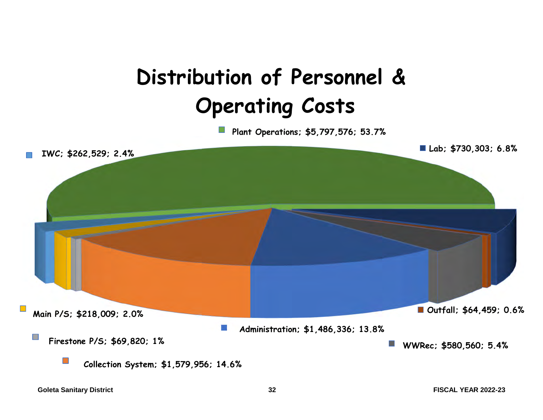# **Distribution of Personnel & Operating Costs**

**Plant Operations; \$5,797,576; 53.7%**

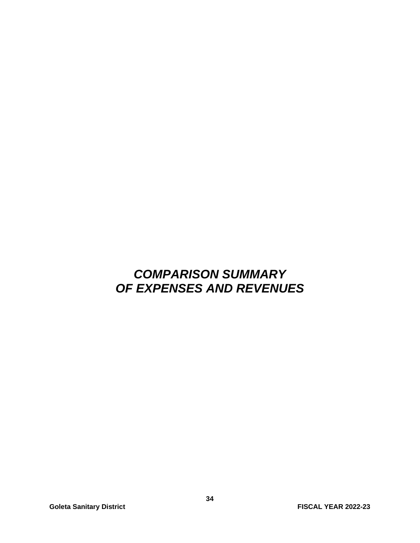### *COMPARISON SUMMARY OF EXPENSES AND REVENUES*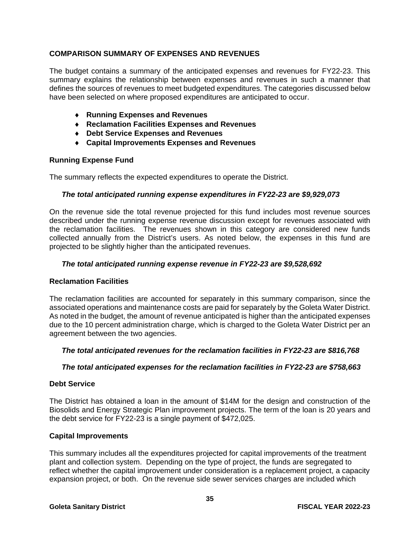#### **COMPARISON SUMMARY OF EXPENSES AND REVENUES**

The budget contains a summary of the anticipated expenses and revenues for FY22-23. This summary explains the relationship between expenses and revenues in such a manner that defines the sources of revenues to meet budgeted expenditures. The categories discussed below have been selected on where proposed expenditures are anticipated to occur.

- **Running Expenses and Revenues**
- **Reclamation Facilities Expenses and Revenues**
- **Debt Service Expenses and Revenues**
- **Capital Improvements Expenses and Revenues**

#### **Running Expense Fund**

The summary reflects the expected expenditures to operate the District.

#### *The total anticipated running expense expenditures in FY22-23 are \$9,929,073*

On the revenue side the total revenue projected for this fund includes most revenue sources described under the running expense revenue discussion except for revenues associated with the reclamation facilities. The revenues shown in this category are considered new funds collected annually from the District's users. As noted below, the expenses in this fund are projected to be slightly higher than the anticipated revenues.

#### *The total anticipated running expense revenue in FY22-23 are \$9,528,692*

#### **Reclamation Facilities**

The reclamation facilities are accounted for separately in this summary comparison, since the associated operations and maintenance costs are paid for separately by the Goleta Water District. As noted in the budget, the amount of revenue anticipated is higher than the anticipated expenses due to the 10 percent administration charge, which is charged to the Goleta Water District per an agreement between the two agencies.

#### *The total anticipated revenues for the reclamation facilities in FY22-23 are \$816,768*

#### *The total anticipated expenses for the reclamation facilities in FY22-23 are \$758,663*

#### **Debt Service**

The District has obtained a loan in the amount of \$14M for the design and construction of the Biosolids and Energy Strategic Plan improvement projects. The term of the loan is 20 years and the debt service for FY22-23 is a single payment of \$472,025.

#### **Capital Improvements**

This summary includes all the expenditures projected for capital improvements of the treatment plant and collection system. Depending on the type of project, the funds are segregated to reflect whether the capital improvement under consideration is a replacement project, a capacity expansion project, or both. On the revenue side sewer services charges are included which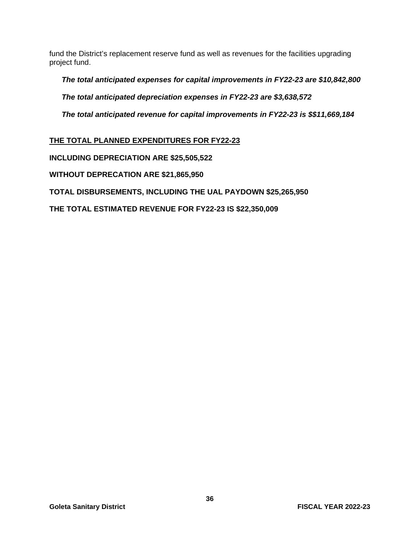fund the District's replacement reserve fund as well as revenues for the facilities upgrading project fund.

*The total anticipated expenses for capital improvements in FY22-23 are \$10,842,800* 

*The total anticipated depreciation expenses in FY22-23 are \$3,638,572* 

*The total anticipated revenue for capital improvements in FY22-23 is \$\$11,669,184* 

**THE TOTAL PLANNED EXPENDITURES FOR FY22-23** 

**INCLUDING DEPRECIATION ARE \$25,505,522** 

**WITHOUT DEPRECATION ARE \$21,865,950** 

**TOTAL DISBURSEMENTS, INCLUDING THE UAL PAYDOWN \$25,265,950** 

**THE TOTAL ESTIMATED REVENUE FOR FY22-23 IS \$22,350,009**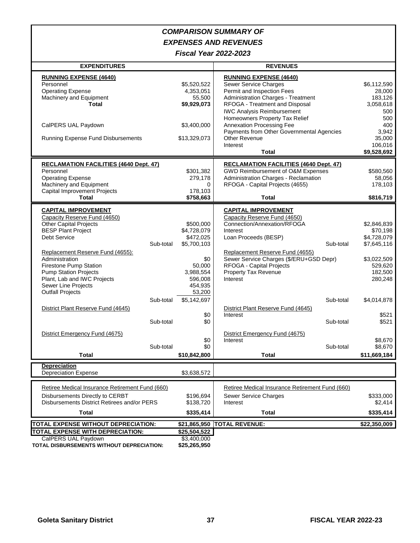#### *COMPARISON SUMMARY OF EXPENSES AND REVENUES*

*Fiscal Year 2022-2023*

| <b>EXPENDITURES</b>                                                                                                                                                                                                                                                                                                                                                                                                                                                            |                                                                                                                                                                               | <b>REVENUES</b>                                                                                                                                                                                                                                                                                                                                                                                                                                 |                                                                                                                                                                              |
|--------------------------------------------------------------------------------------------------------------------------------------------------------------------------------------------------------------------------------------------------------------------------------------------------------------------------------------------------------------------------------------------------------------------------------------------------------------------------------|-------------------------------------------------------------------------------------------------------------------------------------------------------------------------------|-------------------------------------------------------------------------------------------------------------------------------------------------------------------------------------------------------------------------------------------------------------------------------------------------------------------------------------------------------------------------------------------------------------------------------------------------|------------------------------------------------------------------------------------------------------------------------------------------------------------------------------|
| <b>RUNNING EXPENSE (4640)</b><br>Personnel<br><b>Operating Expense</b><br>Machinery and Equipment<br>Total                                                                                                                                                                                                                                                                                                                                                                     | \$5,520,522<br>4,353,051<br>55,500<br>\$9,929,073                                                                                                                             | <b>RUNNING EXPENSE (4640)</b><br>Sewer Service Charges<br>Permit and Inspection Fees<br>Administration Charges - Treatment<br>RFOGA - Treatment and Disposal<br><b>IWC Analysis Reimbursement</b>                                                                                                                                                                                                                                               | \$6,112,590<br>28,000<br>183,126<br>3,058,618<br>500                                                                                                                         |
| CalPERS UAL Paydown<br><b>Running Expense Fund Disbursements</b>                                                                                                                                                                                                                                                                                                                                                                                                               | \$3,400,000<br>\$13,329,073                                                                                                                                                   | Homeowners Property Tax Relief<br>Annexation Processing Fee<br>Payments from Other Governmental Agencies<br>Other Revenue<br>Interest                                                                                                                                                                                                                                                                                                           | 500<br>400<br>3,942<br>35,000<br>106,016                                                                                                                                     |
|                                                                                                                                                                                                                                                                                                                                                                                                                                                                                |                                                                                                                                                                               | <b>Total</b>                                                                                                                                                                                                                                                                                                                                                                                                                                    | \$9,528,692                                                                                                                                                                  |
| <b>RECLAMATION FACILITIES (4640 Dept. 47)</b><br>Personnel<br><b>Operating Expense</b><br>Machinery and Equipment<br><b>Capital Improvement Projects</b>                                                                                                                                                                                                                                                                                                                       | \$301,382<br>279,178<br>$\Omega$<br>178,103                                                                                                                                   | <b>RECLAMATION FACILITIES (4640 Dept. 47)</b><br>GWD Reimbursement of O&M Expenses<br>Administration Charges - Reclamation<br>RFOGA - Capital Projects (4655)                                                                                                                                                                                                                                                                                   | \$580,560<br>58,056<br>178,103                                                                                                                                               |
| Total                                                                                                                                                                                                                                                                                                                                                                                                                                                                          | \$758,663                                                                                                                                                                     | <b>Total</b>                                                                                                                                                                                                                                                                                                                                                                                                                                    | \$816,719                                                                                                                                                                    |
| <b>CAPITAL IMPROVEMENT</b><br>Capacity Reserve Fund (4650)<br><b>Other Capital Projects</b><br><b>BESP Plant Project</b><br>Debt Service<br>Sub-total<br>Replacement Reserve Fund (4655):<br>Administration<br>Firestone Pump Station<br><b>Pump Station Projects</b><br>Plant, Lab and IWC Projects<br>Sewer Line Projects<br><b>Outfall Projects</b><br>Sub-total<br>District Plant Reserve Fund (4645)<br>Sub-total<br>District Emergency Fund (4675)<br>Sub-total<br>Total | \$500,000<br>\$4,728,079<br>\$472,025<br>\$5,700,103<br>\$0<br>50,000<br>3,988,554<br>596,008<br>454,935<br>53,200<br>\$5,142,697<br>\$0<br>\$0<br>\$0<br>\$0<br>\$10,842,800 | <b>CAPITAL IMPROVEMENT</b><br>Capacity Reserve Fund (4650)<br>Connection/Annexation/RFOGA<br>Interest<br>Loan Proceeds (BESP)<br>Sub-total<br>Replacement Reserve Fund (4655)<br>Sewer Service Charges (\$/ERU+GSD Depr)<br>RFOGA - Capital Projects<br>Property Tax Revenue<br>Interest<br>Sub-total<br>District Plant Reserve Fund (4645)<br>Interest<br>Sub-total<br>District Emergency Fund (4675)<br>Interest<br>Sub-total<br><b>Total</b> | \$2,846,839<br>\$70,198<br>\$4,728,079<br>\$7,645,116<br>\$3,022,509<br>529,620<br>182,500<br>280,248<br>\$4,014,878<br>\$521<br>\$521<br>\$8,670<br>\$8,670<br>\$11,669,184 |
| <b>Depreciation</b>                                                                                                                                                                                                                                                                                                                                                                                                                                                            |                                                                                                                                                                               |                                                                                                                                                                                                                                                                                                                                                                                                                                                 |                                                                                                                                                                              |
| <b>Depreciation Expense</b>                                                                                                                                                                                                                                                                                                                                                                                                                                                    | \$3,638,572                                                                                                                                                                   |                                                                                                                                                                                                                                                                                                                                                                                                                                                 |                                                                                                                                                                              |
| Retiree Medical Insurance Retirement Fund (660)<br>Disbursements Directly to CERBT<br>Disbursements District Retirees and/or PERS<br>Total                                                                                                                                                                                                                                                                                                                                     | \$196,694<br>\$138,720<br>\$335,414                                                                                                                                           | Retiree Medical Insurance Retirement Fund (660)<br>Sewer Service Charges<br>Interest<br><b>Total</b>                                                                                                                                                                                                                                                                                                                                            | \$333,000<br>\$2,414<br>\$335,414                                                                                                                                            |
| <b>TOTAL EXPENSE WITHOUT DEPRECIATION:</b>                                                                                                                                                                                                                                                                                                                                                                                                                                     |                                                                                                                                                                               | \$21,865,950 TOTAL REVENUE:                                                                                                                                                                                                                                                                                                                                                                                                                     | $\overline{$22,350,009}$                                                                                                                                                     |
| <b>TOTAL EXPENSE WITH DEPRECIATION:</b><br>CalPERS UAL Paydown<br>TOTAL DISBURSEMENTS WITHOUT DEPRECIATION:                                                                                                                                                                                                                                                                                                                                                                    | \$25,504,522<br>\$3,400,000<br>\$25,265,950                                                                                                                                   |                                                                                                                                                                                                                                                                                                                                                                                                                                                 |                                                                                                                                                                              |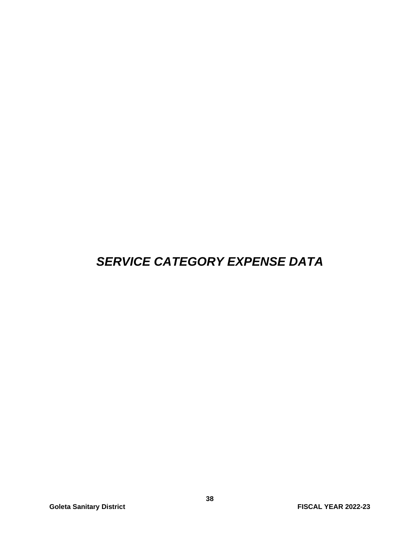### *SERVICE CATEGORY EXPENSE DATA*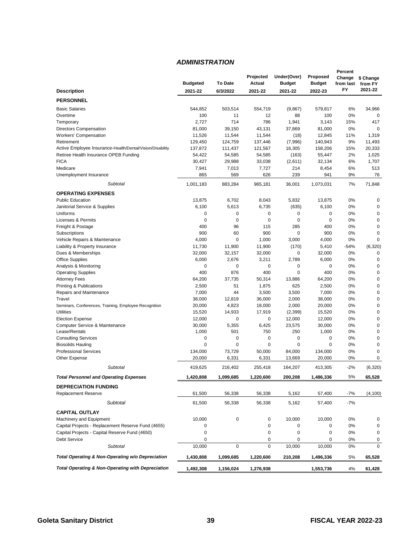#### *ADMINISTRATION*

|                                                              |                 |                | Projected   | Under(Over)   | Proposed      | Percent<br>Change | \$ Change   |
|--------------------------------------------------------------|-----------------|----------------|-------------|---------------|---------------|-------------------|-------------|
|                                                              | <b>Budgeted</b> | <b>To Date</b> | Actual      | <b>Budget</b> | <b>Budget</b> | from last         | from FY     |
| <b>Description</b>                                           | 2021-22         | 6/3/2022       | 2021-22     | 2021-22       | 2022-23       | FY                | 2021-22     |
| <b>PERSONNEL</b>                                             |                 |                |             |               |               |                   |             |
| <b>Basic Salaries</b>                                        | 544,852         | 503,514        | 554,719     | (9,867)       | 579,817       | 6%                | 34,966      |
| Overtime                                                     | 100             | 11             | 12          | 88            | 100           | 0%                | $\mathbf 0$ |
| Temporary                                                    | 2,727           | 714            | 786         | 1,941         | 3,143         | 15%               | 417         |
| Directors Compensation                                       | 81,000          | 39,150         | 43,131      | 37,869        | 81,000        | 0%                | $\mathbf 0$ |
| <b>Workers' Compensation</b>                                 | 11,526          | 11,544         | 11,544      | (18)          | 12,845        | 11%               | 1,319       |
| Retirement                                                   | 129,450         | 124,759        | 137,446     | (7,996)       | 140,943       | 9%                | 11,493      |
| Active Employee Insurance-Health/Dental/Vision/Disability    | 137,872         | 111,437        | 121,567     | 16,305        | 158,206       | 15%               | 20,333      |
| Retiree Health Insurance OPEB Funding                        | 54,422          | 54,585         | 54,585      | (163)         | 55,447        | 2%                | 1,025       |
| <b>FICA</b>                                                  | 30,427          | 29,988         | 33,038      | (2,611)       | 32,134        | 6%                | 1,707       |
| Medicare                                                     | 7,941           | 7,013          | 7,727       | 214           | 8,454         | 6%                | 513         |
| Unemployment Insurance                                       | 865             | 569            | 626         | 239           | 941           | 9%                | 76          |
| Subtotal                                                     | 1,001,183       | 883,284        | 965,181     | 36,001        | 1,073,031     | 7%                | 71,848      |
| <b>OPERATING EXPENSES</b>                                    |                 |                |             |               |               |                   |             |
| <b>Public Education</b>                                      | 13,875          | 6,702          | 8,043       | 5,832         | 13,875        | 0%                | $\mathbf 0$ |
| Janitorial Service & Supplies                                | 6,100           | 5,613          | 6,735       | (635)         | 6,100         | 0%                | $\mathbf 0$ |
| Uniforms                                                     | 0               | 0              | 0           | $\mathbf 0$   | 0             | 0%                | 0           |
| Licenses & Permits                                           | 0               | $\mathbf 0$    | $\mathbf 0$ | $\mathbf 0$   | 0             | 0%                | $\mathbf 0$ |
| Freight & Postage                                            | 400             | 96             | 115         | 285           | 400           | 0%                | $\mathbf 0$ |
| Subscriptions                                                | 900             | 60             | 900         | 0             | 900           | 0%                | $\mathbf 0$ |
| Vehicle Repairs & Maintenance                                | 4,000           | 0              | 1,000       | 3,000         | 4,000         | 0%                | $\mathbf 0$ |
| Liability & Property Insurance                               | 11,730          | 11,900         | 11,900      | (170)         | 5,410         | $-54%$            | (6, 320)    |
| Dues & Memberships                                           | 32,000          | 32,157         | 32,000      | 0             | 32,000        | 0%                | $\mathbf 0$ |
| <b>Office Supplies</b>                                       | 6,000           | 2,676          | 3,211       | 2,789         | 6,000         | 0%                | $\mathbf 0$ |
| Analysis & Monitoring                                        | 0               | 0              | 0           | 0             | 0             | 0%                | $\mathbf 0$ |
| <b>Operating Supplies</b>                                    | 400             | 876            | 400         | $\mathbf 0$   | 400           | 0%                | $\mathbf 0$ |
| <b>Attorney Fees</b>                                         | 64,200          | 37,735         | 50,314      | 13,886        | 64,200        | 0%                | $\mathbf 0$ |
| <b>Printing &amp; Publications</b>                           | 2,500           | 51             | 1,875       | 625           | 2,500         | 0%                | $\mathbf 0$ |
| Repairs and Maintenance                                      | 7,000           | 44             | 3,500       | 3,500         | 7,000         | 0%                | $\mathbf 0$ |
| Travel                                                       | 38,000          | 12,819         | 36,000      | 2,000         | 38,000        | 0%                | $\mathbf 0$ |
| Seminars, Conferences, Training, Employee Recognition        | 20,000          | 4,823          | 18,000      | 2,000         | 20,000        | 0%                | $\mathbf 0$ |
| <b>Utilities</b>                                             | 15,520          | 14,933         | 17,919      | (2, 399)      | 15,520        | 0%                | 0           |
| <b>Election Expense</b>                                      | 12,000          | 0              | 0           | 12,000        | 12,000        | 0%                | $\mathbf 0$ |
| Computer Service & Maintenance                               | 30,000          | 5,355          | 6,425       | 23,575        | 30,000        | 0%                | $\mathbf 0$ |
| Lease/Rentals                                                | 1,000           | 501            | 750         | 250           | 1,000         | 0%                | 0           |
| <b>Consulting Services</b>                                   | 0               | 0              | 0           | $\mathbf 0$   | 0             | 0%                | $\mathbf 0$ |
| <b>Biosolids Hauling</b>                                     | 0               | 0              | 0           | $\mathbf 0$   | $\mathbf 0$   | 0%                | 0           |
| <b>Professional Services</b>                                 | 134,000         | 73,729         | 50,000      | 84,000        | 134,000       | 0%                | $\mathbf 0$ |
| Other Expense                                                | 20,000          | 6,331          | 6,331       | 13,669        | 20,000        | 0%                | $\mathbf 0$ |
| Subtotal                                                     | 419,625         | 216,402        | 255,418     | 164,207       | 413,305       | $-2%$             | (6, 320)    |
| <b>Total Personnel and Operating Expenses</b>                | 1,420,808       | 1.099.685      | 1.220.600   | 200.208       | 1,486,336     | 5%                | 65.528      |
| <b>DEPRECIATION FUNDING</b>                                  |                 |                |             |               |               |                   |             |
| <b>Replacement Reserve</b>                                   | 61,500          | 56,338         | 56,338      | 5,162         | 57,400        | $-7%$             | (4, 100)    |
| Subtotal                                                     | 61,500          | 56,338         | 56,338      | 5,162         | 57,400        | $-7%$             |             |
| <b>CAPITAL OUTLAY</b>                                        |                 |                |             |               |               |                   |             |
| Machinery and Equipment                                      | 10,000          | 0              | 0           | 10,000        | 10,000        | 0%                | 0           |
| Capital Projects - Replacement Reserve Fund (4655)           | 0               |                | 0           | 0             | 0             | 0%                | 0           |
| Capital Projects - Capital Reserve Fund (4650)               |                 |                | 0           | $\mathbf 0$   |               | 0%                | $\mathbf 0$ |
| Debt Service                                                 | 0               |                | 0           | 0             | 0             |                   |             |
| Subtotal                                                     | 0<br>10,000     | 0              | 0           | 10,000        | 0<br>10,000   | 0%<br>0%          | 0<br>0      |
| Total Operating & Non-Operating w/o Depreciation             | 1,430,808       | 1,099,685      |             | 210,208       |               | 5%                |             |
|                                                              |                 |                | 1,220,600   |               | 1,496,336     |                   | 65,528      |
| <b>Total Operating &amp; Non-Operating with Depreciation</b> | 1,492,308       | 1,156,024      | 1,276,938   |               | 1,553,736     | 4%                | 61,428      |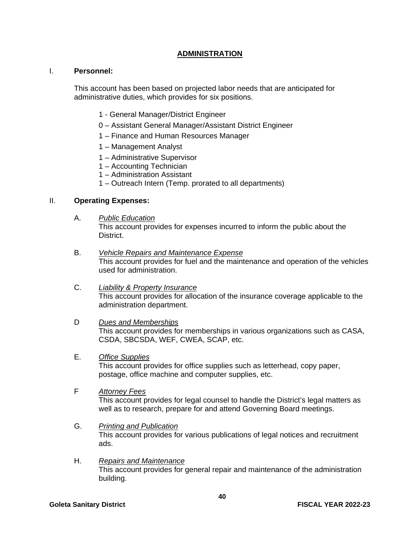#### **ADMINISTRATION**

#### I. **Personnel:**

This account has been based on projected labor needs that are anticipated for administrative duties, which provides for six positions.

- 1 General Manager/District Engineer
- 0 Assistant General Manager/Assistant District Engineer
- 1 Finance and Human Resources Manager
- 1 Management Analyst
- 1 Administrative Supervisor
- 1 Accounting Technician
- 1 Administration Assistant
- 1 Outreach Intern (Temp. prorated to all departments)

#### II. **Operating Expenses:**

A. *Public Education* 

This account provides for expenses incurred to inform the public about the District.

- B. *Vehicle Repairs and Maintenance Expense* This account provides for fuel and the maintenance and operation of the vehicles used for administration.
- C. *Liability & Property Insurance* This account provides for allocation of the insurance coverage applicable to the administration department.
- D *Dues and Memberships*

This account provides for memberships in various organizations such as CASA, CSDA, SBCSDA, WEF, CWEA, SCAP, etc.

E. *Office Supplies*

This account provides for office supplies such as letterhead, copy paper, postage, office machine and computer supplies, etc.

F *Attorney Fees*

This account provides for legal counsel to handle the District's legal matters as well as to research, prepare for and attend Governing Board meetings.

- G. *Printing and Publication* This account provides for various publications of legal notices and recruitment ads.
- H. *Repairs and Maintenance*  This account provides for general repair and maintenance of the administration building.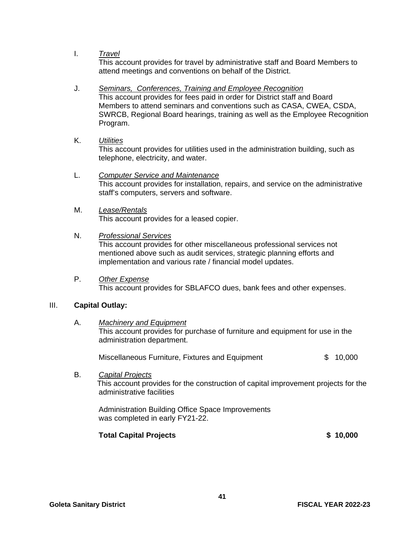I. *Travel* 

This account provides for travel by administrative staff and Board Members to attend meetings and conventions on behalf of the District.

#### J. *Seminars, Conferences, Training and Employee Recognition*

 This account provides for fees paid in order for District staff and Board Members to attend seminars and conventions such as CASA, CWEA, CSDA, SWRCB, Regional Board hearings, training as well as the Employee Recognition Program.

K. *Utilities*

This account provides for utilities used in the administration building, such as telephone, electricity, and water.

- L. *Computer Service and Maintenance* This account provides for installation, repairs, and service on the administrative staff's computers, servers and software.
- M. *Lease/Rentals* This account provides for a leased copier.

#### N. *Professional Services*

This account provides for other miscellaneous professional services not mentioned above such as audit services, strategic planning efforts and implementation and various rate / financial model updates.

P. *Other Expense* This account provides for SBLAFCO dues, bank fees and other expenses.

#### III. **Capital Outlay:**

A. *Machinery and Equipment* This account provides for purchase of furniture and equipment for use in the administration department.

| Miscellaneous Furniture, Fixtures and Equipment | \$10,000 |
|-------------------------------------------------|----------|
|-------------------------------------------------|----------|

B. *Capital Projects* This account provides for the construction of capital improvement projects for the administrative facilities

 Administration Building Office Space Improvements was completed in early FY21-22.

#### **Total Capital Projects \$ 10,000**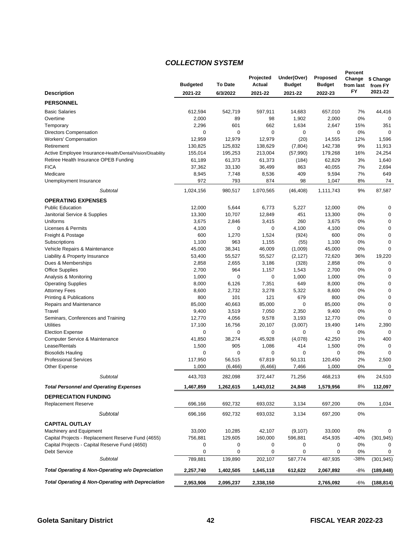#### *COLLECTION SYSTEM*

|                                                              |                 |                | Projected   | Under(Over)   | Proposed      | Percent<br>Change | \$ Change   |
|--------------------------------------------------------------|-----------------|----------------|-------------|---------------|---------------|-------------------|-------------|
|                                                              | <b>Budgeted</b> | <b>To Date</b> | Actual      | <b>Budget</b> | <b>Budget</b> | from last         | from FY     |
| <b>Description</b>                                           | 2021-22         | 6/3/2022       | 2021-22     | 2021-22       | 2022-23       | FY                | 2021-22     |
| <b>PERSONNEL</b>                                             |                 |                |             |               |               |                   |             |
| <b>Basic Salaries</b>                                        | 612,594         | 542,719        | 597,911     | 14,683        | 657,010       | 7%                | 44,416      |
| Overtime                                                     | 2,000           | 89             | 98          | 1,902         | 2,000         | 0%                | 0           |
| Temporary                                                    | 2,296           | 601            | 662         | 1,634         | 2,647         | 15%               | 351         |
| <b>Directors Compensation</b>                                | $\mathbf 0$     | $\mathbf 0$    | $\mathbf 0$ | $\mathbf 0$   | $\mathbf 0$   | 0%                | $\mathbf 0$ |
| <b>Workers' Compensation</b>                                 | 12,959          | 12,979         | 12,979      | (20)          | 14,555        | 12%               | 1,596       |
| Retirement                                                   | 130,825         | 125,832        | 138,629     | (7, 804)      | 142,738       | 9%                | 11,913      |
| Active Employee Insurance-Health/Dental/Vision/Disability    | 155,014         | 195,253        | 213,004     | (57, 990)     | 179,268       | 16%               | 24,254      |
| Retiree Health Insurance OPEB Funding                        | 61,189          | 61,373         | 61,373      | (184)         | 62,829        | 3%                | 1,640       |
| <b>FICA</b>                                                  | 37,362          | 33,130         | 36,499      | 863           | 40,055        | 7%                | 2,694       |
| Medicare                                                     | 8,945           | 7,748          | 8,536       | 409           | 9,594         | 7%                | 649         |
| Unemployment Insurance                                       | 972             | 793            | 874         | 98            | 1,047         | 8%                | 74          |
| Subtotal                                                     | 1,024,156       | 980,517        | 1,070,565   | (46, 408)     | 1,111,743     | 9%                | 87,587      |
| <b>OPERATING EXPENSES</b>                                    |                 |                |             |               |               |                   |             |
| <b>Public Education</b>                                      | 12,000          | 5,644          | 6,773       | 5,227         | 12,000        | 0%                | 0           |
| Janitorial Service & Supplies                                | 13,300          | 10,707         | 12,849      | 451           | 13,300        | 0%                | 0           |
| Uniforms                                                     | 3,675           | 2,846          | 3,415       | 260           | 3,675         | 0%                | 0           |
| Licenses & Permits                                           | 4,100           | 0              | 0           | 4,100         | 4,100         | 0%                | 0           |
| Freight & Postage                                            | 600             | 1,270          | 1,524       | (924)         | 600           | 0%                | 0           |
| Subscriptions                                                | 1,100           | 963            | 1,155       | (55)          | 1,100         | 0%                | $\mathbf 0$ |
| Vehicle Repairs & Maintenance                                | 45,000          | 38,341         | 46,009      | (1,009)       | 45,000        | 0%                | $\Omega$    |
| Liability & Property Insurance                               | 53,400          | 55,527         | 55,527      | (2, 127)      | 72,620        | 36%               | 19,220      |
| Dues & Memberships                                           | 2,858           | 2,655          | 3,186       | (328)         | 2,858         | 0%                | 0           |
| <b>Office Supplies</b>                                       | 2,700           | 964            | 1,157       | 1,543         | 2,700         | 0%                | $\mathbf 0$ |
| Analysis & Monitoring                                        | 1,000           | 0              | $\mathbf 0$ | 1,000         | 1,000         | 0%                | 0           |
| <b>Operating Supplies</b>                                    | 8,000           | 6,126          | 7,351       | 649           | 8,000         | 0%                | 0           |
| <b>Attorney Fees</b>                                         | 8,600           | 2,732          | 3,278       | 5,322         | 8,600         | 0%                | $\mathbf 0$ |
| Printing & Publications                                      | 800             | 101            | 121         | 679           | 800           | 0%                | 0           |
| Repairs and Maintenance                                      | 85,000          | 40,663         | 85,000      | $\mathbf 0$   | 85,000        | 0%                | 0           |
| Travel                                                       | 9,400           | 3,519          | 7,050       | 2,350         | 9,400         | 0%                | $\mathbf 0$ |
| Seminars, Conferences and Training                           | 12,770          | 4,056          | 9,578       | 3,193         | 12,770        | 0%                | 0           |
| <b>Utilities</b>                                             | 17,100          | 16,756         | 20,107      | (3,007)       | 19,490        | 14%               | 2,390       |
| <b>Election Expense</b>                                      | 0               | 0              | 0           | 0             | 0             | 0%                | $\mathbf 0$ |
| Computer Service & Maintenance                               | 41,850          | 38,274         | 45,928      | (4,078)       | 42,250        | 1%                | 400         |
| Lease/Rentals                                                | 1,500           | 905            | 1,086       | 414           | 1,500         | 0%                | $\mathbf 0$ |
| <b>Biosolids Hauling</b>                                     | 0               | 0              | 0           | $\mathbf 0$   | $\mathbf 0$   | 0%                | $\mathbf 0$ |
| <b>Professional Services</b>                                 | 117,950         | 56,515         | 67,819      | 50,131        | 120,450       | 2%                | 2,500       |
| Other Expense                                                | 1,000           | (6, 466)       | (6, 466)    | 7,466         | 1,000         | 0%                | 0           |
| Subtotal                                                     | 443,703         | 282,098        | 372,447     | 71,256        | 468,213       | 6%                | 24,510      |
| <b>Total Personnel and Operating Expenses</b>                | 1,467,859       | 1,262,615      | 1,443,012   | 24,848        | 1,579,956     | 8%                | 112,097     |
| <b>DEPRECIATION FUNDING</b>                                  |                 |                |             |               |               |                   |             |
| <b>Replacement Reserve</b>                                   | 696,166         | 692,732        | 693,032     | 3,134         | 697,200       | 0%                | 1,034       |
| Subtotal                                                     | 696,166         | 692,732        | 693,032     | 3,134         | 697,200       | 0%                |             |
| <b>CAPITAL OUTLAY</b>                                        |                 |                |             |               |               |                   |             |
| Machinery and Equipment                                      | 33,000          | 10,285         | 42,107      | (9, 107)      | 33,000        | 0%                | 0           |
| Capital Projects - Replacement Reserve Fund (4655)           | 756,881         | 129,605        | 160,000     | 596,881       | 454,935       | $-40%$            | (301, 945)  |
| Capital Projects - Capital Reserve Fund (4650)               | 0               | 0              | 0           | 0             | 0             | 0%                | 0           |
| <b>Debt Service</b>                                          | 0               | 0              | 0           | $\pmb{0}$     | 0             | 0%                | 0           |
| <b>Subtotal</b>                                              | 789,881         | 139,890        | 202,107     | 587,774       | 487,935       | $-38%$            | (301, 945)  |
| Total Operating & Non-Operating w/o Depreciation             | 2,257,740       | 1,402,505      | 1,645,118   | 612,622       | 2,067,892     | -8%               | (189, 848)  |
| <b>Total Operating &amp; Non-Operating with Depreciation</b> | 2,953,906       | 2,095,237      | 2,338,150   |               | 2,765,092     | $-6%$             |             |
|                                                              |                 |                |             |               |               |                   | (188,814)   |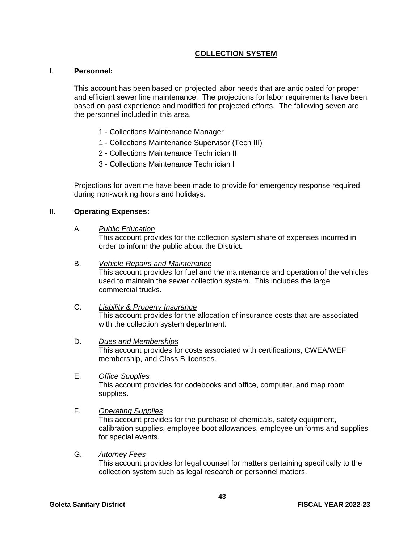#### **COLLECTION SYSTEM**

#### I. **Personnel:**

This account has been based on projected labor needs that are anticipated for proper and efficient sewer line maintenance. The projections for labor requirements have been based on past experience and modified for projected efforts. The following seven are the personnel included in this area.

- 1 Collections Maintenance Manager
- 1 Collections Maintenance Supervisor (Tech III)
- 2 Collections Maintenance Technician II
- 3 Collections Maintenance Technician I

Projections for overtime have been made to provide for emergency response required during non-working hours and holidays.

#### II. **Operating Expenses:**

A. *Public Education* 

This account provides for the collection system share of expenses incurred in order to inform the public about the District.

#### B. *Vehicle Repairs and Maintenance*

This account provides for fuel and the maintenance and operation of the vehicles used to maintain the sewer collection system. This includes the large commercial trucks.

#### C. *Liability & Property Insurance*

This account provides for the allocation of insurance costs that are associated with the collection system department.

#### D. *Dues and Memberships*

This account provides for costs associated with certifications, CWEA/WEF membership, and Class B licenses.

E. *Office Supplies*

This account provides for codebooks and office, computer, and map room supplies.

#### F. *Operating Supplies*

This account provides for the purchase of chemicals, safety equipment, calibration supplies, employee boot allowances, employee uniforms and supplies for special events.

#### G. *Attorney Fees*

This account provides for legal counsel for matters pertaining specifically to the collection system such as legal research or personnel matters.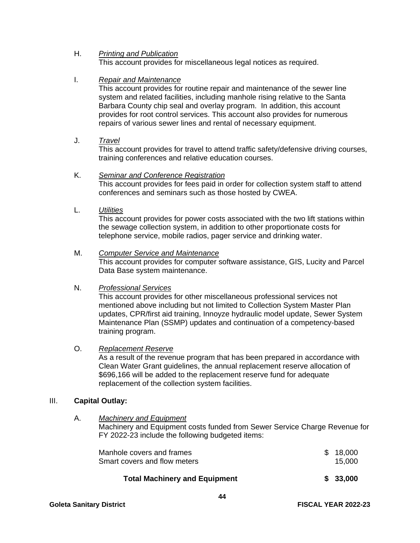#### H. *Printing and Publication*

This account provides for miscellaneous legal notices as required.

#### I. *Repair and Maintenance*

This account provides for routine repair and maintenance of the sewer line system and related facilities, including manhole rising relative to the Santa Barbara County chip seal and overlay program. In addition, this account provides for root control services. This account also provides for numerous repairs of various sewer lines and rental of necessary equipment.

#### J. *Travel*

This account provides for travel to attend traffic safety/defensive driving courses, training conferences and relative education courses.

#### K. *Seminar and Conference Registration*

This account provides for fees paid in order for collection system staff to attend conferences and seminars such as those hosted by CWEA.

L. *Utilities*

This account provides for power costs associated with the two lift stations within the sewage collection system, in addition to other proportionate costs for telephone service, mobile radios, pager service and drinking water.

#### M. *Computer Service and Maintenance*

This account provides for computer software assistance, GIS, Lucity and Parcel Data Base system maintenance.

#### N. *Professional Services*

This account provides for other miscellaneous professional services not mentioned above including but not limited to Collection System Master Plan updates, CPR/first aid training, Innoyze hydraulic model update, Sewer System Maintenance Plan (SSMP) updates and continuation of a competency-based training program.

#### O. *Replacement Reserve*

As a result of the revenue program that has been prepared in accordance with Clean Water Grant guidelines, the annual replacement reserve allocation of \$696,166 will be added to the replacement reserve fund for adequate replacement of the collection system facilities.

#### III. **Capital Outlay:**

#### A. *Machinery and Equipment*

Machinery and Equipment costs funded from Sewer Service Charge Revenue for FY 2022-23 include the following budgeted items:

| _                            | $\cdots$ |
|------------------------------|----------|
| Smart covers and flow meters | 15,000   |
| Manhole covers and frames    | \$18,000 |

#### **Total Machinery and Equipment \$ 33,000**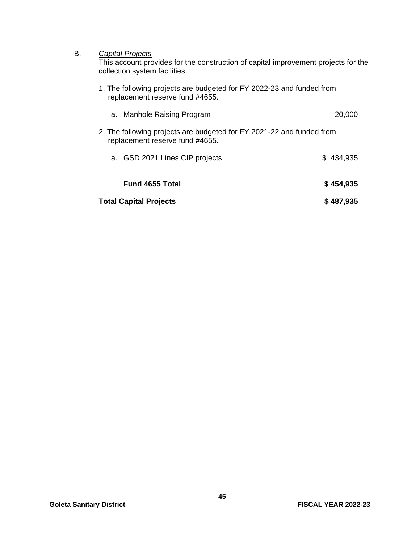#### B. *Capital Projects*

This account provides for the construction of capital improvement projects for the collection system facilities.

1. The following projects are budgeted for FY 2022-23 and funded from replacement reserve fund #4655.

| a. Manhole Raising Program                                                                               | 20,000    |
|----------------------------------------------------------------------------------------------------------|-----------|
| 2. The following projects are budgeted for FY 2021-22 and funded from<br>replacement reserve fund #4655. |           |
| a. GSD 2021 Lines CIP projects                                                                           | \$434,935 |
| <b>Fund 4655 Total</b>                                                                                   | \$454,935 |
| <b>Total Capital Projects</b>                                                                            | \$487,935 |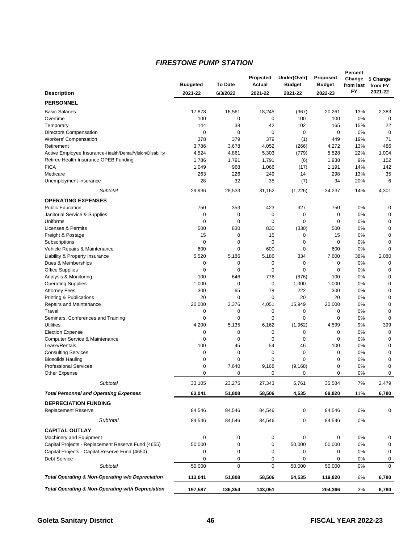#### *FIRESTONE PUMP STATION*

|                                                                 |                 |                      | Projected    | Under(Over)        | Proposed      | Percent<br>Change | \$ Change               |
|-----------------------------------------------------------------|-----------------|----------------------|--------------|--------------------|---------------|-------------------|-------------------------|
|                                                                 | <b>Budgeted</b> | <b>To Date</b>       | Actual       | <b>Budget</b>      | <b>Budget</b> | from last         | from FY                 |
| <b>Description</b>                                              | 2021-22         | 6/3/2022             | 2021-22      | 2021-22            | 2022-23       | FY                | 2021-22                 |
| <b>PERSONNEL</b>                                                |                 |                      |              |                    |               |                   |                         |
| <b>Basic Salaries</b>                                           | 17,878          | 16,561               | 18,245       | (367)              | 20,261        | 13%               | 2,383                   |
| Overtime                                                        | 100             | $\mathbf 0$          | 0            | 100                | 100           | 0%                | $\mathbf 0$             |
| Temporary                                                       | 144             | 38                   | 42           | 102                | 165           | 15%               | 22                      |
| <b>Directors Compensation</b>                                   | 0               | $\mathbf 0$          | 0            | 0                  | $\mathbf 0$   | 0%                | $\mathbf 0$             |
| <b>Workers' Compensation</b>                                    | 378             | 379                  | 379          | (1)                | 449           | 19%               | 71                      |
| Retirement                                                      | 3,786           | 3,678                | 4,052        | (266)              | 4,272         | 13%               | 486                     |
| Active Employee Insurance-Health/Dental/Vision/Disability       | 4,524           | 4,861                | 5,303        | (779)              | 5,528         | 22%               | 1,004                   |
| Retiree Health Insurance OPEB Funding                           | 1,786           | 1,791                | 1,791        | (6)                | 1,938         | 9%                | 152                     |
| <b>FICA</b>                                                     | 1,049           | 968                  | 1,066        | (17)               | 1,191         | 14%               | 142                     |
| Medicare                                                        | 263             | 226                  | 249          | 14                 | 298           | 13%               | 35                      |
| Unemployment Insurance                                          | 28              | 32                   | 35           | (7)                | 34            | 20%               | 6                       |
| Subtotal                                                        | 29,936          | 28,533               | 31,162       | (1,226)            | 34,237        | 14%               | 4,301                   |
| <b>OPERATING EXPENSES</b>                                       |                 |                      |              |                    |               |                   |                         |
| <b>Public Education</b>                                         | 750             | 353                  | 423          | 327                | 750           | 0%                | $\mathbf 0$             |
| Janitorial Service & Supplies                                   | 0               | $\pmb{0}$            | 0            | 0                  | 0             | 0%                | $\mathbf 0$             |
| Uniforms                                                        | 0               | $\mathbf 0$          | 0            | $\mathbf 0$        | $\mathbf 0$   | 0%                | $\mathbf 0$             |
| Licenses & Permits                                              | 500             | 830                  | 830          | (330)              | 500           | 0%                | $\mathbf 0$             |
| Freight & Postage                                               | 15              | 0                    | 15           | 0                  | 15            | 0%                | $\mathbf 0$             |
| Subscriptions                                                   | 0               | 0                    | 0            | 0                  | 0             | 0%                | $\mathbf 0$<br>$\Omega$ |
| Vehicle Repairs & Maintenance<br>Liability & Property Insurance | 600<br>5,520    | $\mathbf 0$<br>5,186 | 600<br>5,186 | $\mathbf 0$<br>334 | 600<br>7,600  | 0%<br>38%         | 2,080                   |
| Dues & Memberships                                              | 0               | 0                    | 0            | 0                  | 0             | 0%                | 0                       |
| <b>Office Supplies</b>                                          | 0               | $\mathbf 0$          | 0            | 0                  | 0             | 0%                | $\mathbf 0$             |
| Analysis & Monitoring                                           | 100             | 646                  | 776          | (676)              | 100           | 0%                | $\mathbf 0$             |
| <b>Operating Supplies</b>                                       | 1,000           | $\mathbf 0$          | 0            | 1,000              | 1,000         | 0%                | $\mathbf 0$             |
| <b>Attorney Fees</b>                                            | 300             | 65                   | 78           | 222                | 300           | 0%                | $\mathbf 0$             |
| Printing & Publications                                         | 20              | 0                    | 0            | 20                 | 20            | 0%                | $\mathbf 0$             |
| Repairs and Maintenance                                         | 20,000          | 3,376                | 4,051        | 15,949             | 20,000        | 0%                | $\mathbf 0$             |
| Travel                                                          | 0               | 0                    | 0            | 0                  | 0             | 0%                | $\mathbf 0$             |
| Seminars, Conferences and Training                              | 0               | $\mathbf 0$          | 0            | $\mathbf 0$        | 0             | 0%                | $\mathbf 0$             |
| <b>Utilities</b>                                                | 4,200           | 5,135                | 6,162        | (1,962)            | 4,599         | 9%                | 399                     |
| <b>Election Expense</b>                                         | 0               | 0                    | 0            | 0                  | 0             | 0%                | $\mathbf 0$             |
| Computer Service & Maintenance                                  | 0               | $\mathbf 0$          | 0            | 0                  | 0             | 0%                | $\mathbf 0$             |
| Lease/Rentals                                                   | 100             | 45                   | 54           | 46                 | 100           | 0%                | $\mathbf 0$             |
| <b>Consulting Services</b>                                      | 0               | 0                    | 0            | 0                  | 0             | 0%                | $\mathbf 0$             |
| <b>Biosolids Hauling</b>                                        | 0               | 0                    | 0            | $\mathbf 0$        | 0             | 0%                | $\mathbf 0$             |
| <b>Professional Services</b>                                    | 0               | 7,640                | 9,168        | (9, 168)           | 0             | 0%                | $\mathbf 0$             |
| Other Expense                                                   | 0               | 0                    | 0            | 0                  | 0             | 0%                | 0                       |
| Subtotal                                                        | 33,105          | 23,275               | 27,343       | 5,761              | 35,584        | 7%                | 2,479                   |
| <b>Total Personnel and Operating Expenses</b>                   | 63,041          | 51,808               | 58,506       | 4,535              | 69,820        | 11%               | 6,780                   |
| <b>DEPRECIATION FUNDING</b>                                     |                 |                      |              |                    |               |                   |                         |
| <b>Replacement Reserve</b>                                      | 84,546          | 84,546               | 84,546       | 0                  | 84,546        | 0%                | 0                       |
| Subtotal                                                        | 84,546          | 84,546               | 84,546       | 0                  | 84,546        | 0%                |                         |
| <b>CAPITAL OUTLAY</b>                                           |                 |                      |              |                    |               |                   |                         |
| Machinery and Equipment                                         | 0               | 0                    | 0            | 0                  | 0             | 0%                | 0                       |
| Capital Projects - Replacement Reserve Fund (4655)              | 50,000          | 0                    | 0            | 50,000             | 50,000        | 0%                | $\mathbf 0$             |
| Capital Projects - Capital Reserve Fund (4650)                  | 0               | 0                    | 0            | 0                  | 0             | 0%                | 0                       |
| Debt Service                                                    | 0               | 0                    | 0            | 0                  | 0             | 0%                | 0                       |
| <b>Subtotal</b>                                                 | 50,000          | $\mathbf 0$          | $\mathbf 0$  | 50,000             | 50,000        | 0%                | $\Omega$                |
| Total Operating & Non-Operating w/o Depreciation                | 113,041         | 51,808               | 58,506       | 54,535             | 119,820       | 6%                | 6,780                   |
| <b>Total Operating &amp; Non-Operating with Depreciation</b>    | 197,587         | 136,354              | 143,051      |                    | 204,366       | 3%                | 6,780                   |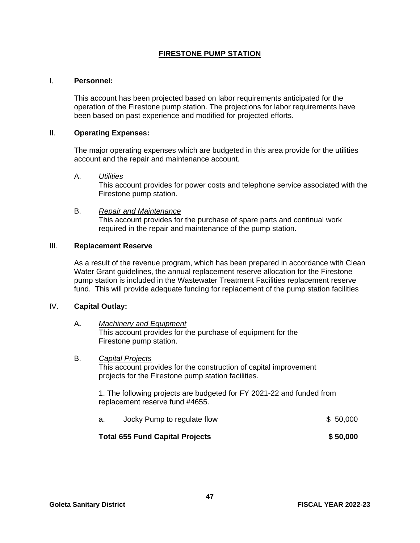#### **FIRESTONE PUMP STATION**

#### I. **Personnel:**

This account has been projected based on labor requirements anticipated for the operation of the Firestone pump station. The projections for labor requirements have been based on past experience and modified for projected efforts.

#### II. **Operating Expenses:**

The major operating expenses which are budgeted in this area provide for the utilities account and the repair and maintenance account.

#### A. *Utilities*

This account provides for power costs and telephone service associated with the Firestone pump station.

#### B. *Repair and Maintenance*

This account provides for the purchase of spare parts and continual work required in the repair and maintenance of the pump station.

#### III. **Replacement Reserve**

As a result of the revenue program, which has been prepared in accordance with Clean Water Grant guidelines, the annual replacement reserve allocation for the Firestone pump station is included in the Wastewater Treatment Facilities replacement reserve fund. This will provide adequate funding for replacement of the pump station facilities

#### IV. **Capital Outlay:**

#### A**.** *Machinery and Equipment* This account provides for the purchase of equipment for the Firestone pump station.

#### B. *Capital Projects*

This account provides for the construction of capital improvement projects for the Firestone pump station facilities.

1. The following projects are budgeted for FY 2021-22 and funded from replacement reserve fund #4655.

| a. | Jocky Pump to regulate flow | \$50,000 |
|----|-----------------------------|----------|
|    |                             |          |

#### **Total 655 Fund Capital Projects \$ 50,000**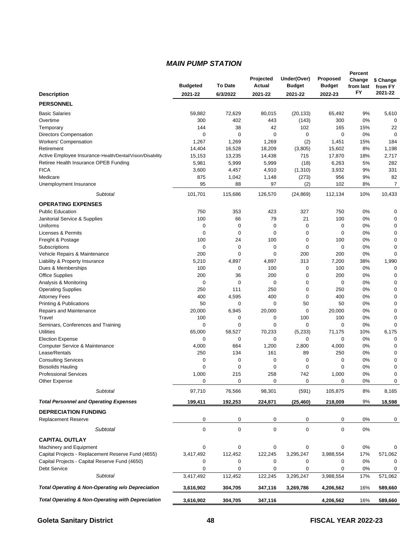#### *MAIN PUMP STATION*

|                                                                         |                  |                 | Projected       | Under(Over)      | <b>Proposed</b>    | Percent<br>Change | \$ Change        |
|-------------------------------------------------------------------------|------------------|-----------------|-----------------|------------------|--------------------|-------------------|------------------|
|                                                                         | <b>Budgeted</b>  | <b>To Date</b>  | Actual          | <b>Budget</b>    | <b>Budget</b>      | from last         | from FY          |
| <b>Description</b>                                                      | 2021-22          | 6/3/2022        | 2021-22         | 2021-22          | 2022-23            | FY                | 2021-22          |
| <b>PERSONNEL</b>                                                        |                  |                 |                 |                  |                    |                   |                  |
| <b>Basic Salaries</b>                                                   | 59,882           | 72,629          | 80,015          | (20, 133)        | 65,492             | 9%                | 5,610            |
| Overtime                                                                | 300              | 402             | 443             | (143)            | 300                | 0%                | 0                |
| Temporary                                                               | 144              | 38              | 42              | 102              | 165                | 15%               | 22               |
| <b>Directors Compensation</b>                                           | 0                | $\mathbf 0$     | 0               | $\mathbf 0$      | $\mathbf 0$        | 0%                | $\mathbf 0$      |
| Workers' Compensation                                                   | 1,267            | 1,269           | 1,269           | (2)              | 1,451              | 15%               | 184              |
| Retirement<br>Active Employee Insurance-Health/Dental/Vision/Disability | 14,404           | 16,528          | 18,209          | (3,805)          | 15,602             | 8%                | 1,198            |
| Retiree Health Insurance OPEB Funding                                   | 15,153<br>5,981  | 13,235<br>5,999 | 14,438<br>5,999 | 715              | 17,870<br>6,263    | 18%<br>5%         | 2,717<br>282     |
| <b>FICA</b>                                                             | 3,600            | 4,457           | 4,910           | (18)<br>(1,310)  | 3,932              | 9%                | 331              |
| Medicare                                                                | 875              | 1,042           | 1,148           | (273)            | 956                | 9%                | 82               |
| Unemployment Insurance                                                  | 95               | 88              | 97              | (2)              | 102                | 8%                | 7                |
| Subtotal                                                                | 101,701          | 115,686         | 126,570         | (24, 869)        | 112,134            | 10%               | 10,433           |
| <b>OPERATING EXPENSES</b>                                               |                  |                 |                 |                  |                    |                   |                  |
| <b>Public Education</b>                                                 | 750              | 353             | 423             | 327              | 750                | 0%                | 0                |
| Janitorial Service & Supplies                                           | 100              | 66              | 79              | 21               | 100                | 0%                | 0                |
| Uniforms                                                                | 0                | 0               | 0               | 0                | $\mathbf 0$        | 0%                | 0                |
| <b>Licenses &amp; Permits</b>                                           | $\mathbf 0$      | $\mathbf 0$     | 0               | 0                | $\mathbf 0$        | 0%                | $\mathbf 0$      |
| Freight & Postage                                                       | 100              | 24              | 100             | 0                | 100                | 0%                | 0                |
| Subscriptions                                                           | 0                | 0               | 0               | 0                | $\mathbf 0$        | 0%                | 0                |
| Vehicle Repairs & Maintenance                                           | 200              | $\mathbf 0$     | 0               | 200              | 200                | 0%                | $\mathbf 0$      |
| Liability & Property Insurance                                          | 5,210            | 4,897           | 4,897           | 313              | 7,200              | 38%               | 1,990            |
| Dues & Memberships                                                      | 100              | 0               | 100             | 0                | 100                | 0%                | 0                |
| Office Supplies                                                         | 200<br>0         | 36<br>0         | 200             | $\mathbf 0$<br>0 | 200<br>$\mathbf 0$ | 0%<br>0%          | 0<br>$\mathbf 0$ |
| Analysis & Monitoring                                                   | 250              | 111             | 0<br>250        | 0                | 250                | 0%                | 0                |
| <b>Operating Supplies</b><br><b>Attorney Fees</b>                       | 400              | 4,595           | 400             | 0                | 400                | 0%                | 0                |
| Printing & Publications                                                 | 50               | 0               | 0               | 50               | 50                 | 0%                | 0                |
| Repairs and Maintenance                                                 | 20,000           | 6,945           | 20,000          | 0                | 20,000             | 0%                | $\mathbf 0$      |
| Travel                                                                  | 100              | 0               | 0               | 100              | 100                | 0%                | 0                |
| Seminars, Conferences and Training                                      | 0                | 0               | 0               | 0                | 0                  | 0%                | $\mathbf 0$      |
| <b>Utilities</b>                                                        | 65,000           | 58,527          | 70,233          | (5,233)          | 71,175             | 10%               | 6,175            |
| <b>Election Expense</b>                                                 | 0                | 0               | 0               | 0                | $\mathbf 0$        | 0%                | 0                |
| Computer Service & Maintenance                                          | 4,000            | 664             | 1,200           | 2,800            | 4,000              | 0%                | 0                |
| Lease/Rentals                                                           | 250              | 134             | 161             | 89               | 250                | 0%                | $\mathbf 0$      |
| <b>Consulting Services</b>                                              | 0                | 0               | 0               | 0                | 0                  | 0%                | 0                |
| <b>Biosolids Hauling</b>                                                | 0                | 0               | 0               | 0                | $\mathbf 0$        | 0%                | 0                |
| <b>Professional Services</b><br>Other Expense                           | 1,000<br>0       | 215<br>0        | 258<br>0        | 742<br>0         | 1,000<br>0         | 0%<br>0%          | 0<br>0           |
|                                                                         |                  |                 |                 |                  |                    |                   |                  |
| Subtotal                                                                | 97,710           | 76,566          | 98,301          | (591)            | 105,875            | 8%                | 8,165            |
| <b>Total Personnel and Operating Expenses</b>                           | 199,411          | 192,253         | 224,871         | (25, 460)        | 218,009            | 9%                | 18,598           |
| <b>DEPRECIATION FUNDING</b>                                             |                  |                 |                 |                  |                    |                   |                  |
| <b>Replacement Reserve</b>                                              | 0                | 0               | 0               | 0                | 0                  | 0%                | 0                |
| <b>Subtotal</b>                                                         | $\boldsymbol{0}$ | 0               | 0               | $\mathbf 0$      | $\mathbf 0$        | 0%                |                  |
| <b>CAPITAL OUTLAY</b>                                                   |                  |                 |                 |                  |                    |                   |                  |
| Machinery and Equipment                                                 | 0                | 0               | 0               | 0                | 0                  | 0%                | 0                |
| Capital Projects - Replacement Reserve Fund (4655)                      | 3,417,492        | 112,452         | 122,245         | 3,295,247        | 3,988,554          | 17%               | 571,062          |
| Capital Projects - Capital Reserve Fund (4650)                          | 0                | 0               | 0               | 0                | 0                  | 0%                | 0                |
| <b>Debt Service</b>                                                     | 0                | 0               | 0               | 0                | 0                  | 0%                | 0                |
| Subtotal                                                                | 3,417,492        | 112,452         | 122,245         | 3,295,247        | 3,988,554          | 17%               | 571,062          |
| Total Operating & Non-Operating w/o Depreciation                        | 3,616,902        | 304,705         | 347,116         | 3,269,786        | 4,206,562          | 16%               | 589,660          |
| <b>Total Operating &amp; Non-Operating with Depreciation</b>            | 3,616,902        | 304,705         | 347,116         |                  | 4,206,562          | 16%               | 589,660          |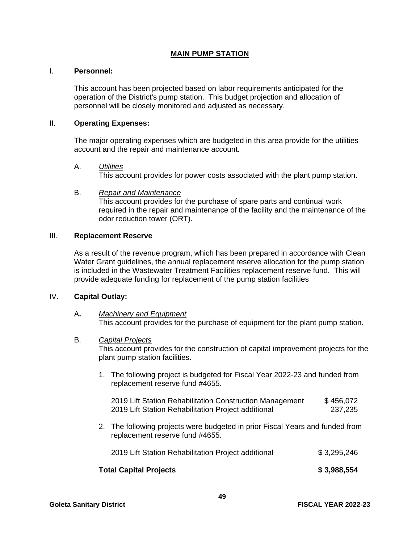#### **MAIN PUMP STATION**

#### I. **Personnel:**

This account has been projected based on labor requirements anticipated for the operation of the District's pump station. This budget projection and allocation of personnel will be closely monitored and adjusted as necessary.

#### II. **Operating Expenses:**

The major operating expenses which are budgeted in this area provide for the utilities account and the repair and maintenance account.

A. *Utilities*

This account provides for power costs associated with the plant pump station.

B. *Repair and Maintenance* This account provides for the purchase of spare parts and continual work required in the repair and maintenance of the facility and the maintenance of the odor reduction tower (ORT).

#### III. **Replacement Reserve**

As a result of the revenue program, which has been prepared in accordance with Clean Water Grant guidelines, the annual replacement reserve allocation for the pump station is included in the Wastewater Treatment Facilities replacement reserve fund. This will provide adequate funding for replacement of the pump station facilities

#### IV. **Capital Outlay:**

#### A**.** *Machinery and Equipment* This account provides for the purchase of equipment for the plant pump station.

#### B. *Capital Projects*

This account provides for the construction of capital improvement projects for the plant pump station facilities.

1. The following project is budgeted for Fiscal Year 2022-23 and funded from replacement reserve fund #4655.

| 2019 Lift Station Rehabilitation Construction Management | \$456,072 |
|----------------------------------------------------------|-----------|
| 2019 Lift Station Rehabilitation Project additional      | 237,235   |

2. The following projects were budgeted in prior Fiscal Years and funded from replacement reserve fund #4655.

| <b>Total Capital Projects</b>                       | \$3,988,554 |
|-----------------------------------------------------|-------------|
| 2019 Lift Station Rehabilitation Project additional | \$3,295,246 |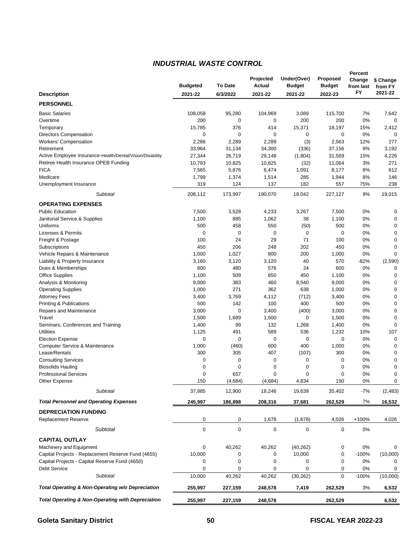#### *INDUSTRIAL WASTE CONTROL*

|                                                                                                    |                 |                 | Projected        | Under(Over)          | Proposed        | Percent<br>Change | \$ Change    |
|----------------------------------------------------------------------------------------------------|-----------------|-----------------|------------------|----------------------|-----------------|-------------------|--------------|
|                                                                                                    | <b>Budgeted</b> | <b>To Date</b>  | Actual           | <b>Budget</b>        | <b>Budget</b>   | from last         | from FY      |
| <b>Description</b>                                                                                 | 2021-22         | 6/3/2022        | 2021-22          | 2021-22              | 2022-23         | FY                | 2021-22      |
| <b>PERSONNEL</b>                                                                                   |                 |                 |                  |                      |                 |                   |              |
| <b>Basic Salaries</b>                                                                              | 108,058         | 95,280          | 104,969          | 3,089                | 115,700         | 7%                | 7,642        |
| Overtime                                                                                           | 200             | 0               | 0                | 200                  | 200             | 0%                | $\mathbf 0$  |
| Temporary                                                                                          | 15,785          | 376             | 414              | 15,371               | 18,197          | 15%               | 2,412        |
| <b>Directors Compensation</b>                                                                      | 0               | $\mathbf 0$     | 0                | 0                    | 0               | 0%                |              |
| <b>Workers' Compensation</b>                                                                       | 2,286           | 2,289           | 2,289            | (3)                  | 2,563           | 12%               | 277          |
| Retirement                                                                                         | 33,964          | 31,134          | 34,300           | (336)                | 37,156          | 9%                | 3,192        |
| Active Employee Insurance-Health/Dental/Vision/Disability<br>Retiree Health Insurance OPEB Funding | 27,344          | 26,719          | 29,148           | (1,804)              | 31,569          | 15%               | 4,226<br>271 |
| <b>FICA</b>                                                                                        | 10,793<br>7,565 | 10,825<br>5,876 | 10,825<br>6,474  | (32)<br>1,091        | 11,064<br>8,177 | 3%<br>8%          | 612          |
| Medicare                                                                                           | 1,799           | 1,374           | 1,514            | 285                  | 1,944           | 8%                | 146          |
| Unemployment Insurance                                                                             | 319             | 124             | 137              | 182                  | 557             | 75%               | 238          |
| Subtotal                                                                                           | 208,112         | 173,997         | 190,070          | 18,042               | 227,127         | 9%                | 19,015       |
| <b>OPERATING EXPENSES</b>                                                                          |                 |                 |                  |                      |                 |                   |              |
| <b>Public Education</b>                                                                            | 7,500           | 3,528           | 4,233            | 3,267                | 7,500           | 0%                | 0            |
| Janitorial Service & Supplies                                                                      | 1,100           | 885             | 1,062            | 38                   | 1,100           | 0%                | 0            |
| Uniforms                                                                                           | 500             | 458             | 550              | (50)                 | 500             | 0%                | 0            |
| Licenses & Permits                                                                                 | 0               | 0               | 0                | 0                    | 0               | 0%                | $\mathbf 0$  |
| Freight & Postage                                                                                  | 100             | 24              | 29               | 71                   | 100             | 0%                | $\mathbf 0$  |
| Subscriptions                                                                                      | 450             | 206             | 248              | 202                  | 450             | 0%                | 0            |
| Vehicle Repairs & Maintenance                                                                      | 1,000           | 1,027           | 800              | 200                  | 1,000           | 0%                | $\Omega$     |
| Liability & Property Insurance                                                                     | 3,160           | 3,120           | 3,120            | 40                   | 570             | $-82%$            | (2,590)      |
| Dues & Memberships                                                                                 | 600             | 480             | 576              | 24                   | 600             | 0%                | 0            |
| <b>Office Supplies</b>                                                                             | 1,100           | 509             | 650              | 450                  | 1,100           | 0%                | 0            |
| Analysis & Monitoring                                                                              | 9,000           | 383             | 460              | 8,540                | 9,000           | 0%                | $\mathbf 0$  |
| <b>Operating Supplies</b>                                                                          | 1,000           | 271             | 362              | 638                  | 1,000           | 0%                | 0            |
| <b>Attorney Fees</b>                                                                               | 3,400           | 3,769           | 4,112            | (712)                | 3,400           | 0%                | 0            |
| <b>Printing &amp; Publications</b>                                                                 | 500             | 142             | 100              | 400                  | 500             | 0%                | $\mathbf 0$  |
| Repairs and Maintenance                                                                            | 3,000           | 0               | 3,400            | (400)                | 3,000           | 0%                | 0            |
| Travel                                                                                             | 1,500           | 1,689           | 1,500            | 0                    | 1,500           | 0%                | $\mathbf 0$  |
| Seminars, Conferences and Training                                                                 | 1,400           | 99              | 132              | 1,268                | 1,400           | 0%                | $\mathbf 0$  |
| <b>Utilities</b>                                                                                   | 1,125           | 491             | 589              | 536                  | 1,232           | 10%               | 107          |
| <b>Election Expense</b>                                                                            | 0               | 0               | 0                | 0                    | 0               | 0%                | 0            |
| Computer Service & Maintenance                                                                     | 1,000           | (460)           | 600              | 400                  | 1,000           | 0%                | 0            |
| Lease/Rentals                                                                                      | 300             | 305             | 407              | (107)                | 300             | 0%                | $\mathbf 0$  |
| <b>Consulting Services</b>                                                                         | 0               | 0               | 0                | 0                    | 0               | 0%                | 0            |
| <b>Biosolids Hauling</b>                                                                           | 0               | 0               | 0                | 0                    | 0               | 0%                | 0            |
| <b>Professional Services</b>                                                                       | 0               | 657<br>(4,684)  | 0<br>(4,684)     | $\mathbf 0$<br>4,834 | 0               | 0%                | 0            |
| Other Expense                                                                                      | 150             |                 |                  |                      | 150             | 0%                | 0            |
| <b>Subtotal</b>                                                                                    | 37,885          | 12,900          | 18,246           | 19,639               | 35,402          | $-7%$             | (2, 483)     |
| <b>Total Personnel and Operating Expenses</b>                                                      | 245,997         | 186,898         | 208,316          | 37,681               | 262,529         | 7%                | 16,532       |
| <b>DEPRECIATION FUNDING</b>                                                                        |                 |                 |                  |                      |                 |                   |              |
| <b>Replacement Reserve</b>                                                                         | 0               | 0               | 1,678            | (1,678)              | 4,026           | $+100%$           | 4,026        |
| Subtotal                                                                                           | 0               | $\pmb{0}$       | $\boldsymbol{0}$ | 0                    | 0               | 0%                |              |
| <b>CAPITAL OUTLAY</b>                                                                              |                 |                 |                  |                      |                 |                   |              |
| Machinery and Equipment                                                                            | 0               | 40,262          | 40,262           | (40, 262)            | 0               | 0%                | 0            |
| Capital Projects - Replacement Reserve Fund (4655)                                                 | 10,000          | 0               | 0                | 10,000               | 0               | $-100%$           | (10,000)     |
| Capital Projects - Capital Reserve Fund (4650)                                                     | 0               | 0               | 0                | 0                    | 0               | 0%                | 0            |
| <b>Debt Service</b>                                                                                | 0               | 0               | 0                | 0                    | 0               | 0%                | 0            |
| Subtotal                                                                                           | 10,000          | 40,262          | 40,262           | (30, 262)            | $\Omega$        | $-100%$           | (10,000)     |
| Total Operating & Non-Operating w/o Depreciation                                                   | 255,997         | 227,159         | 248,578          | 7,419                | 262,529         | 3%                | 6,532        |
| <b>Total Operating &amp; Non-Operating with Depreciation</b>                                       | 255,997         | 227,159         | 248,578          |                      | 262,529         |                   | 6,532        |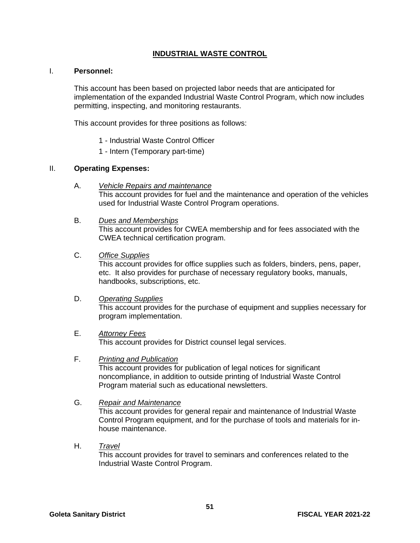#### **INDUSTRIAL WASTE CONTROL**

#### I. **Personnel:**

This account has been based on projected labor needs that are anticipated for implementation of the expanded Industrial Waste Control Program, which now includes permitting, inspecting, and monitoring restaurants.

This account provides for three positions as follows:

- 1 Industrial Waste Control Officer
- 1 Intern (Temporary part-time)

#### II. **Operating Expenses:**

- A. *Vehicle Repairs and maintenance* This account provides for fuel and the maintenance and operation of the vehicles used for Industrial Waste Control Program operations.
- B. *Dues and Memberships* This account provides for CWEA membership and for fees associated with the CWEA technical certification program.
- C. *Office Supplies*

This account provides for office supplies such as folders, binders, pens, paper, etc. It also provides for purchase of necessary regulatory books, manuals, handbooks, subscriptions, etc.

#### D. *Operating Supplies*

This account provides for the purchase of equipment and supplies necessary for program implementation.

#### E. *Attorney Fees*

This account provides for District counsel legal services.

F. *Printing and Publication*

This account provides for publication of legal notices for significant noncompliance, in addition to outside printing of Industrial Waste Control Program material such as educational newsletters.

#### G. *Repair and Maintenance*

This account provides for general repair and maintenance of Industrial Waste Control Program equipment, and for the purchase of tools and materials for inhouse maintenance.

H. *Travel*

This account provides for travel to seminars and conferences related to the Industrial Waste Control Program.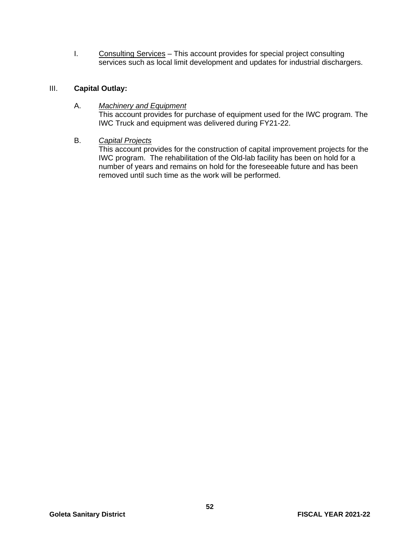I. Consulting Services - This account provides for special project consulting services such as local limit development and updates for industrial dischargers.

#### III. **Capital Outlay:**

#### A. *Machinery and Equipment*

This account provides for purchase of equipment used for the IWC program. The IWC Truck and equipment was delivered during FY21-22.

#### B. *Capital Projects*

This account provides for the construction of capital improvement projects for the IWC program. The rehabilitation of the Old-lab facility has been on hold for a number of years and remains on hold for the foreseeable future and has been removed until such time as the work will be performed.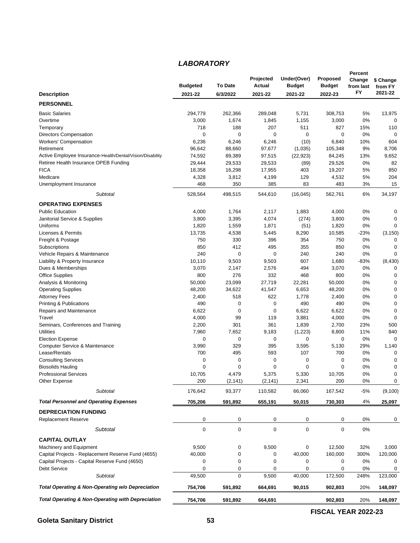#### *LABORATORY*

|                                                              |                 |             | Projected     | Under(Over)   | <b>Proposed</b> | Percent<br>Change | \$ Change   |
|--------------------------------------------------------------|-----------------|-------------|---------------|---------------|-----------------|-------------------|-------------|
|                                                              | <b>Budgeted</b> | To Date     | <b>Actual</b> | <b>Budget</b> | <b>Budget</b>   | from last         | from FY     |
| <b>Description</b>                                           | 2021-22         | 6/3/2022    | 2021-22       | 2021-22       | 2022-23         | FY                | 2021-22     |
| <b>PERSONNEL</b>                                             |                 |             |               |               |                 |                   |             |
| <b>Basic Salaries</b>                                        | 294,779         | 262,366     | 289,048       | 5,731         | 308,753         | 5%                | 13,975      |
| Overtime                                                     | 3,000           | 1,674       | 1,845         | 1,155         | 3,000           | 0%                | 0           |
| Temporary                                                    | 718             | 188         | 207           | 511           | 827             | 15%               | 110         |
| <b>Directors Compensation</b>                                | 0               | $\mathbf 0$ | 0             | $\mathbf 0$   | 0               | 0%                | $\mathbf 0$ |
| <b>Workers' Compensation</b>                                 | 6,236           | 6,246       | 6,246         | (10)          | 6,840           | 10%               | 604         |
| Retirement                                                   | 96,642          | 88,660      | 97,677        | (1,035)       | 105,348         | 9%                | 8,706       |
| Active Employee Insurance-Health/Dental/Vision/Disability    | 74,592          | 89,389      | 97,515        | (22, 923)     | 84,245          | 13%               | 9,652       |
| Retiree Health Insurance OPEB Funding                        | 29,444          | 29,533      | 29,533        | (89)          | 29,526          | 0%                | 82          |
| <b>FICA</b>                                                  | 18,358          | 16,298      | 17,955        | 403           | 19,207          | 5%                | 850         |
| Medicare                                                     | 4,328           | 3,812       | 4,199         | 129           | 4,532           | 5%                | 204         |
| Unemployment Insurance                                       | 468             | 350         | 385           | 83            | 483             | 3%                | 15          |
| Subtotal                                                     | 528,564         | 498,515     | 544,610       | (16, 045)     | 562,761         | 6%                | 34,197      |
| <b>OPERATING EXPENSES</b>                                    |                 |             |               |               |                 |                   |             |
| <b>Public Education</b>                                      | 4,000           | 1,764       | 2,117         | 1,883         | 4,000           | 0%                | 0           |
| Janitorial Service & Supplies                                | 3,800           | 3,395       | 4,074         | (274)         | 3,800           | 0%                | $\mathbf 0$ |
| Uniforms                                                     | 1,820           | 1,559       | 1,871         | (51)          | 1,820           | 0%                | $\Omega$    |
| Licenses & Permits                                           | 13,735          | 4,538       | 5,445         | 8,290         | 10,585          | -23%              | (3, 150)    |
| Freight & Postage                                            | 750             | 330         | 396           | 354           | 750             | 0%                | $\mathbf 0$ |
| Subscriptions                                                | 850             | 412         | 495           | 355           | 850             | 0%                | $\mathbf 0$ |
| Vehicle Repairs & Maintenance                                | 240             | $\mathbf 0$ | 0             | 240           | 240             | 0%                | $\mathbf 0$ |
| Liability & Property Insurance                               | 10,110          | 9,503       | 9,503         | 607           | 1,680           | $-83%$            | (8, 430)    |
| Dues & Memberships                                           | 3,070           | 2,147       | 2,576         | 494           | 3,070           | 0%                | 0           |
| <b>Office Supplies</b>                                       | 800             | 276         | 332           | 468           | 800             | 0%                | $\mathbf 0$ |
| Analysis & Monitoring                                        | 50,000          | 23,099      | 27,719        | 22,281        | 50,000          | 0%                | $\mathbf 0$ |
| <b>Operating Supplies</b>                                    | 48,200          | 34,622      | 41,547        | 6,653         | 48,200          | 0%                | $\mathbf 0$ |
| <b>Attorney Fees</b>                                         | 2,400           | 518         | 622           | 1,778         | 2,400           | 0%                | 0           |
| Printing & Publications                                      | 490             | $\mathbf 0$ | 0             | 490           | 490             | 0%                | $\mathbf 0$ |
| Repairs and Maintenance                                      | 6,622           | 0           | 0             | 6,622         | 6,622           | 0%                | $\mathbf 0$ |
| Travel                                                       | 4,000           | 99          | 119           | 3,881         | 4,000           | 0%                | $\mathbf 0$ |
| Seminars, Conferences and Training                           | 2,200           | 301         | 361           | 1,839         | 2,700           | 23%               | 500         |
| <b>Utilities</b>                                             | 7,960           | 7,652       | 9,183         | (1,223)       | 8,800           | 11%               | 840         |
| <b>Election Expense</b>                                      | 0               | $\pmb{0}$   | 0             | 0             | 0               | 0%                | $\mathbf 0$ |
| Computer Service & Maintenance                               | 3,990           | 329         | 395           | 3,595         | 5,130           | 29%               | 1,140       |
| Lease/Rentals                                                | 700             | 495         | 593           | 107           | 700             | 0%                | 0           |
| <b>Consulting Services</b>                                   | 0               | 0           | 0             | 0             | 0               | 0%                | 0           |
| <b>Biosolids Hauling</b>                                     | 0               | 0           | 0             | 0             | 0               | 0%                | 0           |
| <b>Professional Services</b>                                 | 10,705          | 4,479       | 5,375         | 5,330         | 10,705          | 0%                | 0           |
| Other Expense                                                | 200             | (2, 141)    | (2, 141)      | 2,341         | 200             | 0%                | 0           |
| Subtotal                                                     | 176,642         | 93,377      | 110,582       | 66,060        | 167,542         | -5%               | (9,100)     |
| <b>Total Personnel and Operating Expenses</b>                | 705,206         | 591,892     | 655,191       | 50,015        | 730,303         | 4%                | 25,097      |
| <b>DEPRECIATION FUNDING</b>                                  |                 |             |               |               |                 |                   |             |
| <b>Replacement Reserve</b>                                   | 0               | 0           | 0             | 0             | 0               | 0%                | 0           |
| Subtotal                                                     | $\pmb{0}$       | 0           | 0             | 0             | 0               | 0%                |             |
| <b>CAPITAL OUTLAY</b>                                        |                 |             |               |               |                 |                   |             |
| Machinery and Equipment                                      | 9,500           | 0           | 9,500         | 0             | 12,500          | 32%               | 3,000       |
| Capital Projects - Replacement Reserve Fund (4655)           | 40,000          | 0           | 0             | 40,000        | 160,000         | 300%              | 120,000     |
| Capital Projects - Capital Reserve Fund (4650)               | 0               | 0           | 0             | 0             | 0               | 0%                | 0           |
| <b>Debt Service</b>                                          | 0               | 0           | 0             | 0             | 0               | $0\%$             | 0           |
| Subtotal                                                     | 49,500          | $\mathbf 0$ | 9,500         | 40,000        | 172,500         | 248%              | 123,000     |
| Total Operating & Non-Operating w/o Depreciation             | 754,706         | 591,892     | 664,691       | 90,015        | 902,803         | 20%               | 148,097     |
| <b>Total Operating &amp; Non-Operating with Depreciation</b> | 754,706         | 591,892     | 664,691       |               | 902,803         | 20%               | 148,097     |

**FISCAL YEAR 2022-23**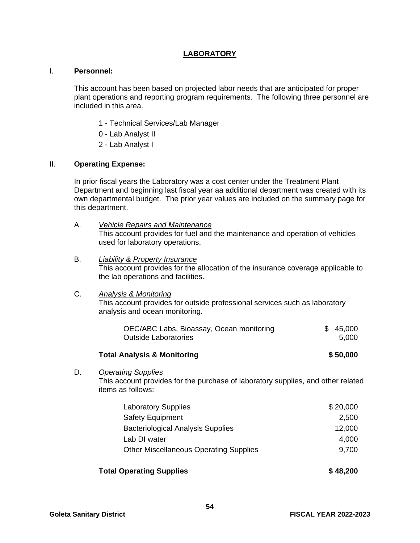#### **LABORATORY**

#### I. **Personnel:**

This account has been based on projected labor needs that are anticipated for proper plant operations and reporting program requirements. The following three personnel are included in this area.

- 1 Technical Services/Lab Manager
- 0 Lab Analyst II
- 2 Lab Analyst I

#### II. **Operating Expense:**

 In prior fiscal years the Laboratory was a cost center under the Treatment Plant Department and beginning last fiscal year aa additional department was created with its own departmental budget. The prior year values are included on the summary page for this department.

- A. *Vehicle Repairs and Maintenance* This account provides for fuel and the maintenance and operation of vehicles used for laboratory operations.
- B. *Liability & Property Insurance* This account provides for the allocation of the insurance coverage applicable to the lab operations and facilities.
- C. *Analysis & Monitoring*  This account provides for outside professional services such as laboratory analysis and ocean monitoring.

| OEC/ABC Labs, Bioassay, Ocean monitoring | \$45,000 |
|------------------------------------------|----------|
| Outside Laboratories                     | 5,000    |

#### **Total Analysis & Monitoring \$ 50,000**

D. *Operating Supplies*

This account provides for the purchase of laboratory supplies, and other related items as follows:

| <b>Laboratory Supplies</b>                    | \$20,000 |
|-----------------------------------------------|----------|
| <b>Safety Equipment</b>                       | 2,500    |
| <b>Bacteriological Analysis Supplies</b>      | 12,000   |
| Lab DI water                                  | 4,000    |
| <b>Other Miscellaneous Operating Supplies</b> | 9,700    |
|                                               |          |

#### **Total Operating Supplies**  $$ 48,200$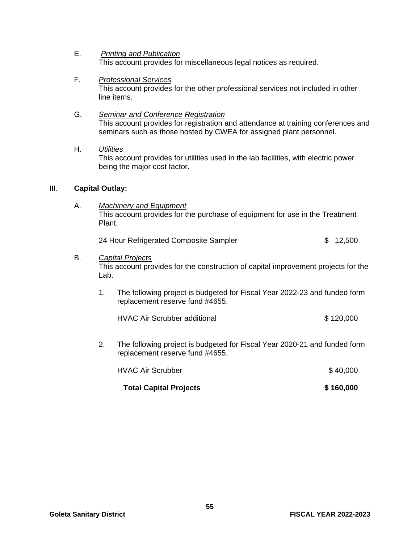- E. *Printing and Publication*  This account provides for miscellaneous legal notices as required.
- F. *Professional Services* This account provides for the other professional services not included in other line items.
- G. *Seminar and Conference Registration* This account provides for registration and attendance at training conferences and seminars such as those hosted by CWEA for assigned plant personnel.

#### H. *Utilities*

This account provides for utilities used in the lab facilities, with electric power being the major cost factor.

#### III. **Capital Outlay:**

A. *Machinery and Equipment*  This account provides for the purchase of equipment for use in the Treatment Plant.

24 Hour Refrigerated Composite Sampler **\$ 12,500** 

#### B. *Capital Projects*

This account provides for the construction of capital improvement projects for the Lab.

1. The following project is budgeted for Fiscal Year 2022-23 and funded form replacement reserve fund #4655.

| <b>HVAC Air Scrubber additional</b> | \$120,000 |
|-------------------------------------|-----------|
|-------------------------------------|-----------|

2. The following project is budgeted for Fiscal Year 2020-21 and funded form replacement reserve fund #4655.

| <b>HVAC Air Scrubber</b>      | \$40,000  |
|-------------------------------|-----------|
| <b>Total Capital Projects</b> | \$160,000 |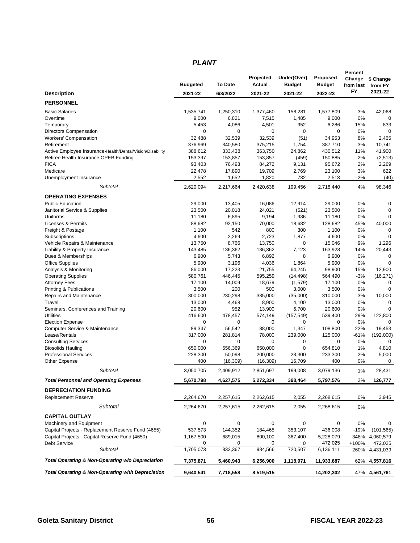#### *PLANT*

|                                                                                                    |                    |                        | Projected             | Under(Over)            | Proposed               | Percent<br>Change | \$ Change         |
|----------------------------------------------------------------------------------------------------|--------------------|------------------------|-----------------------|------------------------|------------------------|-------------------|-------------------|
|                                                                                                    | <b>Budgeted</b>    | <b>To Date</b>         | Actual                | <b>Budget</b>          | <b>Budget</b>          | from last<br>FY   | from FY           |
| <b>Description</b>                                                                                 | 2021-22            | 6/3/2022               | 2021-22               | 2021-22                | 2022-23                |                   | 2021-22           |
| <b>PERSONNEL</b>                                                                                   |                    |                        |                       |                        |                        |                   |                   |
| <b>Basic Salaries</b>                                                                              | 1,535,741          | 1,250,310              | 1,377,460             | 158,281                | 1,577,809              | 3%                | 42,068            |
| Overtime                                                                                           | 9,000              | 6,821                  | 7,515                 | 1,485                  | 9,000                  | 0%                | 0                 |
| Temporary                                                                                          | 5,453              | 4,086                  | 4,501                 | 952                    | 6,286                  | 15%               | 833               |
| Directors Compensation                                                                             | 0                  | $\mathbf 0$            | 0                     | $\mathbf 0$            | $\mathbf 0$            | 0%                | $\mathbf 0$       |
| <b>Workers' Compensation</b>                                                                       | 32,488             | 32,539                 | 32,539                | (51)                   | 34,953                 | 8%                | 2.465             |
| Retirement                                                                                         | 376,969<br>388,612 | 340,580                | 375,215               | 1,754                  | 387,710                | 3%<br>11%         | 10,741            |
| Active Employee Insurance-Health/Dental/Vision/Disability<br>Retiree Health Insurance OPEB Funding | 153,397            | 333,438<br>153,857     | 363,750<br>153,857    | 24,862<br>(459)        | 430,512<br>150,885     | $-2%$             | 41,900<br>(2,513) |
| <b>FICA</b>                                                                                        | 93,403             | 76,493                 | 84,272                | 9,131                  | 95,672                 | 2%                | 2,269             |
| Medicare                                                                                           | 22,478             | 17,890                 | 19,709                | 2,769                  | 23,100                 | 3%                | 622               |
| Unemployment Insurance                                                                             | 2,552              | 1,652                  | 1,820                 | 732                    | 2,513                  | $-2%$             | (40)              |
| Subtotal                                                                                           | 2,620,094          | 2,217,664              | 2,420,638             | 199,456                | 2,718,440              | 4%                | 98,346            |
| <b>OPERATING EXPENSES</b>                                                                          |                    |                        |                       |                        |                        |                   |                   |
| <b>Public Education</b>                                                                            | 29,000             | 13,405                 | 16,086                | 12,914                 | 29,000                 | 0%                | 0                 |
| Janitorial Service & Supplies                                                                      | 23,500             | 20,018                 | 24,021                | (521)                  | 23,500                 | 0%                | $\mathbf 0$       |
| Uniforms                                                                                           | 11,180             | 6,895                  | 9,194                 | 1,986                  | 11,180                 | 0%                | $\mathbf 0$       |
| Licenses & Permits                                                                                 | 88,682             | 92,150                 | 70,000                | 18,682                 | 128,682                | 45%               | 40,000            |
| Freight & Postage                                                                                  | 1,100              | 542                    | 800                   | 300                    | 1,100                  | 0%                | 0                 |
| Subscriptions                                                                                      | 4,600              | 2,269                  | 2,723                 | 1,877                  | 4,600                  | 0%                | $\Omega$          |
| Vehicle Repairs & Maintenance                                                                      | 13,750             | 8,766                  | 13,750                | $\mathbf 0$            | 15,046                 | 9%                | 1,296             |
| Liability & Property Insurance                                                                     | 143,485            | 136,362                | 136,362               | 7,123                  | 163,928                | 14%               | 20,443            |
| Dues & Memberships                                                                                 | 6,900              | 5,743                  | 6,892                 | 8                      | 6,900                  | 0%                | 0                 |
| <b>Office Supplies</b>                                                                             | 5,900              | 3,196                  | 4,036                 | 1,864                  | 5,900                  | 0%                | $\mathbf 0$       |
| Analysis & Monitoring                                                                              | 86,000             | 17,223                 | 21,755                | 64,245                 | 98,900                 | 15%               | 12,900            |
| <b>Operating Supplies</b>                                                                          | 580,761            | 446,445                | 595,259               | (14, 498)              | 564,490                | $-3%$             | (16, 271)         |
| <b>Attorney Fees</b>                                                                               | 17,100             | 14,009                 | 18,679                | (1,579)                | 17,100                 | 0%                | 0                 |
| <b>Printing &amp; Publications</b>                                                                 | 3,500              | 200                    | 500                   | 3,000                  | 3,500                  | 0%                | $\mathbf 0$       |
| Repairs and Maintenance                                                                            | 300,000            | 230,298                | 335,000               | (35,000)               | 310,000                | 3%                | 10,000            |
| Travel                                                                                             | 13,000             | 4,468                  | 8,900                 | 4,100                  | 13,000                 | 0%                | $\Omega$          |
| Seminars, Conferences and Training                                                                 | 20,600             | 952                    | 13,900                | 6,700                  | 20,600                 | 0%                | $\Omega$          |
| <b>Utilities</b>                                                                                   | 416,600            | 478,457                | 574,149               | (157, 549)             | 539,400                | 29%               | 122,800           |
| <b>Election Expense</b>                                                                            | 0                  | $\mathbf 0$            | 0                     | $\mathbf 0$            | 0                      | 0%                | $\Omega$          |
| Computer Service & Maintenance<br>Lease/Rentals                                                    | 89,347             | 56,542                 | 88,000                | 1,347                  | 108,800                | 22%               | 19,453            |
| <b>Consulting Services</b>                                                                         | 317,000<br>0       | 281,814<br>$\mathbf 0$ | 78,000<br>$\mathbf 0$ | 239,000<br>$\mathbf 0$ | 125,000<br>$\mathbf 0$ | $-61%$<br>0%      | (192,000)<br>0    |
| <b>Biosolids Hauling</b>                                                                           | 650,000            | 556,369                | 650,000               | $\mathbf 0$            | 654,810                | 1%                | 4,810             |
| <b>Professional Services</b>                                                                       | 228,300            | 50,098                 | 200,000               | 28,300                 | 233,300                | 2%                | 5,000             |
| Other Expense                                                                                      | 400                | (16, 309)              | (16, 309)             | 16,709                 | 400                    | 0%                | 0                 |
| Subtotal                                                                                           | 3,050,705          | 2,409,912              | 2,851,697             | 199,008                | 3,079,136              | 1%                | 28,431            |
| <b>Total Personnel and Operating Expenses</b>                                                      | 5,670,798          | 4,627,575              | 5,272,334             | 398,464                | 5,797,576              | 2%                | 126,777           |
| <b>DEPRECIATION FUNDING</b>                                                                        |                    |                        |                       |                        |                        |                   |                   |
| <b>Replacement Reserve</b>                                                                         | 2,264,670          | 2,257,615              | 2,262,615             | 2,055                  | 2,268,615              | 0%                | 3,945             |
| Subtotal                                                                                           | 2,264,670          | 2,257,615              | 2,262,615             | 2,055                  | 2,268,615              | 0%                |                   |
| <b>CAPITAL OUTLAY</b>                                                                              |                    |                        |                       |                        |                        |                   |                   |
| Machinery and Equipment                                                                            | 0                  | 0                      | 0                     | $\pmb{0}$              | 0                      | 0%                | 0                 |
| Capital Projects - Replacement Reserve Fund (4655)                                                 | 537,573            | 144,352                | 184,465               | 353,107                | 436,008                | $-19%$            | (101, 565)        |
| Capital Projects - Capital Reserve Fund (4650)                                                     | 1,167,500          | 689,015                | 800,100               | 367,400                | 5,228,079              | 348%              | 4,060,579         |
| Debt Service                                                                                       | 0                  | 0                      | 0                     | 0                      | 472,025                | +100%             | 472,025           |
| Subtotal                                                                                           | 1,705,073          | 833,367                | 984,566               | 720,507                | 6,136,111              |                   | 260% 4,431,039    |
| Total Operating & Non-Operating w/o Depreciation                                                   | 7,375,871          | 5,460,943              | 6,256,900             | 1,118,971              | 11,933,687             | 62%               | 4,557,816         |
| <b>Total Operating &amp; Non-Operating with Depreciation</b>                                       | 9,640,541          | 7,718,558              | 8,519,515             |                        | 14,202,302             |                   | 47% 4,561,761     |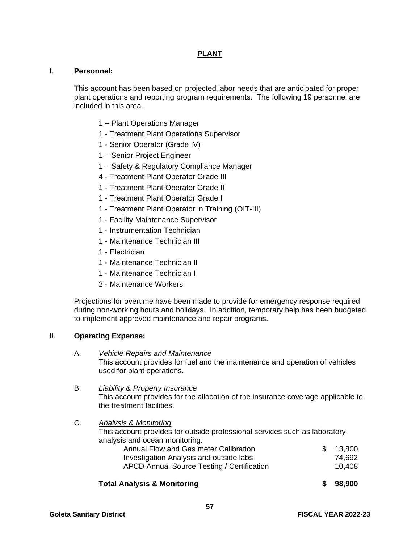#### **PLANT**

#### I. **Personnel:**

This account has been based on projected labor needs that are anticipated for proper plant operations and reporting program requirements. The following 19 personnel are included in this area.

- 1 Plant Operations Manager
- 1 Treatment Plant Operations Supervisor
- 1 Senior Operator (Grade IV)
- 1 Senior Project Engineer
- 1 Safety & Regulatory Compliance Manager
- 4 Treatment Plant Operator Grade III
- 1 Treatment Plant Operator Grade II
- 1 Treatment Plant Operator Grade I
- 1 Treatment Plant Operator in Training (OIT-III)
- 1 Facility Maintenance Supervisor
- 1 Instrumentation Technician
- 1 Maintenance Technician III
- 1 Electrician
- 1 Maintenance Technician II
- 1 Maintenance Technician I
- 2 Maintenance Workers

Projections for overtime have been made to provide for emergency response required during non-working hours and holidays. In addition, temporary help has been budgeted to implement approved maintenance and repair programs.

#### II. **Operating Expense:**

A. *Vehicle Repairs and Maintenance* This account provides for fuel and the maintenance and operation of vehicles used for plant operations.

#### B. *Liability & Property Insurance* This account provides for the allocation of the insurance coverage applicable to the treatment facilities.

#### C. *Analysis & Monitoring*  This account provides for outside professional services such as laboratory analysis and ocean monitoring. Annual Flow and Gas meter Calibration **\$ 13,800**  Investigation Analysis and outside labs 74,692 APCD Annual Source Testing / Certification 10,408

#### **Total Analysis & Monitoring \$ 98,900**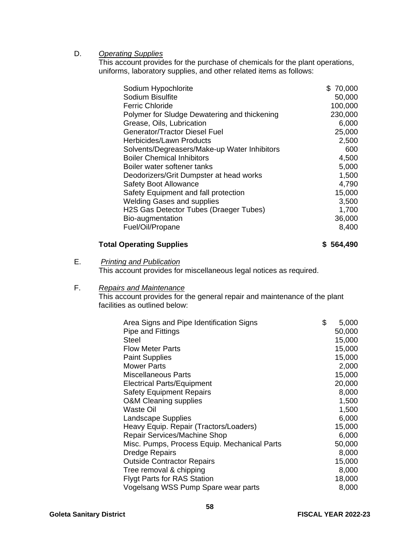#### D. *Operating Supplies*

This account provides for the purchase of chemicals for the plant operations, uniforms, laboratory supplies, and other related items as follows:

| Sodium Hypochlorite                          | \$70,000 |
|----------------------------------------------|----------|
| Sodium Bisulfite                             | 50,000   |
| <b>Ferric Chloride</b>                       | 100,000  |
| Polymer for Sludge Dewatering and thickening | 230,000  |
| Grease, Oils, Lubrication                    | 6,000    |
| <b>Generator/Tractor Diesel Fuel</b>         | 25,000   |
| Herbicides/Lawn Products                     | 2,500    |
| Solvents/Degreasers/Make-up Water Inhibitors | 600      |
| <b>Boiler Chemical Inhibitors</b>            | 4,500    |
| Boiler water softener tanks                  | 5,000    |
| Deodorizers/Grit Dumpster at head works      | 1,500    |
| <b>Safety Boot Allowance</b>                 | 4,790    |
| Safety Equipment and fall protection         | 15,000   |
| <b>Welding Gases and supplies</b>            | 3,500    |
| H2S Gas Detector Tubes (Draeger Tubes)       | 1,700    |
| Bio-augmentation                             | 36,000   |
| Fuel/Oil/Propane                             | 8,400    |
|                                              |          |

#### Total Operating Supplies **8 564,490**

E. *Printing and Publication* 

This account provides for miscellaneous legal notices as required.

#### F. *Repairs and Maintenance*

This account provides for the general repair and maintenance of the plant facilities as outlined below:

| Area Signs and Pipe Identification Signs     | \$<br>5,000 |
|----------------------------------------------|-------------|
| Pipe and Fittings                            | 50,000      |
| Steel                                        | 15,000      |
| <b>Flow Meter Parts</b>                      | 15,000      |
| <b>Paint Supplies</b>                        | 15,000      |
| <b>Mower Parts</b>                           | 2,000       |
| <b>Miscellaneous Parts</b>                   | 15,000      |
| <b>Electrical Parts/Equipment</b>            | 20,000      |
| <b>Safety Equipment Repairs</b>              | 8,000       |
| <b>O&amp;M Cleaning supplies</b>             | 1,500       |
| Waste Oil                                    | 1,500       |
| Landscape Supplies                           | 6,000       |
| Heavy Equip. Repair (Tractors/Loaders)       | 15,000      |
| Repair Services/Machine Shop                 | 6,000       |
| Misc. Pumps, Process Equip. Mechanical Parts | 50,000      |
| <b>Dredge Repairs</b>                        | 8,000       |
| <b>Outside Contractor Repairs</b>            | 15,000      |
| Tree removal & chipping                      | 8,000       |
| <b>Flygt Parts for RAS Station</b>           | 18,000      |
| Vogelsang WSS Pump Spare wear parts          | 8,000       |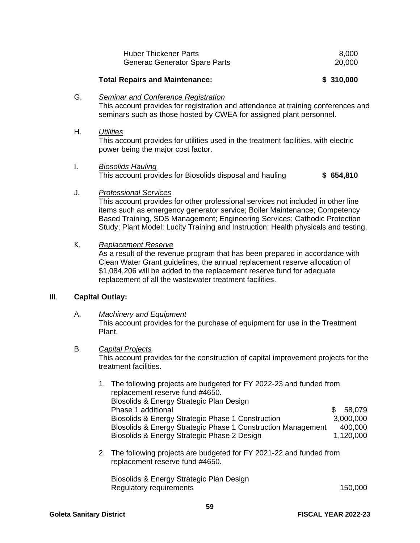| <b>Huber Thickener Parts</b>         | 8.000  |
|--------------------------------------|--------|
| <b>Generac Generator Spare Parts</b> | 20,000 |

#### **Total Repairs and Maintenance: \$ 310,000**

#### G. *Seminar and Conference Registration*

This account provides for registration and attendance at training conferences and seminars such as those hosted by CWEA for assigned plant personnel.

#### H. *Utilities*

This account provides for utilities used in the treatment facilities, with electric power being the major cost factor.

I. *Biosolids Hauling* This account provides for Biosolids disposal and hauling **\$ 654,810**

#### J. *Professional Services*

 This account provides for other professional services not included in other line items such as emergency generator service; Boiler Maintenance; Competency Based Training, SDS Management; Engineering Services; Cathodic Protection Study; Plant Model; Lucity Training and Instruction; Health physicals and testing.

#### K. *Replacement Reserve*

As a result of the revenue program that has been prepared in accordance with Clean Water Grant guidelines, the annual replacement reserve allocation of \$1,084,206 will be added to the replacement reserve fund for adequate replacement of all the wastewater treatment facilities.

#### III. **Capital Outlay:**

#### A. *Machinery and Equipment*

This account provides for the purchase of equipment for use in the Treatment Plant.

#### B. *Capital Projects*

This account provides for the construction of capital improvement projects for the treatment facilities.

| 1. The following projects are budgeted for FY 2022-23 and funded from<br>replacement reserve fund #4650. |     |           |
|----------------------------------------------------------------------------------------------------------|-----|-----------|
| Biosolids & Energy Strategic Plan Design                                                                 |     |           |
| Phase 1 additional                                                                                       | \$. | 58,079    |
| Biosolids & Energy Strategic Phase 1 Construction                                                        |     | 3,000,000 |
| Biosolids & Energy Strategic Phase 1 Construction Management                                             |     | 400,000   |
| Biosolids & Energy Strategic Phase 2 Design                                                              |     | 1,120,000 |

2. The following projects are budgeted for FY 2021-22 and funded from replacement reserve fund #4650.

 Biosolids & Energy Strategic Plan Design Regulatory requirements 150,000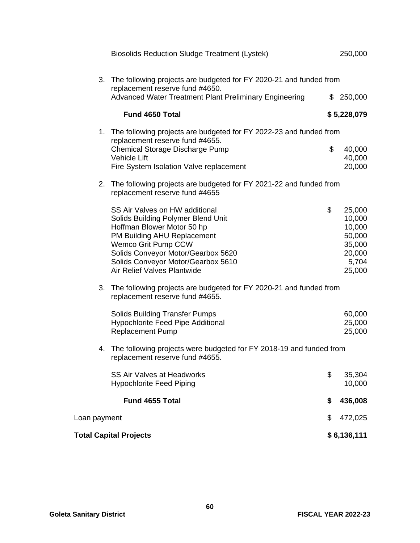|              | <b>Total Capital Projects</b>                                                                                                                                                                                                                                       | \$6,136,111                                                                       |
|--------------|---------------------------------------------------------------------------------------------------------------------------------------------------------------------------------------------------------------------------------------------------------------------|-----------------------------------------------------------------------------------|
| Loan payment |                                                                                                                                                                                                                                                                     | \$<br>472,025                                                                     |
|              | Fund 4655 Total                                                                                                                                                                                                                                                     | \$<br>436,008                                                                     |
|              | <b>SS Air Valves at Headworks</b><br><b>Hypochlorite Feed Piping</b>                                                                                                                                                                                                | \$<br>35,304<br>10,000                                                            |
|              | 4. The following projects were budgeted for FY 2018-19 and funded from<br>replacement reserve fund #4655.                                                                                                                                                           |                                                                                   |
|              | <b>Solids Building Transfer Pumps</b><br>Hypochlorite Feed Pipe Additional<br><b>Replacement Pump</b>                                                                                                                                                               | 60,000<br>25,000<br>25,000                                                        |
| 3.           | The following projects are budgeted for FY 2020-21 and funded from<br>replacement reserve fund #4655.                                                                                                                                                               |                                                                                   |
|              | SS Air Valves on HW additional<br>Solids Building Polymer Blend Unit<br>Hoffman Blower Motor 50 hp<br>PM Building AHU Replacement<br>Wemco Grit Pump CCW<br>Solids Conveyor Motor/Gearbox 5620<br>Solids Conveyor Motor/Gearbox 5610<br>Air Relief Valves Plantwide | \$<br>25,000<br>10,000<br>10,000<br>50,000<br>35,000<br>20,000<br>5,704<br>25,000 |
| 2.           | The following projects are budgeted for FY 2021-22 and funded from<br>replacement reserve fund #4655                                                                                                                                                                |                                                                                   |
|              | 1. The following projects are budgeted for FY 2022-23 and funded from<br>replacement reserve fund #4655.<br>Chemical Storage Discharge Pump<br><b>Vehicle Lift</b><br>Fire System Isolation Valve replacement                                                       | \$<br>40,000<br>40,000<br>20,000                                                  |
|              | <b>Fund 4650 Total</b>                                                                                                                                                                                                                                              | \$5,228,079                                                                       |
|              | 3. The following projects are budgeted for FY 2020-21 and funded from<br>replacement reserve fund #4650.<br>Advanced Water Treatment Plant Preliminary Engineering                                                                                                  | \$<br>250,000                                                                     |
|              | <b>Biosolids Reduction Sludge Treatment (Lystek)</b>                                                                                                                                                                                                                | 250,000                                                                           |
|              |                                                                                                                                                                                                                                                                     |                                                                                   |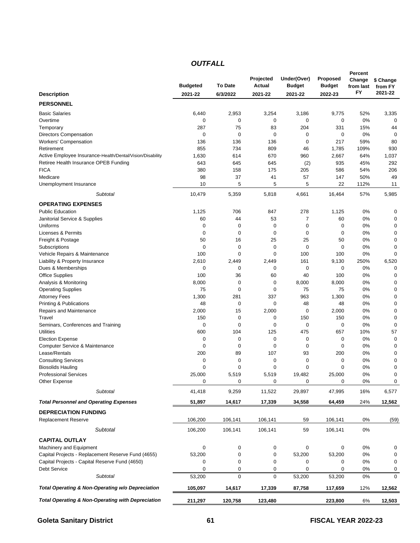#### *OUTFALL*

|                                                              |                 |                  | Projected     | Under(Over)   | <b>Proposed</b> | Percent<br>Change | \$ Change        |
|--------------------------------------------------------------|-----------------|------------------|---------------|---------------|-----------------|-------------------|------------------|
|                                                              | <b>Budgeted</b> | To Date          | <b>Actual</b> | <b>Budget</b> | <b>Budget</b>   | from last         | from FY          |
| <b>Description</b>                                           | 2021-22         | 6/3/2022         | 2021-22       | 2021-22       | 2022-23         | FY                | 2021-22          |
| <b>PERSONNEL</b>                                             |                 |                  |               |               |                 |                   |                  |
| <b>Basic Salaries</b>                                        | 6,440           | 2,953            | 3,254         | 3,186         | 9,775           | 52%               | 3,335            |
| Overtime                                                     | 0               | 0                | 0             | 0             | 0               | 0%                | $\mathbf 0$      |
| Temporary                                                    | 287             | 75               | 83            | 204           | 331             | 15%               | 44               |
| <b>Directors Compensation</b>                                | 0               | $\mathbf 0$      | 0             | $\mathbf 0$   | $\mathbf 0$     | 0%                | $\mathbf 0$      |
| <b>Workers' Compensation</b>                                 | 136             | 136              | 136           | 0             | 217             | 59%               | 80               |
| Retirement                                                   | 855             | 734              | 809           | 46            | 1,785           | 109%              | 930              |
| Active Employee Insurance-Health/Dental/Vision/Disability    | 1,630           | 614              | 670           | 960           | 2,667           | 64%               | 1,037            |
| Retiree Health Insurance OPEB Funding                        | 643             | 645              | 645           | (2)           | 935             | 45%               | 292              |
| <b>FICA</b>                                                  | 380             | 158              | 175           | 205           | 586             | 54%               | 206              |
| Medicare                                                     | 98              | 37               | 41            | 57            | 147             | 50%               | 49               |
| Unemployment Insurance                                       | 10              | 5                | 5             | 5             | 22              | 112%              | 11               |
| Subtotal                                                     | 10,479          | 5,359            | 5,818         | 4,661         | 16,464          | 57%               | 5,985            |
| <b>OPERATING EXPENSES</b>                                    |                 |                  |               |               |                 |                   |                  |
| <b>Public Education</b>                                      | 1,125           | 706              | 847           | 278           | 1,125           | 0%                | 0                |
| Janitorial Service & Supplies                                | 60              | 44               | 53            | 7             | 60              | 0%                | 0                |
| Uniforms                                                     | 0               | 0                | $\mathbf 0$   | $\mathbf 0$   | 0               | 0%                | 0                |
| Licenses & Permits                                           | 0               | $\mathbf 0$      | 0             | 0             | 0               | 0%                | $\mathbf 0$      |
| Freight & Postage                                            | 50              | 16               | 25            | 25            | 50              | 0%                | 0                |
| Subscriptions                                                | 0               | $\mathbf 0$      | 0             | 0             | 0               | 0%                | $\mathbf 0$      |
| Vehicle Repairs & Maintenance                                | 100             | $\mathbf 0$      | $\mathbf 0$   | 100           | 100             | 0%                | $\mathbf 0$      |
| Liability & Property Insurance                               | 2,610           | 2,449            | 2,449         | 161           | 9,130           | 250%              | 6,520            |
| Dues & Memberships                                           | 0               | 0                | 0             | 0             | 0               | 0%                | $\mathbf 0$      |
| <b>Office Supplies</b>                                       | 100             | 36               | 60            | 40            | 100             | 0%                | 0                |
| Analysis & Monitoring                                        | 8,000           | 0                | 0             | 8,000         | 8,000           | 0%                | $\mathbf 0$      |
| <b>Operating Supplies</b>                                    | 75              | 0                | 0             | 75            | 75              | 0%                | 0                |
| <b>Attorney Fees</b>                                         | 1,300           | 281              | 337           | 963           | 1,300           | 0%                | 0                |
| Printing & Publications                                      | 48              | $\mathbf 0$      | 0             | 48            | 48              | 0%                | $\mathbf 0$      |
| Repairs and Maintenance                                      | 2,000           | 15               | 2,000         | 0             | 2,000           | 0%                | 0                |
| Travel                                                       | 150<br>0        | $\mathbf 0$<br>0 | 0<br>0        | 150<br>0      | 150<br>0        | 0%<br>0%          | 0<br>$\mathbf 0$ |
| Seminars, Conferences and Training<br><b>Utilities</b>       | 600             | 104              | 125           | 475           | 657             | 10%               | 57               |
| <b>Election Expense</b>                                      | 0               | 0                | 0             | 0             | 0               | 0%                | $\mathbf 0$      |
| Computer Service & Maintenance                               | 0               | 0                | 0             | 0             | 0               | 0%                | 0                |
| Lease/Rentals                                                | 200             | 89               | 107           | 93            | 200             | 0%                | 0                |
| <b>Consulting Services</b>                                   | 0               | 0                | 0             | 0             | 0               | 0%                | $\mathbf 0$      |
| <b>Biosolids Hauling</b>                                     | $\mathbf 0$     | $\mathbf 0$      | $\mathbf 0$   | $\mathbf 0$   | $\mathbf 0$     | 0%                | 0                |
| <b>Professional Services</b>                                 | 25,000          | 5,519            | 5,519         | 19,482        | 25,000          | 0%                | 0                |
| Other Expense                                                | 0               | 0                | 0             | 0             | 0               | $0\%$             | 0                |
| <b>Subtotal</b>                                              | 41,418          | 9,259            | 11,522        | 29,897        | 47,995          | 16%               | 6,577            |
|                                                              | 51,897          |                  |               |               |                 |                   |                  |
| <b>Total Personnel and Operating Expenses</b>                |                 | 14,617           | 17,339        | 34,558        | 64,459          | 24%               | 12,562           |
| <b>DEPRECIATION FUNDING</b>                                  |                 |                  |               |               |                 |                   |                  |
| <b>Replacement Reserve</b>                                   | 106,200         | 106,141          | 106,141       | 59            | 106,141         | 0%                | (59)             |
| Subtotal                                                     | 106,200         | 106,141          | 106,141       | 59            | 106,141         | 0%                |                  |
| <b>CAPITAL OUTLAY</b>                                        |                 |                  |               |               |                 |                   |                  |
| Machinery and Equipment                                      | 0               | 0                | 0             | 0             | 0               | 0%                | 0                |
| Capital Projects - Replacement Reserve Fund (4655)           | 53,200          | 0                | 0             | 53,200        | 53,200          | 0%                | 0                |
| Capital Projects - Capital Reserve Fund (4650)               | 0               | 0                | 0             | 0             | 0               | 0%                | 0                |
| Debt Service                                                 | 0               | 0                | 0             | 0             | 0               | 0%                | 0                |
| Subtotal                                                     | 53,200          | $\mathbf 0$      | 0             | 53,200        | 53,200          | 0%                | $\mathbf 0$      |
| Total Operating & Non-Operating w/o Depreciation             | 105,097         | 14,617           | 17,339        | 87,758        | 117,659         | 12%               | 12,562           |
| <b>Total Operating &amp; Non-Operating with Depreciation</b> | 211,297         | 120,758          | 123,480       |               | 223,800         | 6%                | 12,503           |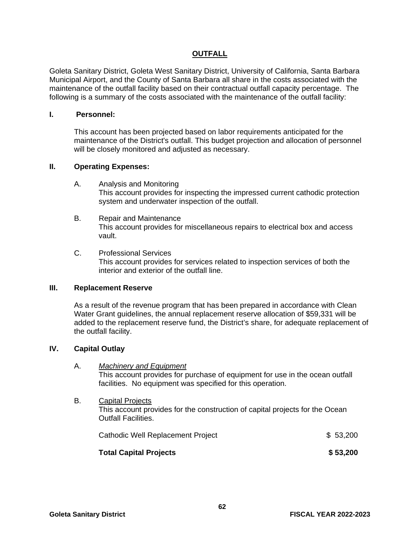#### **OUTFALL**

Goleta Sanitary District, Goleta West Sanitary District, University of California, Santa Barbara Municipal Airport, and the County of Santa Barbara all share in the costs associated with the maintenance of the outfall facility based on their contractual outfall capacity percentage. The following is a summary of the costs associated with the maintenance of the outfall facility:

#### **I. Personnel:**

This account has been projected based on labor requirements anticipated for the maintenance of the District's outfall. This budget projection and allocation of personnel will be closely monitored and adjusted as necessary.

#### **II. Operating Expenses:**

- A. Analysis and Monitoring This account provides for inspecting the impressed current cathodic protection system and underwater inspection of the outfall.
- B. Repair and Maintenance This account provides for miscellaneous repairs to electrical box and access vault.
- C. Professional Services This account provides for services related to inspection services of both the interior and exterior of the outfall line.

#### **III. Replacement Reserve**

As a result of the revenue program that has been prepared in accordance with Clean Water Grant guidelines, the annual replacement reserve allocation of \$59,331 will be added to the replacement reserve fund, the District's share, for adequate replacement of the outfall facility.

#### **IV. Capital Outlay**

- A. *Machinery and Equipment* This account provides for purchase of equipment for use in the ocean outfall facilities. No equipment was specified for this operation.
- B. Capital Projects This account provides for the construction of capital projects for the Ocean Outfall Facilities.

| Cathodic Well Replacement Project | \$ 53,200 |
|-----------------------------------|-----------|
| <b>Total Capital Projects</b>     | \$53,200  |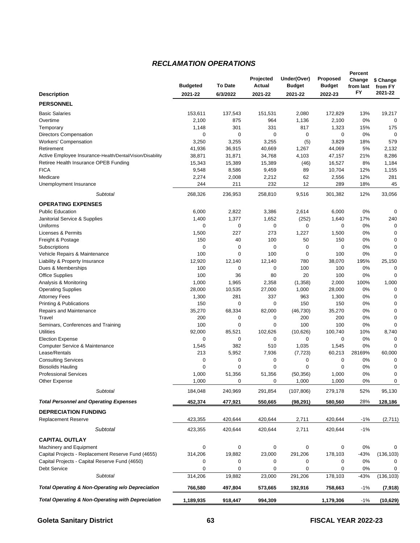#### *RECLAMATION OPERATIONS*

| To Date<br><b>Actual</b><br><b>Budgeted</b><br><b>Budget</b><br><b>Budget</b><br>from last<br>from FY<br>FY<br>2021-22<br><b>Description</b><br>2021-22<br>6/3/2022<br>2021-22<br>2021-22<br>2022-23<br><b>PERSONNEL</b><br><b>Basic Salaries</b><br>153,611<br>137,543<br>2,080<br>172,829<br>13%<br>19,217<br>151,531<br>2,100<br>875<br>964<br>1,136<br>2,100<br>0%<br>0<br>Overtime<br>1,148<br>301<br>331<br>817<br>1,323<br>15%<br>175<br>Temporary<br>0<br>0<br>0<br>0<br>0<br>0%<br>$\mathbf 0$<br><b>Directors Compensation</b><br>3,250<br>3,255<br>(5)<br>579<br><b>Workers' Compensation</b><br>3,255<br>3,829<br>18%<br>41,936<br>36,915<br>40,669<br>1,267<br>44,069<br>5%<br>2,132<br>Retirement<br>21%<br>Active Employee Insurance-Health/Dental/Vision/Disability<br>38,871<br>31,871<br>34,768<br>4,103<br>47,157<br>8,286<br>Retiree Health Insurance OPEB Funding<br>15,343<br>15,389<br>15,389<br>16,527<br>8%<br>1,184<br>(46)<br><b>FICA</b><br>9,548<br>8,586<br>9,459<br>89<br>10,704<br>12%<br>1,155<br>Medicare<br>2,274<br>2,008<br>2,212<br>62<br>2,556<br>12%<br>281<br>244<br>211<br>232<br>12<br>289<br>18%<br>45<br>Unemployment Insurance<br>268,326<br>258,810<br>9,516<br>33,056<br>Subtotal<br>236,953<br>301,382<br>12%<br><b>OPERATING EXPENSES</b><br><b>Public Education</b><br>6,000<br>2,822<br>2,614<br>3,386<br>6,000<br>0%<br>0<br>1,377<br>1,652<br>17%<br>240<br>Janitorial Service & Supplies<br>1,400<br>(252)<br>1,640<br>0<br>0<br>0<br>0<br>0<br>0%<br>Uniforms<br>$\mathbf 0$<br>1,500<br>227<br>273<br>1,227<br>1,500<br>0%<br>$\mathbf 0$<br>Licenses & Permits<br>150<br>40<br>100<br>50<br>150<br>0%<br>$\mathbf 0$<br>Freight & Postage<br>0<br>0<br>0<br>0<br>0<br>0%<br>$\mathbf 0$<br>Subscriptions<br>100<br>0<br>100<br>0<br>0%<br>$\mathbf 0$<br>Vehicle Repairs & Maintenance<br>100<br>12,920<br>12,140<br>780<br>38,070<br>195%<br>Liability & Property Insurance<br>12,140<br>25,150<br>100<br>0<br>0<br>100<br>100<br>$\mathbf 0$<br>Dues & Memberships<br>0%<br>100<br>36<br>80<br>20<br>100<br>0%<br><b>Office Supplies</b><br>$\mathbf 0$<br>1,000<br>2,358<br>(1,358)<br>2,000<br>100%<br>1,000<br>Analysis & Monitoring<br>1,965<br>28,000<br>10,535<br>27,000<br>1,000<br>28,000<br>0%<br>$\mathbf 0$<br><b>Operating Supplies</b><br>1,300<br>281<br>337<br>963<br>1,300<br>0%<br>$\mathbf 0$<br><b>Attorney Fees</b><br>Printing & Publications<br>150<br>0<br>0<br>150<br>150<br>0%<br>$\mathbf 0$<br>35,270<br>68,334<br>35,270<br>0%<br>$\mathbf 0$<br>Repairs and Maintenance<br>82,000<br>(46, 730)<br>200<br>0<br>0<br>200<br>200<br>0%<br>$\mathbf 0$<br>Travel<br>0<br>100<br>0<br>100<br>100<br>0%<br>$\Omega$<br>Seminars, Conferences and Training<br>92,000<br>85,521<br>(10, 626)<br>100,740<br>8,740<br><b>Utilities</b><br>102,626<br>10%<br>0<br>0<br>0<br>0%<br>0<br>0<br>0<br><b>Election Expense</b><br>382<br>1,545<br>510<br>1,035<br>1,545<br>0%<br>$\mathbf 0$<br>Computer Service & Maintenance<br>Lease/Rentals<br>213<br>5,952<br>7,936<br>60,213<br>28169%<br>60,000<br>(7, 723)<br>0<br>0%<br><b>Consulting Services</b><br>0<br>0<br>0<br>0<br>0<br>0<br>0<br>0<br>0<br>0<br>0%<br>0<br><b>Biosolids Hauling</b><br>0%<br>0<br><b>Professional Services</b><br>1,000<br>51.356<br>51,356<br>(50, 356)<br>1,000<br>1,000<br>0<br>0<br>1,000<br>1,000<br>$0\%$<br>0<br>Other Expense<br>184,048<br>52%<br>95,130<br>Subtotal<br>240,969<br>291,854<br>(107, 806)<br>279,178<br><b>Total Personnel and Operating Expenses</b><br>452,374<br>28%<br>477,921<br>550,665<br>(98, 291)<br>580,560<br>128,186<br><b>DEPRECIATION FUNDING</b><br><b>Replacement Reserve</b><br>423,355<br>420,644<br>420,644<br>2,711<br>420,644<br>$-1%$<br>(2,711)<br>Subtotal<br>423,355<br>420,644<br>420,644<br>2,711<br>420,644<br>$-1%$<br><b>CAPITAL OUTLAY</b><br>Machinery and Equipment<br>0<br>0<br>0<br>0<br>0<br>0%<br>0<br>Capital Projects - Replacement Reserve Fund (4655)<br>314,206<br>19,882<br>291,206<br>$-43%$<br>(136, 103)<br>23,000<br>178,103<br>Capital Projects - Capital Reserve Fund (4650)<br>0%<br>0<br>0<br>0<br>0<br>0<br>0<br><b>Debt Service</b><br>0<br>0<br>0<br>0<br>0<br>0%<br>0<br>291,206<br>Subtotal<br>314,206<br>19,882<br>23,000<br>178,103<br>$-43%$<br>(136, 103)<br>Total Operating & Non-Operating w/o Depreciation<br>766,580<br>497,804<br>192,916<br>573,665<br>758,663<br>$-1%$<br>(7, 918) |                                                              |           |         | Projected | Under(Over) | <b>Proposed</b> | Percent<br>Change | \$ Change |
|----------------------------------------------------------------------------------------------------------------------------------------------------------------------------------------------------------------------------------------------------------------------------------------------------------------------------------------------------------------------------------------------------------------------------------------------------------------------------------------------------------------------------------------------------------------------------------------------------------------------------------------------------------------------------------------------------------------------------------------------------------------------------------------------------------------------------------------------------------------------------------------------------------------------------------------------------------------------------------------------------------------------------------------------------------------------------------------------------------------------------------------------------------------------------------------------------------------------------------------------------------------------------------------------------------------------------------------------------------------------------------------------------------------------------------------------------------------------------------------------------------------------------------------------------------------------------------------------------------------------------------------------------------------------------------------------------------------------------------------------------------------------------------------------------------------------------------------------------------------------------------------------------------------------------------------------------------------------------------------------------------------------------------------------------------------------------------------------------------------------------------------------------------------------------------------------------------------------------------------------------------------------------------------------------------------------------------------------------------------------------------------------------------------------------------------------------------------------------------------------------------------------------------------------------------------------------------------------------------------------------------------------------------------------------------------------------------------------------------------------------------------------------------------------------------------------------------------------------------------------------------------------------------------------------------------------------------------------------------------------------------------------------------------------------------------------------------------------------------------------------------------------------------------------------------------------------------------------------------------------------------------------------------------------------------------------------------------------------------------------------------------------------------------------------------------------------------------------------------------------------------------------------------------------------------------------------------------------------------------------------------------------------------------------------------------------------------------------------------------------------------------------------------------------------------------------------------------------------------------------------------------------------------------------------------------------------------------------------------------------------------------------------------------------------------------------------------------------------------------------------------------------------------------------------------------------------------------------------------------------------------------------------------------------------------------------------------------------------------------------------------------------------------------------------------------|--------------------------------------------------------------|-----------|---------|-----------|-------------|-----------------|-------------------|-----------|
|                                                                                                                                                                                                                                                                                                                                                                                                                                                                                                                                                                                                                                                                                                                                                                                                                                                                                                                                                                                                                                                                                                                                                                                                                                                                                                                                                                                                                                                                                                                                                                                                                                                                                                                                                                                                                                                                                                                                                                                                                                                                                                                                                                                                                                                                                                                                                                                                                                                                                                                                                                                                                                                                                                                                                                                                                                                                                                                                                                                                                                                                                                                                                                                                                                                                                                                                                                                                                                                                                                                                                                                                                                                                                                                                                                                                                                                                                                                                                                                                                                                                                                                                                                                                                                                                                                                                                                                                                                        |                                                              |           |         |           |             |                 |                   |           |
|                                                                                                                                                                                                                                                                                                                                                                                                                                                                                                                                                                                                                                                                                                                                                                                                                                                                                                                                                                                                                                                                                                                                                                                                                                                                                                                                                                                                                                                                                                                                                                                                                                                                                                                                                                                                                                                                                                                                                                                                                                                                                                                                                                                                                                                                                                                                                                                                                                                                                                                                                                                                                                                                                                                                                                                                                                                                                                                                                                                                                                                                                                                                                                                                                                                                                                                                                                                                                                                                                                                                                                                                                                                                                                                                                                                                                                                                                                                                                                                                                                                                                                                                                                                                                                                                                                                                                                                                                                        |                                                              |           |         |           |             |                 |                   |           |
|                                                                                                                                                                                                                                                                                                                                                                                                                                                                                                                                                                                                                                                                                                                                                                                                                                                                                                                                                                                                                                                                                                                                                                                                                                                                                                                                                                                                                                                                                                                                                                                                                                                                                                                                                                                                                                                                                                                                                                                                                                                                                                                                                                                                                                                                                                                                                                                                                                                                                                                                                                                                                                                                                                                                                                                                                                                                                                                                                                                                                                                                                                                                                                                                                                                                                                                                                                                                                                                                                                                                                                                                                                                                                                                                                                                                                                                                                                                                                                                                                                                                                                                                                                                                                                                                                                                                                                                                                                        |                                                              |           |         |           |             |                 |                   |           |
|                                                                                                                                                                                                                                                                                                                                                                                                                                                                                                                                                                                                                                                                                                                                                                                                                                                                                                                                                                                                                                                                                                                                                                                                                                                                                                                                                                                                                                                                                                                                                                                                                                                                                                                                                                                                                                                                                                                                                                                                                                                                                                                                                                                                                                                                                                                                                                                                                                                                                                                                                                                                                                                                                                                                                                                                                                                                                                                                                                                                                                                                                                                                                                                                                                                                                                                                                                                                                                                                                                                                                                                                                                                                                                                                                                                                                                                                                                                                                                                                                                                                                                                                                                                                                                                                                                                                                                                                                                        |                                                              |           |         |           |             |                 |                   |           |
|                                                                                                                                                                                                                                                                                                                                                                                                                                                                                                                                                                                                                                                                                                                                                                                                                                                                                                                                                                                                                                                                                                                                                                                                                                                                                                                                                                                                                                                                                                                                                                                                                                                                                                                                                                                                                                                                                                                                                                                                                                                                                                                                                                                                                                                                                                                                                                                                                                                                                                                                                                                                                                                                                                                                                                                                                                                                                                                                                                                                                                                                                                                                                                                                                                                                                                                                                                                                                                                                                                                                                                                                                                                                                                                                                                                                                                                                                                                                                                                                                                                                                                                                                                                                                                                                                                                                                                                                                                        |                                                              |           |         |           |             |                 |                   |           |
|                                                                                                                                                                                                                                                                                                                                                                                                                                                                                                                                                                                                                                                                                                                                                                                                                                                                                                                                                                                                                                                                                                                                                                                                                                                                                                                                                                                                                                                                                                                                                                                                                                                                                                                                                                                                                                                                                                                                                                                                                                                                                                                                                                                                                                                                                                                                                                                                                                                                                                                                                                                                                                                                                                                                                                                                                                                                                                                                                                                                                                                                                                                                                                                                                                                                                                                                                                                                                                                                                                                                                                                                                                                                                                                                                                                                                                                                                                                                                                                                                                                                                                                                                                                                                                                                                                                                                                                                                                        |                                                              |           |         |           |             |                 |                   |           |
|                                                                                                                                                                                                                                                                                                                                                                                                                                                                                                                                                                                                                                                                                                                                                                                                                                                                                                                                                                                                                                                                                                                                                                                                                                                                                                                                                                                                                                                                                                                                                                                                                                                                                                                                                                                                                                                                                                                                                                                                                                                                                                                                                                                                                                                                                                                                                                                                                                                                                                                                                                                                                                                                                                                                                                                                                                                                                                                                                                                                                                                                                                                                                                                                                                                                                                                                                                                                                                                                                                                                                                                                                                                                                                                                                                                                                                                                                                                                                                                                                                                                                                                                                                                                                                                                                                                                                                                                                                        |                                                              |           |         |           |             |                 |                   |           |
|                                                                                                                                                                                                                                                                                                                                                                                                                                                                                                                                                                                                                                                                                                                                                                                                                                                                                                                                                                                                                                                                                                                                                                                                                                                                                                                                                                                                                                                                                                                                                                                                                                                                                                                                                                                                                                                                                                                                                                                                                                                                                                                                                                                                                                                                                                                                                                                                                                                                                                                                                                                                                                                                                                                                                                                                                                                                                                                                                                                                                                                                                                                                                                                                                                                                                                                                                                                                                                                                                                                                                                                                                                                                                                                                                                                                                                                                                                                                                                                                                                                                                                                                                                                                                                                                                                                                                                                                                                        |                                                              |           |         |           |             |                 |                   |           |
|                                                                                                                                                                                                                                                                                                                                                                                                                                                                                                                                                                                                                                                                                                                                                                                                                                                                                                                                                                                                                                                                                                                                                                                                                                                                                                                                                                                                                                                                                                                                                                                                                                                                                                                                                                                                                                                                                                                                                                                                                                                                                                                                                                                                                                                                                                                                                                                                                                                                                                                                                                                                                                                                                                                                                                                                                                                                                                                                                                                                                                                                                                                                                                                                                                                                                                                                                                                                                                                                                                                                                                                                                                                                                                                                                                                                                                                                                                                                                                                                                                                                                                                                                                                                                                                                                                                                                                                                                                        |                                                              |           |         |           |             |                 |                   |           |
|                                                                                                                                                                                                                                                                                                                                                                                                                                                                                                                                                                                                                                                                                                                                                                                                                                                                                                                                                                                                                                                                                                                                                                                                                                                                                                                                                                                                                                                                                                                                                                                                                                                                                                                                                                                                                                                                                                                                                                                                                                                                                                                                                                                                                                                                                                                                                                                                                                                                                                                                                                                                                                                                                                                                                                                                                                                                                                                                                                                                                                                                                                                                                                                                                                                                                                                                                                                                                                                                                                                                                                                                                                                                                                                                                                                                                                                                                                                                                                                                                                                                                                                                                                                                                                                                                                                                                                                                                                        |                                                              |           |         |           |             |                 |                   |           |
|                                                                                                                                                                                                                                                                                                                                                                                                                                                                                                                                                                                                                                                                                                                                                                                                                                                                                                                                                                                                                                                                                                                                                                                                                                                                                                                                                                                                                                                                                                                                                                                                                                                                                                                                                                                                                                                                                                                                                                                                                                                                                                                                                                                                                                                                                                                                                                                                                                                                                                                                                                                                                                                                                                                                                                                                                                                                                                                                                                                                                                                                                                                                                                                                                                                                                                                                                                                                                                                                                                                                                                                                                                                                                                                                                                                                                                                                                                                                                                                                                                                                                                                                                                                                                                                                                                                                                                                                                                        |                                                              |           |         |           |             |                 |                   |           |
|                                                                                                                                                                                                                                                                                                                                                                                                                                                                                                                                                                                                                                                                                                                                                                                                                                                                                                                                                                                                                                                                                                                                                                                                                                                                                                                                                                                                                                                                                                                                                                                                                                                                                                                                                                                                                                                                                                                                                                                                                                                                                                                                                                                                                                                                                                                                                                                                                                                                                                                                                                                                                                                                                                                                                                                                                                                                                                                                                                                                                                                                                                                                                                                                                                                                                                                                                                                                                                                                                                                                                                                                                                                                                                                                                                                                                                                                                                                                                                                                                                                                                                                                                                                                                                                                                                                                                                                                                                        |                                                              |           |         |           |             |                 |                   |           |
|                                                                                                                                                                                                                                                                                                                                                                                                                                                                                                                                                                                                                                                                                                                                                                                                                                                                                                                                                                                                                                                                                                                                                                                                                                                                                                                                                                                                                                                                                                                                                                                                                                                                                                                                                                                                                                                                                                                                                                                                                                                                                                                                                                                                                                                                                                                                                                                                                                                                                                                                                                                                                                                                                                                                                                                                                                                                                                                                                                                                                                                                                                                                                                                                                                                                                                                                                                                                                                                                                                                                                                                                                                                                                                                                                                                                                                                                                                                                                                                                                                                                                                                                                                                                                                                                                                                                                                                                                                        |                                                              |           |         |           |             |                 |                   |           |
|                                                                                                                                                                                                                                                                                                                                                                                                                                                                                                                                                                                                                                                                                                                                                                                                                                                                                                                                                                                                                                                                                                                                                                                                                                                                                                                                                                                                                                                                                                                                                                                                                                                                                                                                                                                                                                                                                                                                                                                                                                                                                                                                                                                                                                                                                                                                                                                                                                                                                                                                                                                                                                                                                                                                                                                                                                                                                                                                                                                                                                                                                                                                                                                                                                                                                                                                                                                                                                                                                                                                                                                                                                                                                                                                                                                                                                                                                                                                                                                                                                                                                                                                                                                                                                                                                                                                                                                                                                        |                                                              |           |         |           |             |                 |                   |           |
|                                                                                                                                                                                                                                                                                                                                                                                                                                                                                                                                                                                                                                                                                                                                                                                                                                                                                                                                                                                                                                                                                                                                                                                                                                                                                                                                                                                                                                                                                                                                                                                                                                                                                                                                                                                                                                                                                                                                                                                                                                                                                                                                                                                                                                                                                                                                                                                                                                                                                                                                                                                                                                                                                                                                                                                                                                                                                                                                                                                                                                                                                                                                                                                                                                                                                                                                                                                                                                                                                                                                                                                                                                                                                                                                                                                                                                                                                                                                                                                                                                                                                                                                                                                                                                                                                                                                                                                                                                        |                                                              |           |         |           |             |                 |                   |           |
|                                                                                                                                                                                                                                                                                                                                                                                                                                                                                                                                                                                                                                                                                                                                                                                                                                                                                                                                                                                                                                                                                                                                                                                                                                                                                                                                                                                                                                                                                                                                                                                                                                                                                                                                                                                                                                                                                                                                                                                                                                                                                                                                                                                                                                                                                                                                                                                                                                                                                                                                                                                                                                                                                                                                                                                                                                                                                                                                                                                                                                                                                                                                                                                                                                                                                                                                                                                                                                                                                                                                                                                                                                                                                                                                                                                                                                                                                                                                                                                                                                                                                                                                                                                                                                                                                                                                                                                                                                        |                                                              |           |         |           |             |                 |                   |           |
|                                                                                                                                                                                                                                                                                                                                                                                                                                                                                                                                                                                                                                                                                                                                                                                                                                                                                                                                                                                                                                                                                                                                                                                                                                                                                                                                                                                                                                                                                                                                                                                                                                                                                                                                                                                                                                                                                                                                                                                                                                                                                                                                                                                                                                                                                                                                                                                                                                                                                                                                                                                                                                                                                                                                                                                                                                                                                                                                                                                                                                                                                                                                                                                                                                                                                                                                                                                                                                                                                                                                                                                                                                                                                                                                                                                                                                                                                                                                                                                                                                                                                                                                                                                                                                                                                                                                                                                                                                        |                                                              |           |         |           |             |                 |                   |           |
|                                                                                                                                                                                                                                                                                                                                                                                                                                                                                                                                                                                                                                                                                                                                                                                                                                                                                                                                                                                                                                                                                                                                                                                                                                                                                                                                                                                                                                                                                                                                                                                                                                                                                                                                                                                                                                                                                                                                                                                                                                                                                                                                                                                                                                                                                                                                                                                                                                                                                                                                                                                                                                                                                                                                                                                                                                                                                                                                                                                                                                                                                                                                                                                                                                                                                                                                                                                                                                                                                                                                                                                                                                                                                                                                                                                                                                                                                                                                                                                                                                                                                                                                                                                                                                                                                                                                                                                                                                        |                                                              |           |         |           |             |                 |                   |           |
|                                                                                                                                                                                                                                                                                                                                                                                                                                                                                                                                                                                                                                                                                                                                                                                                                                                                                                                                                                                                                                                                                                                                                                                                                                                                                                                                                                                                                                                                                                                                                                                                                                                                                                                                                                                                                                                                                                                                                                                                                                                                                                                                                                                                                                                                                                                                                                                                                                                                                                                                                                                                                                                                                                                                                                                                                                                                                                                                                                                                                                                                                                                                                                                                                                                                                                                                                                                                                                                                                                                                                                                                                                                                                                                                                                                                                                                                                                                                                                                                                                                                                                                                                                                                                                                                                                                                                                                                                                        |                                                              |           |         |           |             |                 |                   |           |
|                                                                                                                                                                                                                                                                                                                                                                                                                                                                                                                                                                                                                                                                                                                                                                                                                                                                                                                                                                                                                                                                                                                                                                                                                                                                                                                                                                                                                                                                                                                                                                                                                                                                                                                                                                                                                                                                                                                                                                                                                                                                                                                                                                                                                                                                                                                                                                                                                                                                                                                                                                                                                                                                                                                                                                                                                                                                                                                                                                                                                                                                                                                                                                                                                                                                                                                                                                                                                                                                                                                                                                                                                                                                                                                                                                                                                                                                                                                                                                                                                                                                                                                                                                                                                                                                                                                                                                                                                                        |                                                              |           |         |           |             |                 |                   |           |
|                                                                                                                                                                                                                                                                                                                                                                                                                                                                                                                                                                                                                                                                                                                                                                                                                                                                                                                                                                                                                                                                                                                                                                                                                                                                                                                                                                                                                                                                                                                                                                                                                                                                                                                                                                                                                                                                                                                                                                                                                                                                                                                                                                                                                                                                                                                                                                                                                                                                                                                                                                                                                                                                                                                                                                                                                                                                                                                                                                                                                                                                                                                                                                                                                                                                                                                                                                                                                                                                                                                                                                                                                                                                                                                                                                                                                                                                                                                                                                                                                                                                                                                                                                                                                                                                                                                                                                                                                                        |                                                              |           |         |           |             |                 |                   |           |
|                                                                                                                                                                                                                                                                                                                                                                                                                                                                                                                                                                                                                                                                                                                                                                                                                                                                                                                                                                                                                                                                                                                                                                                                                                                                                                                                                                                                                                                                                                                                                                                                                                                                                                                                                                                                                                                                                                                                                                                                                                                                                                                                                                                                                                                                                                                                                                                                                                                                                                                                                                                                                                                                                                                                                                                                                                                                                                                                                                                                                                                                                                                                                                                                                                                                                                                                                                                                                                                                                                                                                                                                                                                                                                                                                                                                                                                                                                                                                                                                                                                                                                                                                                                                                                                                                                                                                                                                                                        |                                                              |           |         |           |             |                 |                   |           |
|                                                                                                                                                                                                                                                                                                                                                                                                                                                                                                                                                                                                                                                                                                                                                                                                                                                                                                                                                                                                                                                                                                                                                                                                                                                                                                                                                                                                                                                                                                                                                                                                                                                                                                                                                                                                                                                                                                                                                                                                                                                                                                                                                                                                                                                                                                                                                                                                                                                                                                                                                                                                                                                                                                                                                                                                                                                                                                                                                                                                                                                                                                                                                                                                                                                                                                                                                                                                                                                                                                                                                                                                                                                                                                                                                                                                                                                                                                                                                                                                                                                                                                                                                                                                                                                                                                                                                                                                                                        |                                                              |           |         |           |             |                 |                   |           |
|                                                                                                                                                                                                                                                                                                                                                                                                                                                                                                                                                                                                                                                                                                                                                                                                                                                                                                                                                                                                                                                                                                                                                                                                                                                                                                                                                                                                                                                                                                                                                                                                                                                                                                                                                                                                                                                                                                                                                                                                                                                                                                                                                                                                                                                                                                                                                                                                                                                                                                                                                                                                                                                                                                                                                                                                                                                                                                                                                                                                                                                                                                                                                                                                                                                                                                                                                                                                                                                                                                                                                                                                                                                                                                                                                                                                                                                                                                                                                                                                                                                                                                                                                                                                                                                                                                                                                                                                                                        |                                                              |           |         |           |             |                 |                   |           |
|                                                                                                                                                                                                                                                                                                                                                                                                                                                                                                                                                                                                                                                                                                                                                                                                                                                                                                                                                                                                                                                                                                                                                                                                                                                                                                                                                                                                                                                                                                                                                                                                                                                                                                                                                                                                                                                                                                                                                                                                                                                                                                                                                                                                                                                                                                                                                                                                                                                                                                                                                                                                                                                                                                                                                                                                                                                                                                                                                                                                                                                                                                                                                                                                                                                                                                                                                                                                                                                                                                                                                                                                                                                                                                                                                                                                                                                                                                                                                                                                                                                                                                                                                                                                                                                                                                                                                                                                                                        |                                                              |           |         |           |             |                 |                   |           |
|                                                                                                                                                                                                                                                                                                                                                                                                                                                                                                                                                                                                                                                                                                                                                                                                                                                                                                                                                                                                                                                                                                                                                                                                                                                                                                                                                                                                                                                                                                                                                                                                                                                                                                                                                                                                                                                                                                                                                                                                                                                                                                                                                                                                                                                                                                                                                                                                                                                                                                                                                                                                                                                                                                                                                                                                                                                                                                                                                                                                                                                                                                                                                                                                                                                                                                                                                                                                                                                                                                                                                                                                                                                                                                                                                                                                                                                                                                                                                                                                                                                                                                                                                                                                                                                                                                                                                                                                                                        |                                                              |           |         |           |             |                 |                   |           |
|                                                                                                                                                                                                                                                                                                                                                                                                                                                                                                                                                                                                                                                                                                                                                                                                                                                                                                                                                                                                                                                                                                                                                                                                                                                                                                                                                                                                                                                                                                                                                                                                                                                                                                                                                                                                                                                                                                                                                                                                                                                                                                                                                                                                                                                                                                                                                                                                                                                                                                                                                                                                                                                                                                                                                                                                                                                                                                                                                                                                                                                                                                                                                                                                                                                                                                                                                                                                                                                                                                                                                                                                                                                                                                                                                                                                                                                                                                                                                                                                                                                                                                                                                                                                                                                                                                                                                                                                                                        |                                                              |           |         |           |             |                 |                   |           |
|                                                                                                                                                                                                                                                                                                                                                                                                                                                                                                                                                                                                                                                                                                                                                                                                                                                                                                                                                                                                                                                                                                                                                                                                                                                                                                                                                                                                                                                                                                                                                                                                                                                                                                                                                                                                                                                                                                                                                                                                                                                                                                                                                                                                                                                                                                                                                                                                                                                                                                                                                                                                                                                                                                                                                                                                                                                                                                                                                                                                                                                                                                                                                                                                                                                                                                                                                                                                                                                                                                                                                                                                                                                                                                                                                                                                                                                                                                                                                                                                                                                                                                                                                                                                                                                                                                                                                                                                                                        |                                                              |           |         |           |             |                 |                   |           |
|                                                                                                                                                                                                                                                                                                                                                                                                                                                                                                                                                                                                                                                                                                                                                                                                                                                                                                                                                                                                                                                                                                                                                                                                                                                                                                                                                                                                                                                                                                                                                                                                                                                                                                                                                                                                                                                                                                                                                                                                                                                                                                                                                                                                                                                                                                                                                                                                                                                                                                                                                                                                                                                                                                                                                                                                                                                                                                                                                                                                                                                                                                                                                                                                                                                                                                                                                                                                                                                                                                                                                                                                                                                                                                                                                                                                                                                                                                                                                                                                                                                                                                                                                                                                                                                                                                                                                                                                                                        |                                                              |           |         |           |             |                 |                   |           |
|                                                                                                                                                                                                                                                                                                                                                                                                                                                                                                                                                                                                                                                                                                                                                                                                                                                                                                                                                                                                                                                                                                                                                                                                                                                                                                                                                                                                                                                                                                                                                                                                                                                                                                                                                                                                                                                                                                                                                                                                                                                                                                                                                                                                                                                                                                                                                                                                                                                                                                                                                                                                                                                                                                                                                                                                                                                                                                                                                                                                                                                                                                                                                                                                                                                                                                                                                                                                                                                                                                                                                                                                                                                                                                                                                                                                                                                                                                                                                                                                                                                                                                                                                                                                                                                                                                                                                                                                                                        |                                                              |           |         |           |             |                 |                   |           |
|                                                                                                                                                                                                                                                                                                                                                                                                                                                                                                                                                                                                                                                                                                                                                                                                                                                                                                                                                                                                                                                                                                                                                                                                                                                                                                                                                                                                                                                                                                                                                                                                                                                                                                                                                                                                                                                                                                                                                                                                                                                                                                                                                                                                                                                                                                                                                                                                                                                                                                                                                                                                                                                                                                                                                                                                                                                                                                                                                                                                                                                                                                                                                                                                                                                                                                                                                                                                                                                                                                                                                                                                                                                                                                                                                                                                                                                                                                                                                                                                                                                                                                                                                                                                                                                                                                                                                                                                                                        |                                                              |           |         |           |             |                 |                   |           |
|                                                                                                                                                                                                                                                                                                                                                                                                                                                                                                                                                                                                                                                                                                                                                                                                                                                                                                                                                                                                                                                                                                                                                                                                                                                                                                                                                                                                                                                                                                                                                                                                                                                                                                                                                                                                                                                                                                                                                                                                                                                                                                                                                                                                                                                                                                                                                                                                                                                                                                                                                                                                                                                                                                                                                                                                                                                                                                                                                                                                                                                                                                                                                                                                                                                                                                                                                                                                                                                                                                                                                                                                                                                                                                                                                                                                                                                                                                                                                                                                                                                                                                                                                                                                                                                                                                                                                                                                                                        |                                                              |           |         |           |             |                 |                   |           |
|                                                                                                                                                                                                                                                                                                                                                                                                                                                                                                                                                                                                                                                                                                                                                                                                                                                                                                                                                                                                                                                                                                                                                                                                                                                                                                                                                                                                                                                                                                                                                                                                                                                                                                                                                                                                                                                                                                                                                                                                                                                                                                                                                                                                                                                                                                                                                                                                                                                                                                                                                                                                                                                                                                                                                                                                                                                                                                                                                                                                                                                                                                                                                                                                                                                                                                                                                                                                                                                                                                                                                                                                                                                                                                                                                                                                                                                                                                                                                                                                                                                                                                                                                                                                                                                                                                                                                                                                                                        |                                                              |           |         |           |             |                 |                   |           |
|                                                                                                                                                                                                                                                                                                                                                                                                                                                                                                                                                                                                                                                                                                                                                                                                                                                                                                                                                                                                                                                                                                                                                                                                                                                                                                                                                                                                                                                                                                                                                                                                                                                                                                                                                                                                                                                                                                                                                                                                                                                                                                                                                                                                                                                                                                                                                                                                                                                                                                                                                                                                                                                                                                                                                                                                                                                                                                                                                                                                                                                                                                                                                                                                                                                                                                                                                                                                                                                                                                                                                                                                                                                                                                                                                                                                                                                                                                                                                                                                                                                                                                                                                                                                                                                                                                                                                                                                                                        |                                                              |           |         |           |             |                 |                   |           |
|                                                                                                                                                                                                                                                                                                                                                                                                                                                                                                                                                                                                                                                                                                                                                                                                                                                                                                                                                                                                                                                                                                                                                                                                                                                                                                                                                                                                                                                                                                                                                                                                                                                                                                                                                                                                                                                                                                                                                                                                                                                                                                                                                                                                                                                                                                                                                                                                                                                                                                                                                                                                                                                                                                                                                                                                                                                                                                                                                                                                                                                                                                                                                                                                                                                                                                                                                                                                                                                                                                                                                                                                                                                                                                                                                                                                                                                                                                                                                                                                                                                                                                                                                                                                                                                                                                                                                                                                                                        |                                                              |           |         |           |             |                 |                   |           |
|                                                                                                                                                                                                                                                                                                                                                                                                                                                                                                                                                                                                                                                                                                                                                                                                                                                                                                                                                                                                                                                                                                                                                                                                                                                                                                                                                                                                                                                                                                                                                                                                                                                                                                                                                                                                                                                                                                                                                                                                                                                                                                                                                                                                                                                                                                                                                                                                                                                                                                                                                                                                                                                                                                                                                                                                                                                                                                                                                                                                                                                                                                                                                                                                                                                                                                                                                                                                                                                                                                                                                                                                                                                                                                                                                                                                                                                                                                                                                                                                                                                                                                                                                                                                                                                                                                                                                                                                                                        |                                                              |           |         |           |             |                 |                   |           |
|                                                                                                                                                                                                                                                                                                                                                                                                                                                                                                                                                                                                                                                                                                                                                                                                                                                                                                                                                                                                                                                                                                                                                                                                                                                                                                                                                                                                                                                                                                                                                                                                                                                                                                                                                                                                                                                                                                                                                                                                                                                                                                                                                                                                                                                                                                                                                                                                                                                                                                                                                                                                                                                                                                                                                                                                                                                                                                                                                                                                                                                                                                                                                                                                                                                                                                                                                                                                                                                                                                                                                                                                                                                                                                                                                                                                                                                                                                                                                                                                                                                                                                                                                                                                                                                                                                                                                                                                                                        |                                                              |           |         |           |             |                 |                   |           |
|                                                                                                                                                                                                                                                                                                                                                                                                                                                                                                                                                                                                                                                                                                                                                                                                                                                                                                                                                                                                                                                                                                                                                                                                                                                                                                                                                                                                                                                                                                                                                                                                                                                                                                                                                                                                                                                                                                                                                                                                                                                                                                                                                                                                                                                                                                                                                                                                                                                                                                                                                                                                                                                                                                                                                                                                                                                                                                                                                                                                                                                                                                                                                                                                                                                                                                                                                                                                                                                                                                                                                                                                                                                                                                                                                                                                                                                                                                                                                                                                                                                                                                                                                                                                                                                                                                                                                                                                                                        |                                                              |           |         |           |             |                 |                   |           |
|                                                                                                                                                                                                                                                                                                                                                                                                                                                                                                                                                                                                                                                                                                                                                                                                                                                                                                                                                                                                                                                                                                                                                                                                                                                                                                                                                                                                                                                                                                                                                                                                                                                                                                                                                                                                                                                                                                                                                                                                                                                                                                                                                                                                                                                                                                                                                                                                                                                                                                                                                                                                                                                                                                                                                                                                                                                                                                                                                                                                                                                                                                                                                                                                                                                                                                                                                                                                                                                                                                                                                                                                                                                                                                                                                                                                                                                                                                                                                                                                                                                                                                                                                                                                                                                                                                                                                                                                                                        |                                                              |           |         |           |             |                 |                   |           |
|                                                                                                                                                                                                                                                                                                                                                                                                                                                                                                                                                                                                                                                                                                                                                                                                                                                                                                                                                                                                                                                                                                                                                                                                                                                                                                                                                                                                                                                                                                                                                                                                                                                                                                                                                                                                                                                                                                                                                                                                                                                                                                                                                                                                                                                                                                                                                                                                                                                                                                                                                                                                                                                                                                                                                                                                                                                                                                                                                                                                                                                                                                                                                                                                                                                                                                                                                                                                                                                                                                                                                                                                                                                                                                                                                                                                                                                                                                                                                                                                                                                                                                                                                                                                                                                                                                                                                                                                                                        |                                                              |           |         |           |             |                 |                   |           |
|                                                                                                                                                                                                                                                                                                                                                                                                                                                                                                                                                                                                                                                                                                                                                                                                                                                                                                                                                                                                                                                                                                                                                                                                                                                                                                                                                                                                                                                                                                                                                                                                                                                                                                                                                                                                                                                                                                                                                                                                                                                                                                                                                                                                                                                                                                                                                                                                                                                                                                                                                                                                                                                                                                                                                                                                                                                                                                                                                                                                                                                                                                                                                                                                                                                                                                                                                                                                                                                                                                                                                                                                                                                                                                                                                                                                                                                                                                                                                                                                                                                                                                                                                                                                                                                                                                                                                                                                                                        |                                                              |           |         |           |             |                 |                   |           |
|                                                                                                                                                                                                                                                                                                                                                                                                                                                                                                                                                                                                                                                                                                                                                                                                                                                                                                                                                                                                                                                                                                                                                                                                                                                                                                                                                                                                                                                                                                                                                                                                                                                                                                                                                                                                                                                                                                                                                                                                                                                                                                                                                                                                                                                                                                                                                                                                                                                                                                                                                                                                                                                                                                                                                                                                                                                                                                                                                                                                                                                                                                                                                                                                                                                                                                                                                                                                                                                                                                                                                                                                                                                                                                                                                                                                                                                                                                                                                                                                                                                                                                                                                                                                                                                                                                                                                                                                                                        |                                                              |           |         |           |             |                 |                   |           |
|                                                                                                                                                                                                                                                                                                                                                                                                                                                                                                                                                                                                                                                                                                                                                                                                                                                                                                                                                                                                                                                                                                                                                                                                                                                                                                                                                                                                                                                                                                                                                                                                                                                                                                                                                                                                                                                                                                                                                                                                                                                                                                                                                                                                                                                                                                                                                                                                                                                                                                                                                                                                                                                                                                                                                                                                                                                                                                                                                                                                                                                                                                                                                                                                                                                                                                                                                                                                                                                                                                                                                                                                                                                                                                                                                                                                                                                                                                                                                                                                                                                                                                                                                                                                                                                                                                                                                                                                                                        |                                                              |           |         |           |             |                 |                   |           |
|                                                                                                                                                                                                                                                                                                                                                                                                                                                                                                                                                                                                                                                                                                                                                                                                                                                                                                                                                                                                                                                                                                                                                                                                                                                                                                                                                                                                                                                                                                                                                                                                                                                                                                                                                                                                                                                                                                                                                                                                                                                                                                                                                                                                                                                                                                                                                                                                                                                                                                                                                                                                                                                                                                                                                                                                                                                                                                                                                                                                                                                                                                                                                                                                                                                                                                                                                                                                                                                                                                                                                                                                                                                                                                                                                                                                                                                                                                                                                                                                                                                                                                                                                                                                                                                                                                                                                                                                                                        |                                                              |           |         |           |             |                 |                   |           |
|                                                                                                                                                                                                                                                                                                                                                                                                                                                                                                                                                                                                                                                                                                                                                                                                                                                                                                                                                                                                                                                                                                                                                                                                                                                                                                                                                                                                                                                                                                                                                                                                                                                                                                                                                                                                                                                                                                                                                                                                                                                                                                                                                                                                                                                                                                                                                                                                                                                                                                                                                                                                                                                                                                                                                                                                                                                                                                                                                                                                                                                                                                                                                                                                                                                                                                                                                                                                                                                                                                                                                                                                                                                                                                                                                                                                                                                                                                                                                                                                                                                                                                                                                                                                                                                                                                                                                                                                                                        |                                                              |           |         |           |             |                 |                   |           |
|                                                                                                                                                                                                                                                                                                                                                                                                                                                                                                                                                                                                                                                                                                                                                                                                                                                                                                                                                                                                                                                                                                                                                                                                                                                                                                                                                                                                                                                                                                                                                                                                                                                                                                                                                                                                                                                                                                                                                                                                                                                                                                                                                                                                                                                                                                                                                                                                                                                                                                                                                                                                                                                                                                                                                                                                                                                                                                                                                                                                                                                                                                                                                                                                                                                                                                                                                                                                                                                                                                                                                                                                                                                                                                                                                                                                                                                                                                                                                                                                                                                                                                                                                                                                                                                                                                                                                                                                                                        |                                                              |           |         |           |             |                 |                   |           |
|                                                                                                                                                                                                                                                                                                                                                                                                                                                                                                                                                                                                                                                                                                                                                                                                                                                                                                                                                                                                                                                                                                                                                                                                                                                                                                                                                                                                                                                                                                                                                                                                                                                                                                                                                                                                                                                                                                                                                                                                                                                                                                                                                                                                                                                                                                                                                                                                                                                                                                                                                                                                                                                                                                                                                                                                                                                                                                                                                                                                                                                                                                                                                                                                                                                                                                                                                                                                                                                                                                                                                                                                                                                                                                                                                                                                                                                                                                                                                                                                                                                                                                                                                                                                                                                                                                                                                                                                                                        |                                                              |           |         |           |             |                 |                   |           |
|                                                                                                                                                                                                                                                                                                                                                                                                                                                                                                                                                                                                                                                                                                                                                                                                                                                                                                                                                                                                                                                                                                                                                                                                                                                                                                                                                                                                                                                                                                                                                                                                                                                                                                                                                                                                                                                                                                                                                                                                                                                                                                                                                                                                                                                                                                                                                                                                                                                                                                                                                                                                                                                                                                                                                                                                                                                                                                                                                                                                                                                                                                                                                                                                                                                                                                                                                                                                                                                                                                                                                                                                                                                                                                                                                                                                                                                                                                                                                                                                                                                                                                                                                                                                                                                                                                                                                                                                                                        |                                                              |           |         |           |             |                 |                   |           |
|                                                                                                                                                                                                                                                                                                                                                                                                                                                                                                                                                                                                                                                                                                                                                                                                                                                                                                                                                                                                                                                                                                                                                                                                                                                                                                                                                                                                                                                                                                                                                                                                                                                                                                                                                                                                                                                                                                                                                                                                                                                                                                                                                                                                                                                                                                                                                                                                                                                                                                                                                                                                                                                                                                                                                                                                                                                                                                                                                                                                                                                                                                                                                                                                                                                                                                                                                                                                                                                                                                                                                                                                                                                                                                                                                                                                                                                                                                                                                                                                                                                                                                                                                                                                                                                                                                                                                                                                                                        |                                                              |           |         |           |             |                 |                   |           |
|                                                                                                                                                                                                                                                                                                                                                                                                                                                                                                                                                                                                                                                                                                                                                                                                                                                                                                                                                                                                                                                                                                                                                                                                                                                                                                                                                                                                                                                                                                                                                                                                                                                                                                                                                                                                                                                                                                                                                                                                                                                                                                                                                                                                                                                                                                                                                                                                                                                                                                                                                                                                                                                                                                                                                                                                                                                                                                                                                                                                                                                                                                                                                                                                                                                                                                                                                                                                                                                                                                                                                                                                                                                                                                                                                                                                                                                                                                                                                                                                                                                                                                                                                                                                                                                                                                                                                                                                                                        |                                                              |           |         |           |             |                 |                   |           |
|                                                                                                                                                                                                                                                                                                                                                                                                                                                                                                                                                                                                                                                                                                                                                                                                                                                                                                                                                                                                                                                                                                                                                                                                                                                                                                                                                                                                                                                                                                                                                                                                                                                                                                                                                                                                                                                                                                                                                                                                                                                                                                                                                                                                                                                                                                                                                                                                                                                                                                                                                                                                                                                                                                                                                                                                                                                                                                                                                                                                                                                                                                                                                                                                                                                                                                                                                                                                                                                                                                                                                                                                                                                                                                                                                                                                                                                                                                                                                                                                                                                                                                                                                                                                                                                                                                                                                                                                                                        | <b>Total Operating &amp; Non-Operating with Depreciation</b> | 1,189,935 | 918,447 | 994,309   |             | 1,179,306       | $-1%$             | (10, 629) |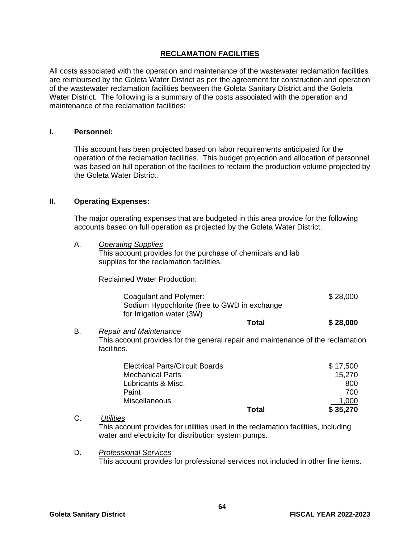#### **RECLAMATION FACILITIES**

All costs associated with the operation and maintenance of the wastewater reclamation facilities are reimbursed by the Goleta Water District as per the agreement for construction and operation of the wastewater reclamation facilities between the Goleta Sanitary District and the Goleta Water District. The following is a summary of the costs associated with the operation and maintenance of the reclamation facilities:

#### **I. Personnel:**

This account has been projected based on labor requirements anticipated for the operation of the reclamation facilities. This budget projection and allocation of personnel was based on full operation of the facilities to reclaim the production volume projected by the Goleta Water District.

#### **II. Operating Expenses:**

The major operating expenses that are budgeted in this area provide for the following accounts based on full operation as projected by the Goleta Water District.

A. *Operating Supplies*

This account provides for the purchase of chemicals and lab supplies for the reclamation facilities.

Reclaimed Water Production:

| Coagulant and Polymer:<br>Sodium Hypochlorite (free to GWD in exchange |       | \$28,000 |
|------------------------------------------------------------------------|-------|----------|
| for Irrigation water (3W)                                              |       |          |
|                                                                        | Total | \$28,000 |

B. *Repair and Maintenance* This account provides for the general repair and maintenance of the reclamation facilities.

| <b>Electrical Parts/Circuit Boards</b> |       | \$17,500 |
|----------------------------------------|-------|----------|
| <b>Mechanical Parts</b>                |       | 15.270   |
| Lubricants & Misc.                     |       | 800      |
| Paint                                  |       | 700      |
| Miscellaneous                          |       | 1.000    |
|                                        | Total | \$35,270 |

#### C. *Utilities*

This account provides for utilities used in the reclamation facilities, including water and electricity for distribution system pumps.

D. *Professional Services* This account provides for professional services not included in other line items.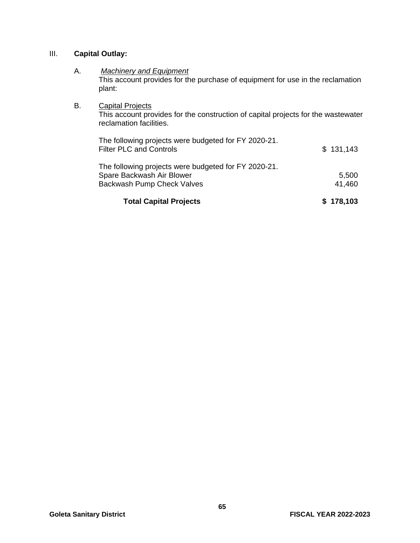#### III. **Capital Outlay:**

#### A. *Machinery and Equipment*

This account provides for the purchase of equipment for use in the reclamation plant:

#### **B.** Capital Projects

This account provides for the construction of capital projects for the wastewater reclamation facilities.

| <b>Total Capital Projects</b>                                                          | \$178,103 |
|----------------------------------------------------------------------------------------|-----------|
| Backwash Pump Check Valves                                                             | 41,460    |
| Spare Backwash Air Blower                                                              | 5,500     |
| The following projects were budgeted for FY 2020-21.                                   |           |
| The following projects were budgeted for FY 2020-21.<br><b>Filter PLC and Controls</b> | \$131,143 |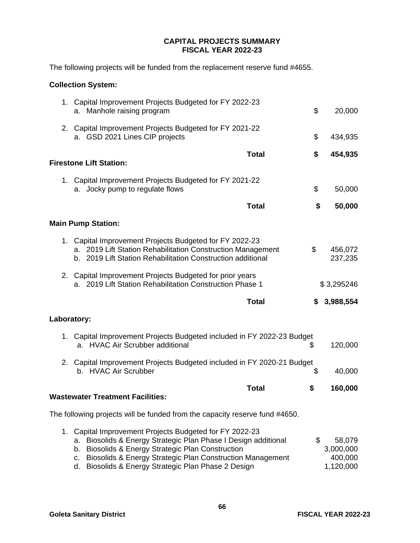#### **CAPITAL PROJECTS SUMMARY FISCAL YEAR 2022-23**

The following projects will be funded from the replacement reserve fund #4655.

#### **Collection System:**

| 1. Capital Improvement Projects Budgeted for FY 2022-23<br>a. Manhole raising program                                                                                                                                                                                                                    | \$<br>20,000                                      |
|----------------------------------------------------------------------------------------------------------------------------------------------------------------------------------------------------------------------------------------------------------------------------------------------------------|---------------------------------------------------|
| 2. Capital Improvement Projects Budgeted for FY 2021-22<br>a. GSD 2021 Lines CIP projects                                                                                                                                                                                                                | \$<br>434,935                                     |
| <b>Total</b><br><b>Firestone Lift Station:</b>                                                                                                                                                                                                                                                           | \$<br>454,935                                     |
|                                                                                                                                                                                                                                                                                                          |                                                   |
| 1. Capital Improvement Projects Budgeted for FY 2021-22<br>a. Jocky pump to regulate flows                                                                                                                                                                                                               | \$<br>50,000                                      |
| <b>Total</b>                                                                                                                                                                                                                                                                                             | \$<br>50,000                                      |
| <b>Main Pump Station:</b>                                                                                                                                                                                                                                                                                |                                                   |
| 1. Capital Improvement Projects Budgeted for FY 2022-23<br>a. 2019 Lift Station Rehabilitation Construction Management<br>b. 2019 Lift Station Rehabilitation Construction additional                                                                                                                    | \$<br>456,072<br>237,235                          |
| 2. Capital Improvement Projects Budgeted for prior years<br>a. 2019 Lift Station Rehabilitation Construction Phase 1                                                                                                                                                                                     | \$3,295246                                        |
| <b>Total</b>                                                                                                                                                                                                                                                                                             | \$<br>3,988,554                                   |
| Laboratory:                                                                                                                                                                                                                                                                                              |                                                   |
| 1. Capital Improvement Projects Budgeted included in FY 2022-23 Budget<br>a. HVAC Air Scrubber additional                                                                                                                                                                                                | \$<br>120,000                                     |
| 2. Capital Improvement Projects Budgeted included in FY 2020-21 Budget<br>b. HVAC Air Scrubber                                                                                                                                                                                                           | \$<br>40,000                                      |
| <b>Total</b><br><b>Wastewater Treatment Facilities:</b>                                                                                                                                                                                                                                                  | \$<br>160,000                                     |
| The following projects will be funded from the capacity reserve fund #4650.                                                                                                                                                                                                                              |                                                   |
|                                                                                                                                                                                                                                                                                                          |                                                   |
| 1. Capital Improvement Projects Budgeted for FY 2022-23<br>Biosolids & Energy Strategic Plan Phase I Design additional<br>a.<br>b. Biosolids & Energy Strategic Plan Construction<br>c. Biosolids & Energy Strategic Plan Construction Management<br>d. Biosolids & Energy Strategic Plan Phase 2 Design | \$<br>58,079<br>3,000,000<br>400,000<br>1,120,000 |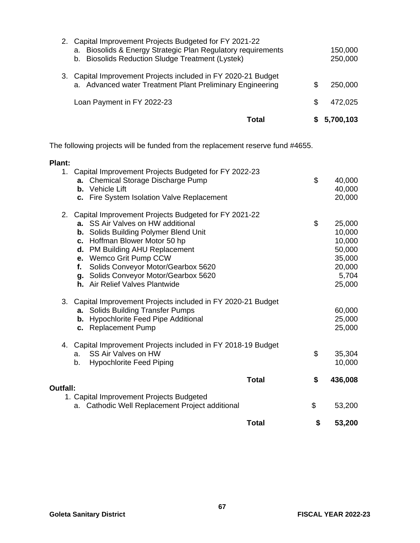| Total                                                                                                                                                                                    |   | 5,700,103          |
|------------------------------------------------------------------------------------------------------------------------------------------------------------------------------------------|---|--------------------|
| Loan Payment in FY 2022-23                                                                                                                                                               | S | 472,025            |
| 3. Capital Improvement Projects included in FY 2020-21 Budget<br>a. Advanced water Treatment Plant Preliminary Engineering                                                               | S | 250,000            |
| 2. Capital Improvement Projects Budgeted for FY 2021-22<br>Biosolids & Energy Strategic Plan Regulatory requirements<br>а.<br><b>Biosolids Reduction Sludge Treatment (Lystek)</b><br>b. |   | 150,000<br>250,000 |

The following projects will be funded from the replacement reserve fund #4655.

#### **Plant:**